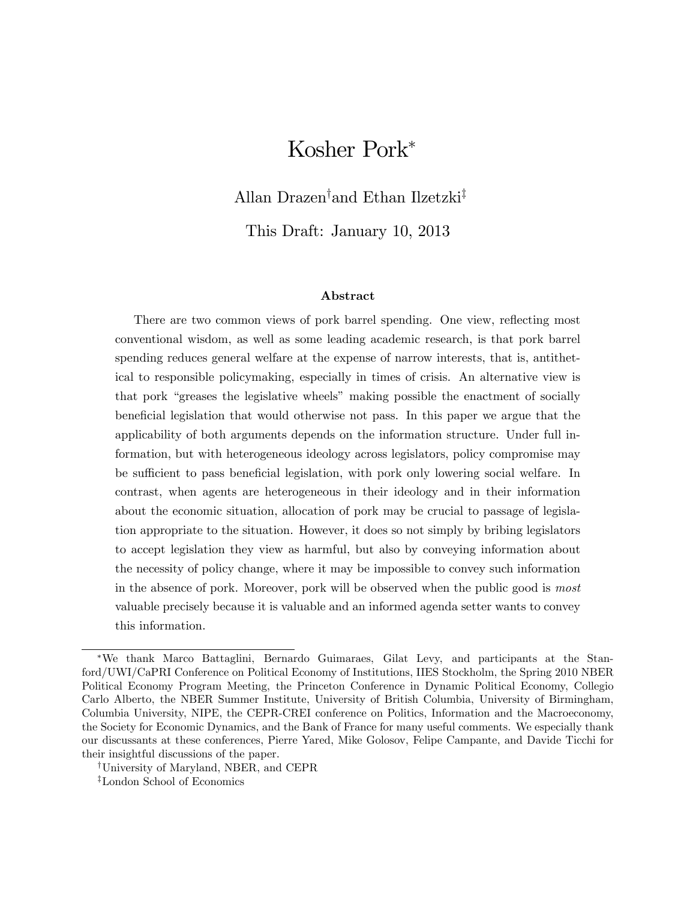# Kosher Pork

Allan Drazen<sup>†</sup>and Ethan Ilzetzki<sup>‡</sup>

This Draft: January 10, 2013

#### Abstract

There are two common views of pork barrel spending. One view, reflecting most conventional wisdom, as well as some leading academic research, is that pork barrel spending reduces general welfare at the expense of narrow interests, that is, antithetical to responsible policymaking, especially in times of crisis. An alternative view is that pork "greases the legislative wheels" making possible the enactment of socially beneficial legislation that would otherwise not pass. In this paper we argue that the applicability of both arguments depends on the information structure. Under full information, but with heterogeneous ideology across legislators, policy compromise may be sufficient to pass beneficial legislation, with pork only lowering social welfare. In contrast, when agents are heterogeneous in their ideology and in their information about the economic situation, allocation of pork may be crucial to passage of legislation appropriate to the situation. However, it does so not simply by bribing legislators to accept legislation they view as harmful, but also by conveying information about the necessity of policy change, where it may be impossible to convey such information in the absence of pork. Moreover, pork will be observed when the public good is most valuable precisely because it is valuable and an informed agenda setter wants to convey this information.

We thank Marco Battaglini, Bernardo Guimaraes, Gilat Levy, and participants at the Stanford/UWI/CaPRI Conference on Political Economy of Institutions, IIES Stockholm, the Spring 2010 NBER Political Economy Program Meeting, the Princeton Conference in Dynamic Political Economy, Collegio Carlo Alberto, the NBER Summer Institute, University of British Columbia, University of Birmingham, Columbia University, NIPE, the CEPR-CREI conference on Politics, Information and the Macroeconomy, the Society for Economic Dynamics, and the Bank of France for many useful comments. We especially thank our discussants at these conferences, Pierre Yared, Mike Golosov, Felipe Campante, and Davide Ticchi for their insightful discussions of the paper.

<sup>&</sup>lt;sup>†</sup>University of Maryland, NBER, and CEPR

 $\overline{z}$ London School of Economics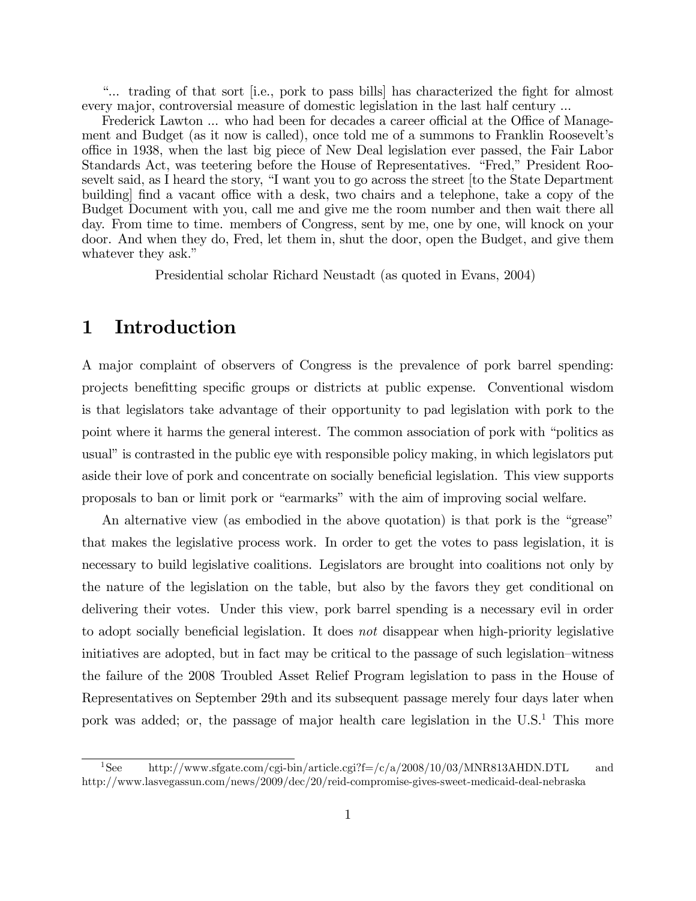ì... trading of that sort [i.e., pork to pass bills] has characterized the Öght for almost every major, controversial measure of domestic legislation in the last half century ...

Frederick Lawton ... who had been for decades a career official at the Office of Management and Budget (as it now is called), once told me of a summons to Franklin Rooseveltís o¢ ce in 1938, when the last big piece of New Deal legislation ever passed, the Fair Labor Standards Act, was teetering before the House of Representatives. "Fred," President Roosevelt said, as I heard the story, "I want you to go across the street [to the State Department building find a vacant office with a desk, two chairs and a telephone, take a copy of the Budget Document with you, call me and give me the room number and then wait there all day. From time to time. members of Congress, sent by me, one by one, will knock on your door. And when they do, Fred, let them in, shut the door, open the Budget, and give them whatever they ask."

Presidential scholar Richard Neustadt (as quoted in Evans, 2004)

# 1 Introduction

A major complaint of observers of Congress is the prevalence of pork barrel spending: projects beneÖtting speciÖc groups or districts at public expense. Conventional wisdom is that legislators take advantage of their opportunity to pad legislation with pork to the point where it harms the general interest. The common association of pork with "politics as usual" is contrasted in the public eye with responsible policy making, in which legislators put aside their love of pork and concentrate on socially beneficial legislation. This view supports proposals to ban or limit pork or ìearmarksîwith the aim of improving social welfare.

An alternative view (as embodied in the above quotation) is that pork is the "grease" that makes the legislative process work. In order to get the votes to pass legislation, it is necessary to build legislative coalitions. Legislators are brought into coalitions not only by the nature of the legislation on the table, but also by the favors they get conditional on delivering their votes. Under this view, pork barrel spending is a necessary evil in order to adopt socially beneficial legislation. It does not disappear when high-priority legislative initiatives are adopted, but in fact may be critical to the passage of such legislation–witness the failure of the 2008 Troubled Asset Relief Program legislation to pass in the House of Representatives on September 29th and its subsequent passage merely four days later when pork was added; or, the passage of major health care legislation in the  $U.S.<sup>1</sup>$  This more

<sup>1</sup>See http://www.sfgate.com/cgi-bin/article.cgi?f=/c/a/2008/10/03/MNR813AHDN.DTL and http://www.lasvegassun.com/news/2009/dec/20/reid-compromise-gives-sweet-medicaid-deal-nebraska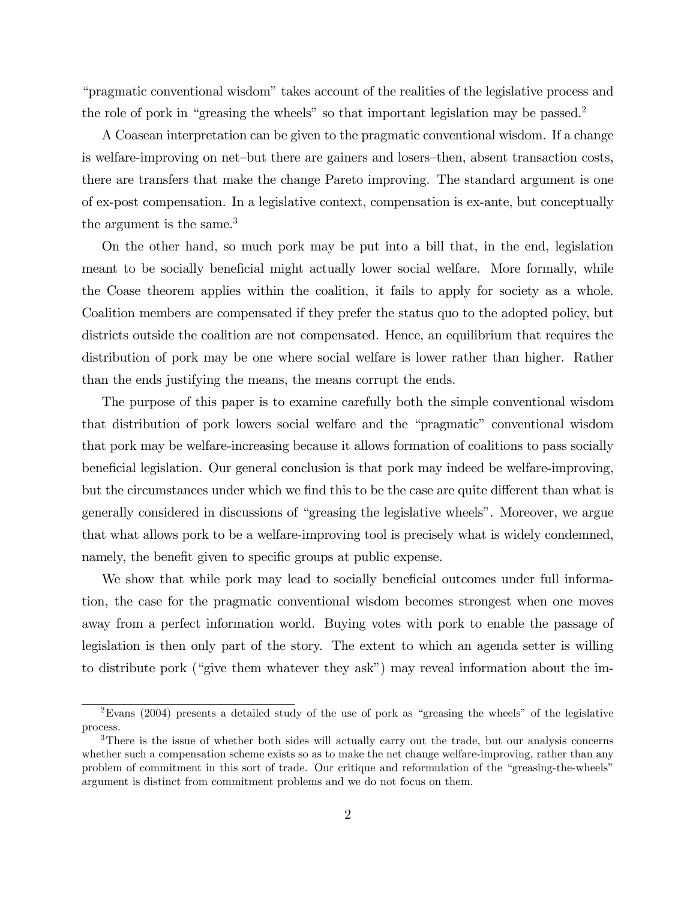ìpragmatic conventional wisdomîtakes account of the realities of the legislative process and the role of pork in "greasing the wheels" so that important legislation may be passed.<sup>2</sup>

A Coasean interpretation can be given to the pragmatic conventional wisdom. If a change is welfare-improving on net-but there are gainers and losers-then, absent transaction costs, there are transfers that make the change Pareto improving. The standard argument is one of ex-post compensation. In a legislative context, compensation is ex-ante, but conceptually the argument is the same.<sup>3</sup>

On the other hand, so much pork may be put into a bill that, in the end, legislation meant to be socially beneficial might actually lower social welfare. More formally, while the Coase theorem applies within the coalition, it fails to apply for society as a whole. Coalition members are compensated if they prefer the status quo to the adopted policy, but districts outside the coalition are not compensated. Hence, an equilibrium that requires the distribution of pork may be one where social welfare is lower rather than higher. Rather than the ends justifying the means, the means corrupt the ends.

The purpose of this paper is to examine carefully both the simple conventional wisdom that distribution of pork lowers social welfare and the "pragmatic" conventional wisdom that pork may be welfare-increasing because it allows formation of coalitions to pass socially beneficial legislation. Our general conclusion is that pork may indeed be welfare-improving, but the circumstances under which we find this to be the case are quite different than what is generally considered in discussions of "greasing the legislative wheels". Moreover, we argue that what allows pork to be a welfare-improving tool is precisely what is widely condemned, namely, the benefit given to specific groups at public expense.

We show that while pork may lead to socially beneficial outcomes under full information, the case for the pragmatic conventional wisdom becomes strongest when one moves away from a perfect information world. Buying votes with pork to enable the passage of legislation is then only part of the story. The extent to which an agenda setter is willing to distribute pork ("give them whatever they ask") may reveal information about the im-

 $2\text{ Evans}$  (2004) presents a detailed study of the use of pork as "greasing the wheels" of the legislative process.

<sup>&</sup>lt;sup>3</sup>There is the issue of whether both sides will actually carry out the trade, but our analysis concerns whether such a compensation scheme exists so as to make the net change welfare-improving, rather than any problem of commitment in this sort of trade. Our critique and reformulation of the "greasing-the-wheels" argument is distinct from commitment problems and we do not focus on them.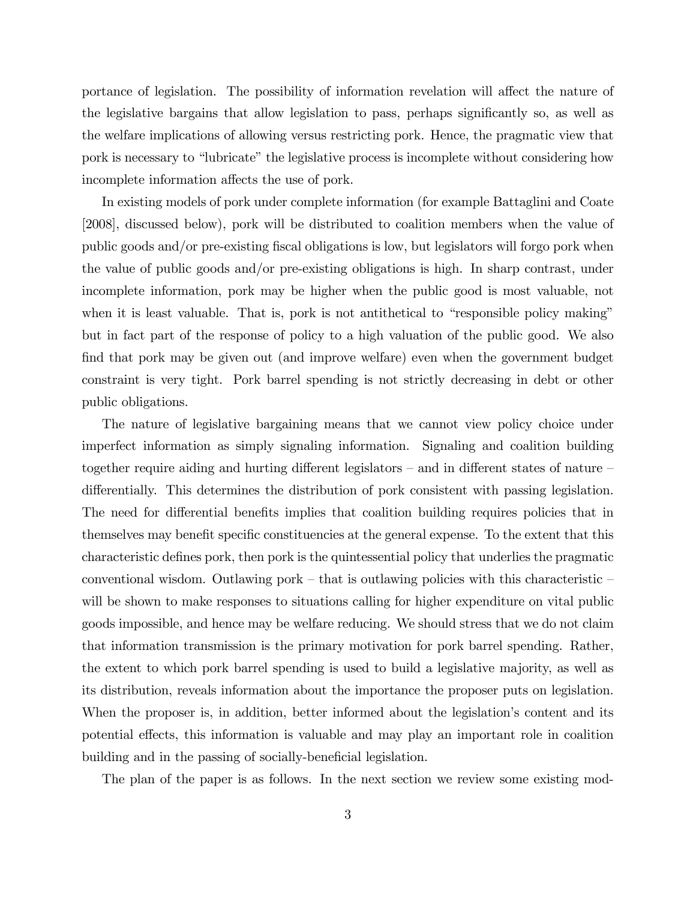portance of legislation. The possibility of information revelation will affect the nature of the legislative bargains that allow legislation to pass, perhaps significantly so, as well as the welfare implications of allowing versus restricting pork. Hence, the pragmatic view that pork is necessary to "lubricate" the legislative process is incomplete without considering how incomplete information affects the use of pork.

In existing models of pork under complete information (for example Battaglini and Coate [2008], discussed below), pork will be distributed to coalition members when the value of public goods and/or pre-existing Öscal obligations is low, but legislators will forgo pork when the value of public goods and/or pre-existing obligations is high. In sharp contrast, under incomplete information, pork may be higher when the public good is most valuable, not when it is least valuable. That is, pork is not antithetical to "responsible policy making" but in fact part of the response of policy to a high valuation of the public good. We also find that pork may be given out (and improve welfare) even when the government budget constraint is very tight. Pork barrel spending is not strictly decreasing in debt or other public obligations.

The nature of legislative bargaining means that we cannot view policy choice under imperfect information as simply signaling information. Signaling and coalition building together require aiding and hurting different legislators  $-$  and in different states of nature  $$ differentially. This determines the distribution of pork consistent with passing legislation. The need for differential benefits implies that coalition building requires policies that in themselves may benefit specific constituencies at the general expense. To the extent that this characteristic defines pork, then pork is the quintessential policy that underlies the pragmatic conventional wisdom. Outlawing pork  $-$  that is outlawing policies with this characteristic  $$ will be shown to make responses to situations calling for higher expenditure on vital public goods impossible, and hence may be welfare reducing. We should stress that we do not claim that information transmission is the primary motivation for pork barrel spending. Rather, the extent to which pork barrel spending is used to build a legislative majority, as well as its distribution, reveals information about the importance the proposer puts on legislation. When the proposer is, in addition, better informed about the legislation's content and its potential effects, this information is valuable and may play an important role in coalition building and in the passing of socially-beneficial legislation.

The plan of the paper is as follows. In the next section we review some existing mod-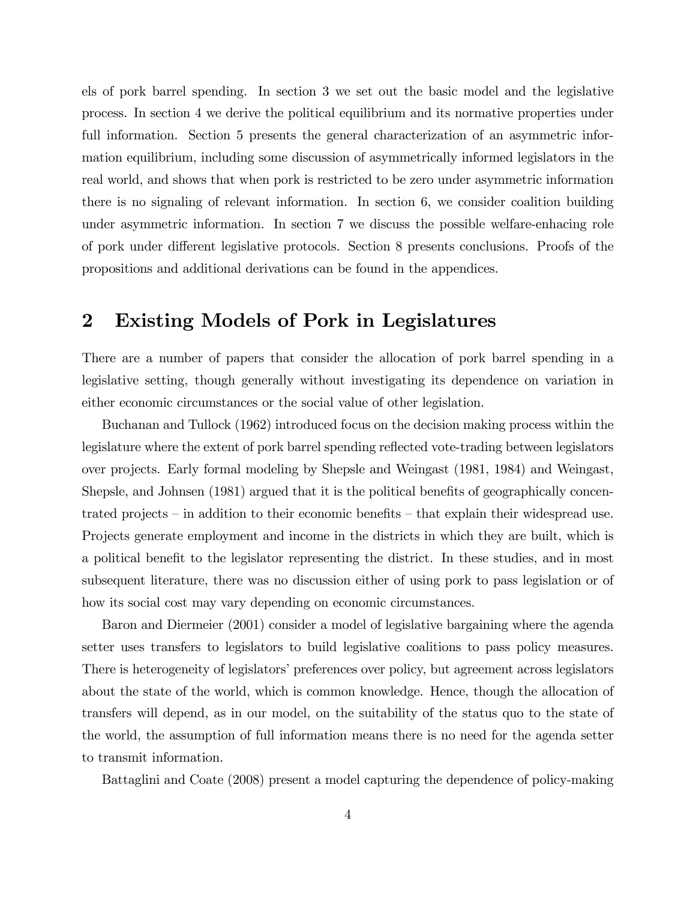els of pork barrel spending. In section 3 we set out the basic model and the legislative process. In section 4 we derive the political equilibrium and its normative properties under full information. Section 5 presents the general characterization of an asymmetric information equilibrium, including some discussion of asymmetrically informed legislators in the real world, and shows that when pork is restricted to be zero under asymmetric information there is no signaling of relevant information. In section 6, we consider coalition building under asymmetric information. In section 7 we discuss the possible welfare-enhacing role of pork under different legislative protocols. Section 8 presents conclusions. Proofs of the propositions and additional derivations can be found in the appendices.

# 2 Existing Models of Pork in Legislatures

There are a number of papers that consider the allocation of pork barrel spending in a legislative setting, though generally without investigating its dependence on variation in either economic circumstances or the social value of other legislation.

Buchanan and Tullock (1962) introduced focus on the decision making process within the legislature where the extent of pork barrel spending reflected vote-trading between legislators over projects. Early formal modeling by Shepsle and Weingast (1981, 1984) and Weingast, Shepsle, and Johnsen (1981) argued that it is the political benefits of geographically concentrated projects  $\overline{\phantom{a}}$  in addition to their economic benefits  $\overline{\phantom{a}}$  that explain their widespread use. Projects generate employment and income in the districts in which they are built, which is a political benefit to the legislator representing the district. In these studies, and in most subsequent literature, there was no discussion either of using pork to pass legislation or of how its social cost may vary depending on economic circumstances.

Baron and Diermeier (2001) consider a model of legislative bargaining where the agenda setter uses transfers to legislators to build legislative coalitions to pass policy measures. There is heterogeneity of legislators' preferences over policy, but agreement across legislators about the state of the world, which is common knowledge. Hence, though the allocation of transfers will depend, as in our model, on the suitability of the status quo to the state of the world, the assumption of full information means there is no need for the agenda setter to transmit information.

Battaglini and Coate (2008) present a model capturing the dependence of policy-making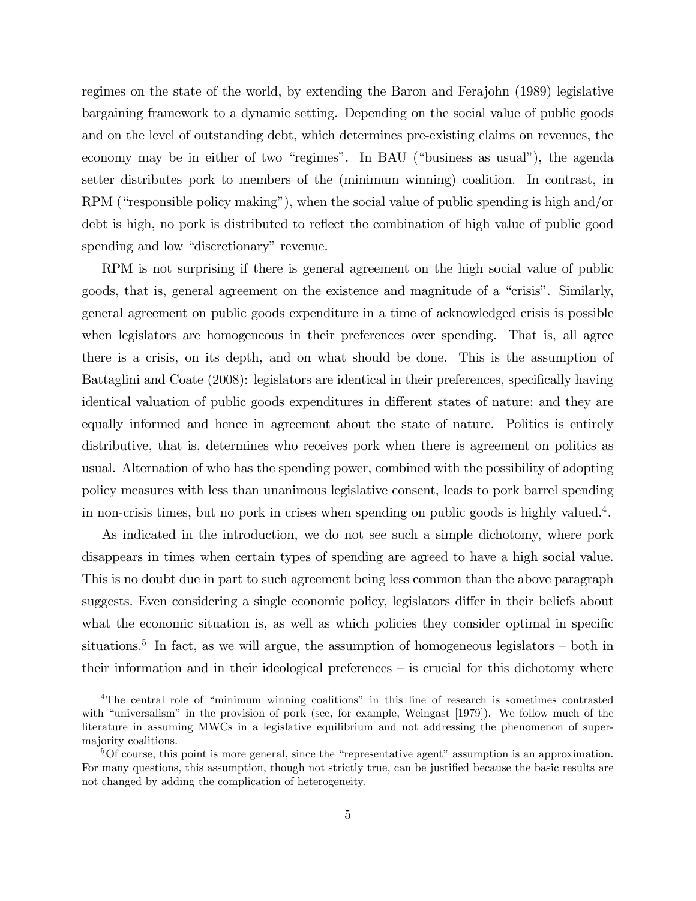regimes on the state of the world, by extending the Baron and Ferajohn (1989) legislative bargaining framework to a dynamic setting. Depending on the social value of public goods and on the level of outstanding debt, which determines pre-existing claims on revenues, the economy may be in either of two "regimes". In BAU ("business as usual"), the agenda setter distributes pork to members of the (minimum winning) coalition. In contrast, in  $RPM$  ("responsible policy making"), when the social value of public spending is high and/or debt is high, no pork is distributed to reflect the combination of high value of public good spending and low "discretionary" revenue.

RPM is not surprising if there is general agreement on the high social value of public goods, that is, general agreement on the existence and magnitude of a "crisis". Similarly, general agreement on public goods expenditure in a time of acknowledged crisis is possible when legislators are homogeneous in their preferences over spending. That is, all agree there is a crisis, on its depth, and on what should be done. This is the assumption of Battaglini and Coate (2008): legislators are identical in their preferences, specifically having identical valuation of public goods expenditures in different states of nature; and they are equally informed and hence in agreement about the state of nature. Politics is entirely distributive, that is, determines who receives pork when there is agreement on politics as usual. Alternation of who has the spending power, combined with the possibility of adopting policy measures with less than unanimous legislative consent, leads to pork barrel spending in non-crisis times, but no pork in crises when spending on public goods is highly valued.<sup>4</sup>.

As indicated in the introduction, we do not see such a simple dichotomy, where pork disappears in times when certain types of spending are agreed to have a high social value. This is no doubt due in part to such agreement being less common than the above paragraph suggests. Even considering a single economic policy, legislators differ in their beliefs about what the economic situation is, as well as which policies they consider optimal in specific situations.<sup>5</sup> In fact, as we will argue, the assumption of homogeneous legislators  $-$  both in their information and in their ideological preferences  $-$  is crucial for this dichotomy where

<sup>&</sup>lt;sup>4</sup>The central role of "minimum winning coalitions" in this line of research is sometimes contrasted with "universalism" in the provision of pork (see, for example, Weingast  $[1979]$ ). We follow much of the literature in assuming MWCs in a legislative equilibrium and not addressing the phenomenon of supermajority coalitions.

 ${}^{5}$ Of course, this point is more general, since the "representative agent" assumption is an approximation. For many questions, this assumption, though not strictly true, can be justified because the basic results are not changed by adding the complication of heterogeneity.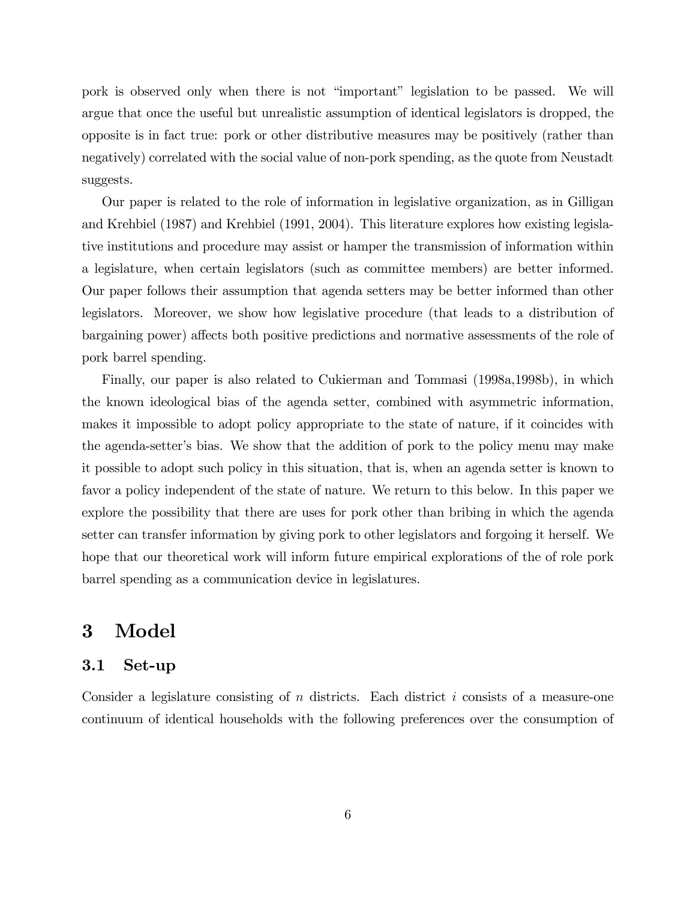pork is observed only when there is not "important" legislation to be passed. We will argue that once the useful but unrealistic assumption of identical legislators is dropped, the opposite is in fact true: pork or other distributive measures may be positively (rather than negatively) correlated with the social value of non-pork spending, as the quote from Neustadt suggests.

Our paper is related to the role of information in legislative organization, as in Gilligan and Krehbiel (1987) and Krehbiel (1991, 2004). This literature explores how existing legislative institutions and procedure may assist or hamper the transmission of information within a legislature, when certain legislators (such as committee members) are better informed. Our paper follows their assumption that agenda setters may be better informed than other legislators. Moreover, we show how legislative procedure (that leads to a distribution of bargaining power) affects both positive predictions and normative assessments of the role of pork barrel spending.

Finally, our paper is also related to Cukierman and Tommasi (1998a,1998b), in which the known ideological bias of the agenda setter, combined with asymmetric information, makes it impossible to adopt policy appropriate to the state of nature, if it coincides with the agenda-setter's bias. We show that the addition of pork to the policy menu may make it possible to adopt such policy in this situation, that is, when an agenda setter is known to favor a policy independent of the state of nature. We return to this below. In this paper we explore the possibility that there are uses for pork other than bribing in which the agenda setter can transfer information by giving pork to other legislators and forgoing it herself. We hope that our theoretical work will inform future empirical explorations of the of role pork barrel spending as a communication device in legislatures.

# 3 Model

#### 3.1 Set-up

Consider a legislature consisting of  $n$  districts. Each district  $i$  consists of a measure-one continuum of identical households with the following preferences over the consumption of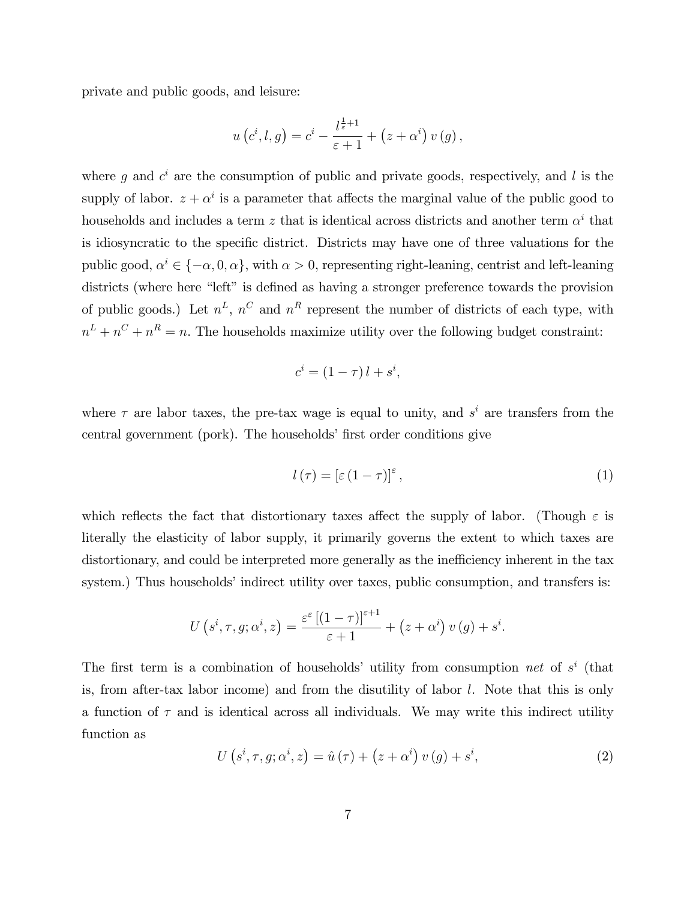private and public goods, and leisure:

$$
u\left(c^i,l,g\right)=c^i-\frac{l^{\frac{1}{\varepsilon}+1}}{\varepsilon+1}+\left(z+\alpha^i\right)v\left(g\right),\,
$$

where g and  $c^i$  are the consumption of public and private goods, respectively, and l is the supply of labor.  $z + \alpha^i$  is a parameter that affects the marginal value of the public good to households and includes a term z that is identical across districts and another term  $\alpha^{i}$  that is idiosyncratic to the specific district. Districts may have one of three valuations for the public good,  $\alpha^i \in \{-\alpha, 0, \alpha\}$ , with  $\alpha > 0$ , representing right-leaning, centrist and left-leaning districts (where here "left" is defined as having a stronger preference towards the provision of public goods.) Let  $n^L$ ,  $n^C$  and  $n^R$  represent the number of districts of each type, with  $n^L + n^C + n^R = n$ . The households maximize utility over the following budget constraint:

$$
c^i = (1 - \tau) l + s^i,
$$

where  $\tau$  are labor taxes, the pre-tax wage is equal to unity, and  $s^i$  are transfers from the central government (pork). The households' first order conditions give

$$
l(\tau) = \left[\varepsilon \left(1 - \tau\right)\right]^{\varepsilon},\tag{1}
$$

which reflects the fact that distortionary taxes affect the supply of labor. (Though  $\varepsilon$  is literally the elasticity of labor supply, it primarily governs the extent to which taxes are distortionary, and could be interpreted more generally as the inefficiency inherent in the tax system.) Thus households' indirect utility over taxes, public consumption, and transfers is:

$$
U(s^i, \tau, g; \alpha^i, z) = \frac{\varepsilon^{\varepsilon} \left[ (1 - \tau) \right]^{\varepsilon + 1}}{\varepsilon + 1} + (z + \alpha^i) v(g) + s^i.
$$

The first term is a combination of households' utility from consumption net of  $s^i$  (that is, from after-tax labor income) and from the disutility of labor l. Note that this is only a function of  $\tau$  and is identical across all individuals. We may write this indirect utility function as

$$
U(s^i, \tau, g; \alpha^i, z) = \hat{u}(\tau) + (z + \alpha^i) v(g) + s^i,
$$
\n(2)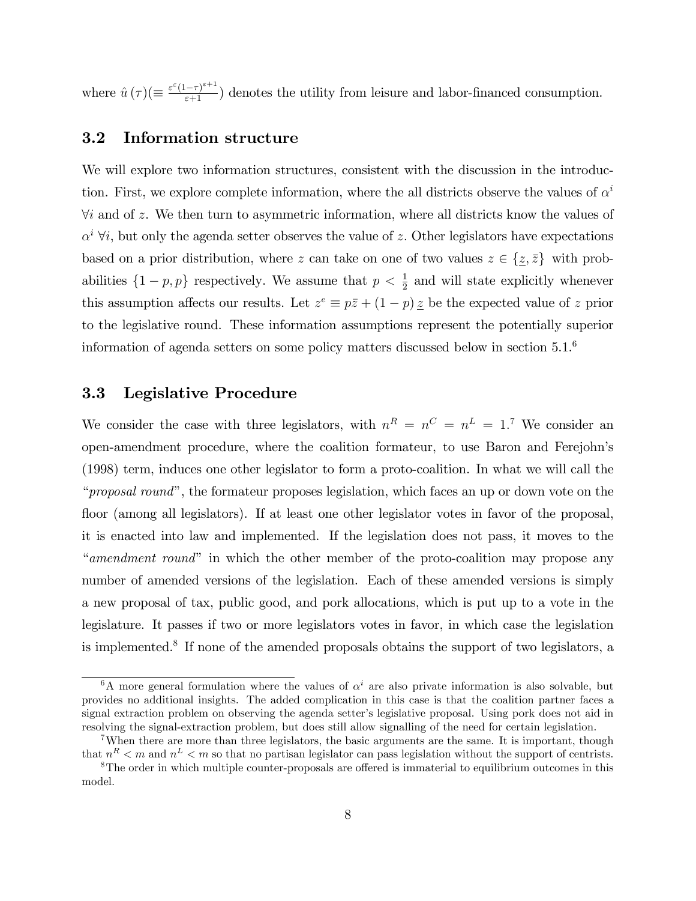where  $\hat{u}(\tau) (\equiv \frac{\varepsilon^{\varepsilon} (1-\tau)^{\varepsilon+1}}{\varepsilon+1})$  denotes the utility from leisure and labor-financed consumption.

## 3.2 Information structure

We will explore two information structures, consistent with the discussion in the introduction. First, we explore complete information, where the all districts observe the values of  $\alpha^i$  $\forall i$  and of z. We then turn to asymmetric information, where all districts know the values of  $\alpha^{i}$   $\forall i$ , but only the agenda setter observes the value of z. Other legislators have expectations based on a prior distribution, where z can take on one of two values  $z \in \{z, \bar{z}\}\$  with probabilities  $\{1-p, p\}$  respectively. We assume that  $p < \frac{1}{2}$  and will state explicitly whenever this assumption affects our results. Let  $z^e \equiv p\overline{z} + (1-p)\overline{z}$  be the expected value of z prior to the legislative round. These information assumptions represent the potentially superior information of agenda setters on some policy matters discussed below in section 5.1.<sup>6</sup>

### 3.3 Legislative Procedure

We consider the case with three legislators, with  $n^R = n^C = n^L = 1$ .<sup>7</sup> We consider an open-amendment procedure, where the coalition formateur, to use Baron and Ferejohnís (1998) term, induces one other legislator to form a proto-coalition. In what we will call the "*proposal round*", the formateur proposes legislation, which faces an up or down vote on the floor (among all legislators). If at least one other legislator votes in favor of the proposal, it is enacted into law and implemented. If the legislation does not pass, it moves to the "amendment round" in which the other member of the proto-coalition may propose any number of amended versions of the legislation. Each of these amended versions is simply a new proposal of tax, public good, and pork allocations, which is put up to a vote in the legislature. It passes if two or more legislators votes in favor, in which case the legislation is implemented.<sup>8</sup> If none of the amended proposals obtains the support of two legislators, a

<sup>&</sup>lt;sup>6</sup>A more general formulation where the values of  $\alpha^{i}$  are also private information is also solvable, but provides no additional insights. The added complication in this case is that the coalition partner faces a signal extraction problem on observing the agenda setter's legislative proposal. Using pork does not aid in resolving the signal-extraction problem, but does still allow signalling of the need for certain legislation.

<sup>7</sup>When there are more than three legislators, the basic arguments are the same. It is important, though that  $n^R < m$  and  $n^L < m$  so that no partisan legislator can pass legislation without the support of centrists.

 $8$ The order in which multiple counter-proposals are offered is immaterial to equilibrium outcomes in this model.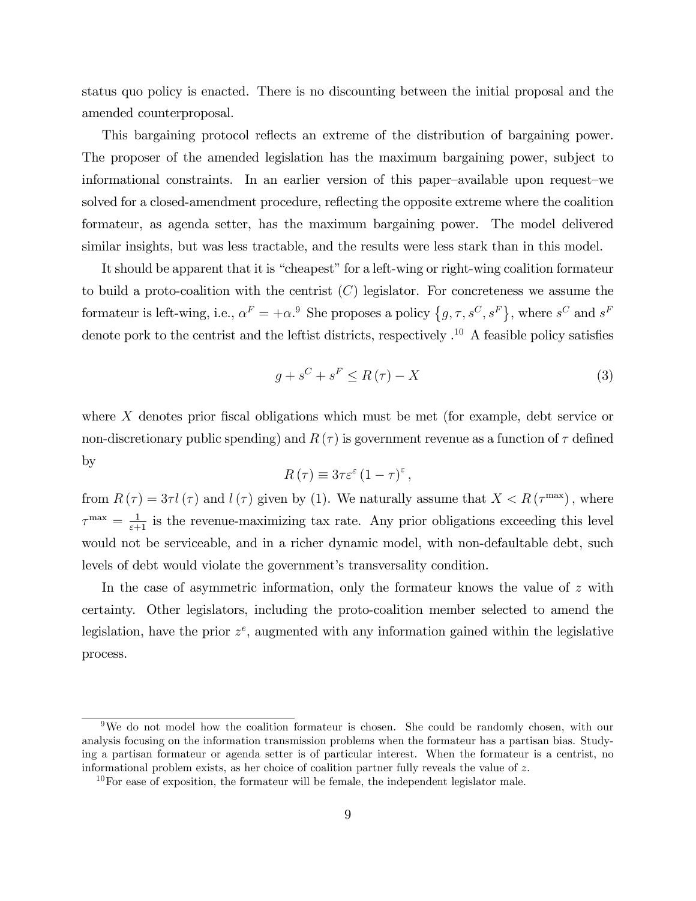status quo policy is enacted. There is no discounting between the initial proposal and the amended counterproposal.

This bargaining protocol reflects an extreme of the distribution of bargaining power. The proposer of the amended legislation has the maximum bargaining power, subject to informational constraints. In an earlier version of this paper-available upon request-we solved for a closed-amendment procedure, reflecting the opposite extreme where the coalition formateur, as agenda setter, has the maximum bargaining power. The model delivered similar insights, but was less tractable, and the results were less stark than in this model.

It should be apparent that it is "cheapest" for a left-wing or right-wing coalition formateur to build a proto-coalition with the centrist  $(C)$  legislator. For concreteness we assume the formateur is left-wing, i.e.,  $\alpha^F = +\alpha^9$ . She proposes a policy  $\{g, \tau, s^C, s^F\}$ , where  $s^C$  and  $s^F$ denote pork to the centrist and the leftist districts, respectively  $\cdot^{10}$  A feasible policy satisfies

$$
g + s^{C} + s^{F} \le R(\tau) - X \tag{3}
$$

where  $X$  denotes prior fiscal obligations which must be met (for example, debt service or non-discretionary public spending) and  $R(\tau)$  is government revenue as a function of  $\tau$  defined by

$$
R(\tau) \equiv 3\tau \varepsilon^{\varepsilon} (1-\tau)^{\varepsilon},
$$

from  $R(\tau) = 3\tau l(\tau)$  and  $l(\tau)$  given by (1). We naturally assume that  $X < R(\tau^{\max})$ , where  $\tau^{\text{max}} = \frac{1}{\varepsilon + 1}$  is the revenue-maximizing tax rate. Any prior obligations exceeding this level would not be serviceable, and in a richer dynamic model, with non-defaultable debt, such levels of debt would violate the government's transversality condition.

In the case of asymmetric information, only the formateur knows the value of  $z$  with certainty. Other legislators, including the proto-coalition member selected to amend the legislation, have the prior  $z^e$ , augmented with any information gained within the legislative process.

<sup>&</sup>lt;sup>9</sup>We do not model how the coalition formateur is chosen. She could be randomly chosen, with our analysis focusing on the information transmission problems when the formateur has a partisan bias. Studying a partisan formateur or agenda setter is of particular interest. When the formateur is a centrist, no informational problem exists, as her choice of coalition partner fully reveals the value of  $z$ .

 $10$ For ease of exposition, the formateur will be female, the independent legislator male.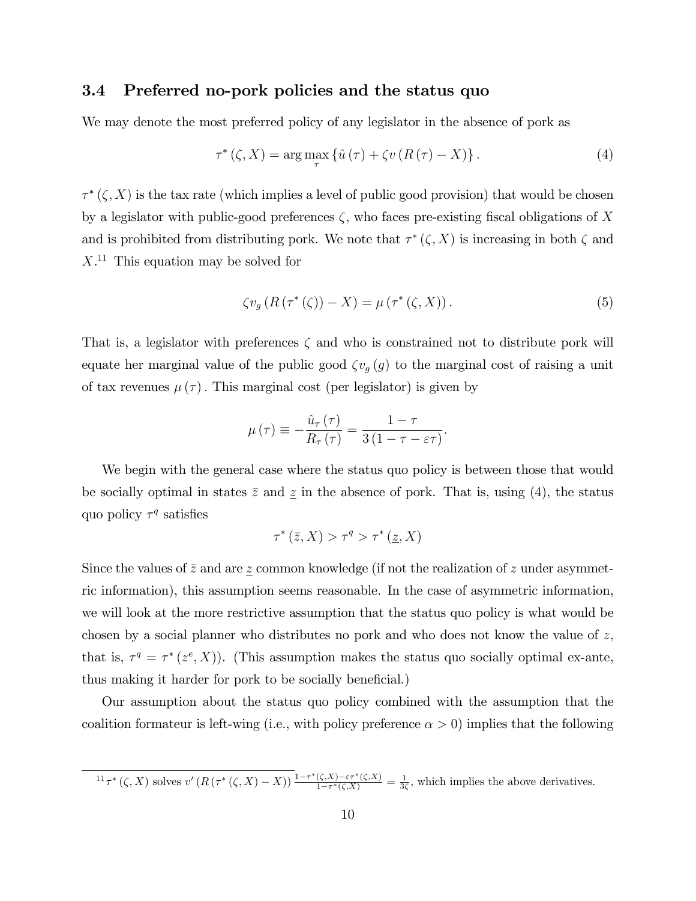### 3.4 Preferred no-pork policies and the status quo

We may denote the most preferred policy of any legislator in the absence of pork as

$$
\tau^*(\zeta, X) = \arg\max_{\tau} \left\{ \hat{u}(\tau) + \zeta v \left( R(\tau) - X \right) \right\}. \tag{4}
$$

 $\tau^*(\zeta, X)$  is the tax rate (which implies a level of public good provision) that would be chosen by a legislator with public-good preferences  $\zeta$ , who faces pre-existing fiscal obligations of X and is prohibited from distributing pork. We note that  $\tau^*(\zeta, X)$  is increasing in both  $\zeta$  and  $X<sup>11</sup>$  This equation may be solved for

$$
\zeta v_g (R(\tau^*(\zeta)) - X) = \mu(\tau^*(\zeta, X)).
$$
\n(5)

That is, a legislator with preferences  $\zeta$  and who is constrained not to distribute pork will equate her marginal value of the public good  $\zeta v_g(g)$  to the marginal cost of raising a unit of tax revenues  $\mu(\tau)$ . This marginal cost (per legislator) is given by

$$
\mu(\tau) \equiv -\frac{\hat{u}_{\tau}(\tau)}{R_{\tau}(\tau)} = \frac{1-\tau}{3(1-\tau-\varepsilon\tau)}.
$$

We begin with the general case where the status quo policy is between those that would be socially optimal in states  $\bar{z}$  and  $\underline{z}$  in the absence of pork. That is, using (4), the status quo policy  $\tau^q$  satisfies

$$
\tau^*(\bar{z}, X) > \tau^q > \tau^*(\underline{z}, X)
$$

Since the values of  $\bar{z}$  and are  $\underline{z}$  common knowledge (if not the realization of  $z$  under asymmetric information), this assumption seems reasonable. In the case of asymmetric information, we will look at the more restrictive assumption that the status quo policy is what would be chosen by a social planner who distributes no pork and who does not know the value of  $z$ , that is,  $\tau^q = \tau^*(z^e, X)$ ). (This assumption makes the status quo socially optimal ex-ante, thus making it harder for pork to be socially beneficial.)

Our assumption about the status quo policy combined with the assumption that the coalition formateur is left-wing (i.e., with policy preference  $\alpha > 0$ ) implies that the following

 ${}^{11}\tau^*$  ( $\zeta$ , X) solves v' ( $R(\tau^*(\zeta, X) - X)$ )  $\frac{1-\tau^*(\zeta, X) - \varepsilon\tau^*(\zeta, X)}{1-\tau^*(\zeta, X)}$  $\frac{\zeta(\zeta,X) - \varepsilon \tau^*(\zeta,X)}{1 - \tau^*(\zeta,X)} = \frac{1}{3\zeta}$ , which implies the above derivatives.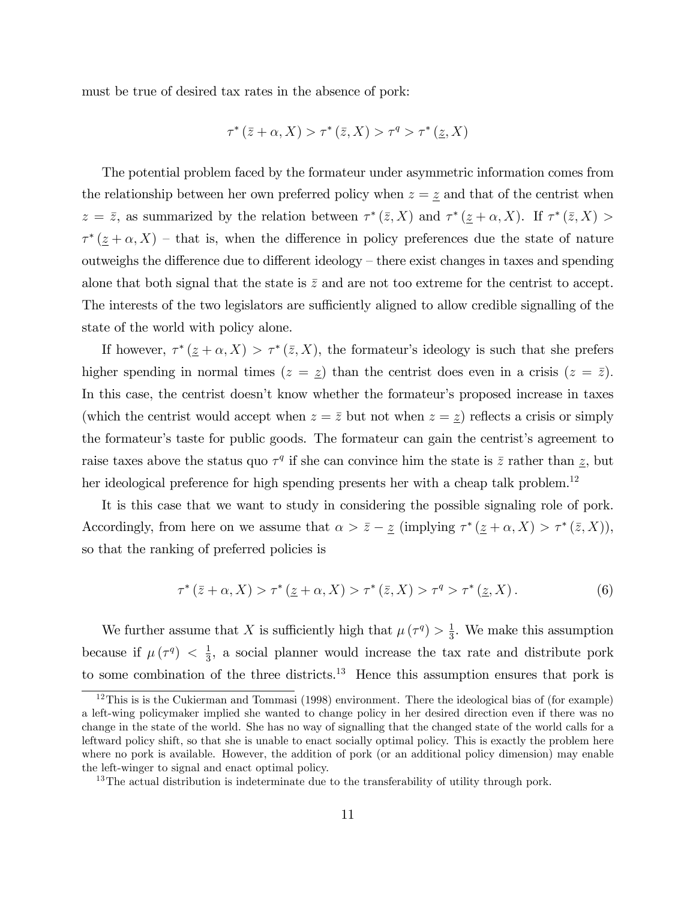must be true of desired tax rates in the absence of pork:

$$
\tau^* (\bar{z} + \alpha, X) > \tau^* (\bar{z}, X) > \tau^q > \tau^* (\underline{z}, X)
$$

The potential problem faced by the formateur under asymmetric information comes from the relationship between her own preferred policy when  $z = \underline{z}$  and that of the centrist when  $z = \overline{z}$ , as summarized by the relation between  $\tau^*(\overline{z}, X)$  and  $\tau^*(\underline{z} + \alpha, X)$ . If  $\tau^*(\overline{z}, X)$  $\tau^*(\underline{z} + \alpha, X)$  – that is, when the difference in policy preferences due the state of nature outweighs the difference due to different ideology  $-$  there exist changes in taxes and spending alone that both signal that the state is  $\bar{z}$  and are not too extreme for the centrist to accept. The interests of the two legislators are sufficiently aligned to allow credible signalling of the state of the world with policy alone.

If however,  $\tau^*(\underline{z} + \alpha, X) > \tau^*(\overline{z}, X)$ , the formateur's ideology is such that she prefers higher spending in normal times  $(z = \underline{z})$  than the centrist does even in a crisis  $(z = \overline{z})$ . In this case, the centrist doesn't know whether the formateur's proposed increase in taxes (which the centrist would accept when  $z = \overline{z}$  but not when  $z = \underline{z}$ ) reflects a crisis or simply the formateur's taste for public goods. The formateur can gain the centrist's agreement to raise taxes above the status quo  $\tau^q$  if she can convince him the state is  $\bar{z}$  rather than  $\underline{z}$ , but her ideological preference for high spending presents her with a cheap talk problem.<sup>12</sup>

It is this case that we want to study in considering the possible signaling role of pork. Accordingly, from here on we assume that  $\alpha > \bar{z} - \underline{z}$  (implying  $\tau^* (\underline{z} + \alpha, X) > \tau^* (\bar{z}, X)$ ), so that the ranking of preferred policies is

$$
\tau^* (\bar{z} + \alpha, X) > \tau^* (\underline{z} + \alpha, X) > \tau^* (\bar{z}, X) > \tau^q > \tau^* (\underline{z}, X) \,. \tag{6}
$$

We further assume that X is sufficiently high that  $\mu(\tau^q) > \frac{1}{3}$  $\frac{1}{3}$ . We make this assumption because if  $\mu(\tau^q) < \frac{1}{3}$  $\frac{1}{3}$ , a social planner would increase the tax rate and distribute pork to some combination of the three districts.<sup>13</sup> Hence this assumption ensures that pork is

 $12$ This is is the Cukierman and Tommasi (1998) environment. There the ideological bias of (for example) a left-wing policymaker implied she wanted to change policy in her desired direction even if there was no change in the state of the world. She has no way of signalling that the changed state of the world calls for a leftward policy shift, so that she is unable to enact socially optimal policy. This is exactly the problem here where no pork is available. However, the addition of pork (or an additional policy dimension) may enable the left-winger to signal and enact optimal policy.

<sup>&</sup>lt;sup>13</sup>The actual distribution is indeterminate due to the transferability of utility through pork.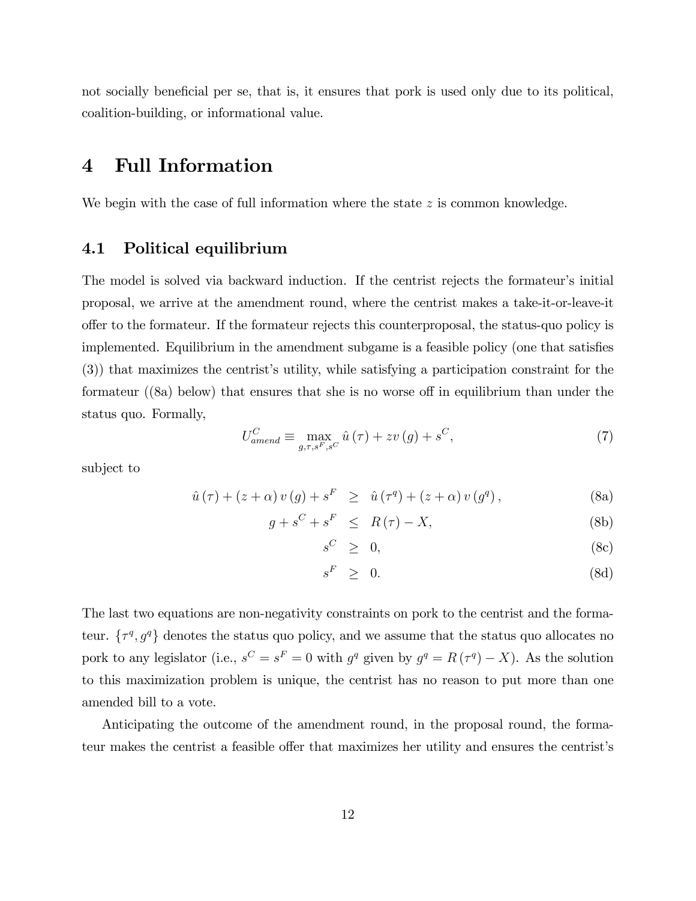not socially beneficial per se, that is, it ensures that pork is used only due to its political, coalition-building, or informational value.

# 4 Full Information

We begin with the case of full information where the state  $z$  is common knowledge.

## 4.1 Political equilibrium

The model is solved via backward induction. If the centrist rejects the formateur's initial proposal, we arrive at the amendment round, where the centrist makes a take-it-or-leave-it offer to the formateur. If the formateur rejects this counterproposal, the status-quo policy is implemented. Equilibrium in the amendment subgame is a feasible policy (one that satisfies (3)) that maximizes the centristís utility, while satisfying a participation constraint for the formateur  $(8a)$  below) that ensures that she is no worse off in equilibrium than under the status quo. Formally,

$$
U_{\text{amend}}^C \equiv \max_{g,\tau,s^F,s^C} \hat{u}(\tau) + zv(g) + s^C,\tag{7}
$$

subject to

$$
\hat{u}(\tau) + (z + \alpha) v(g) + s^{F} \geq \hat{u}(\tau^{q}) + (z + \alpha) v(g^{q}), \qquad (8a)
$$

$$
g + s^C + s^F \le R(\tau) - X,\tag{8b}
$$

$$
s^C \geq 0,\tag{8c}
$$

$$
s^F \geq 0. \tag{8d}
$$

The last two equations are non-negativity constraints on pork to the centrist and the formateur.  $\{\tau^q, g^q\}$  denotes the status quo policy, and we assume that the status quo allocates no pork to any legislator (i.e.,  $s^C = s^F = 0$  with  $g^q$  given by  $g^q = R(\tau^q) - X$ ). As the solution to this maximization problem is unique, the centrist has no reason to put more than one amended bill to a vote.

Anticipating the outcome of the amendment round, in the proposal round, the formateur makes the centrist a feasible offer that maximizes her utility and ensures the centrist's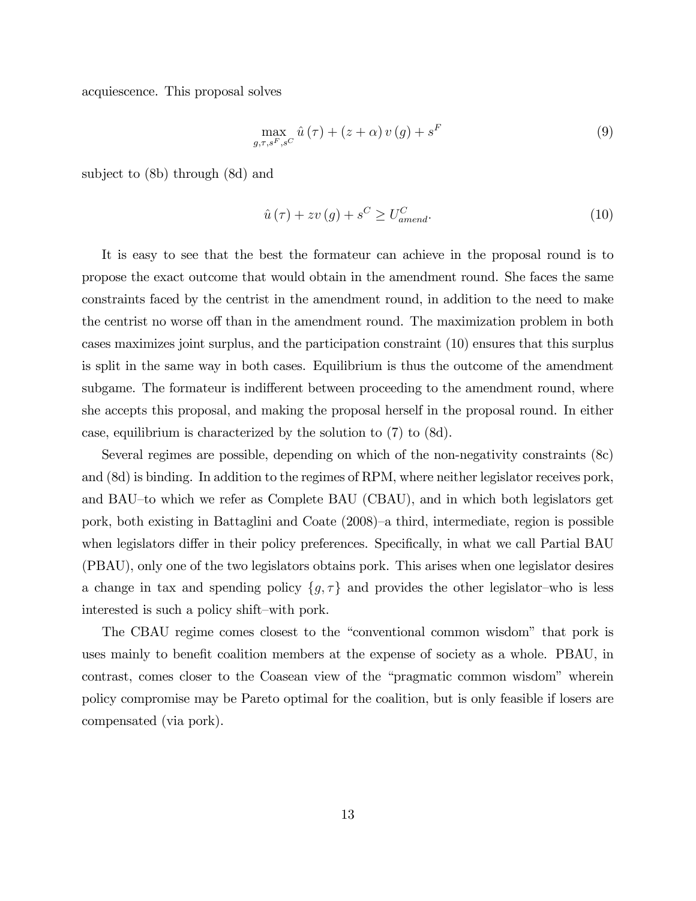acquiescence. This proposal solves

$$
\max_{g,\tau,s^F,s^C} \hat{u}(\tau) + (z+\alpha) v(g) + s^F
$$
\n(9)

subject to (8b) through (8d) and

$$
\hat{u}(\tau) + zv(g) + s^C \ge U_{amend}^C.
$$
\n(10)

It is easy to see that the best the formateur can achieve in the proposal round is to propose the exact outcome that would obtain in the amendment round. She faces the same constraints faced by the centrist in the amendment round, in addition to the need to make the centrist no worse off than in the amendment round. The maximization problem in both cases maximizes joint surplus, and the participation constraint (10) ensures that this surplus is split in the same way in both cases. Equilibrium is thus the outcome of the amendment subgame. The formateur is indifferent between proceeding to the amendment round, where she accepts this proposal, and making the proposal herself in the proposal round. In either case, equilibrium is characterized by the solution to (7) to (8d).

Several regimes are possible, depending on which of the non-negativity constraints (8c) and (8d) is binding. In addition to the regimes of RPM, where neither legislator receives pork, and BAU-to which we refer as Complete BAU (CBAU), and in which both legislators get pork, both existing in Battaglini and Coate  $(2008)$ <sup>-a</sup> third, intermediate, region is possible when legislators differ in their policy preferences. Specifically, in what we call Partial BAU (PBAU), only one of the two legislators obtains pork. This arises when one legislator desires a change in tax and spending policy  $\{g, \tau\}$  and provides the other legislator-who is less interested is such a policy shift-with pork.

The CBAU regime comes closest to the "conventional common wisdom" that pork is uses mainly to benefit coalition members at the expense of society as a whole. PBAU, in contrast, comes closer to the Coasean view of the "pragmatic common wisdom" wherein policy compromise may be Pareto optimal for the coalition, but is only feasible if losers are compensated (via pork).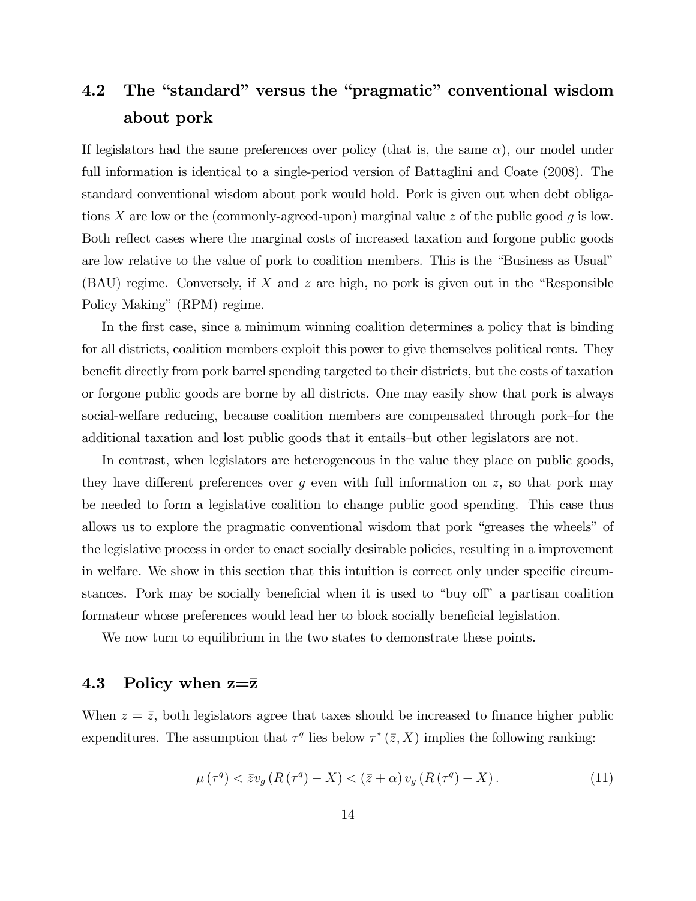# 4.2 The "standard" versus the "pragmatic" conventional wisdom about pork

If legislators had the same preferences over policy (that is, the same  $\alpha$ ), our model under full information is identical to a single-period version of Battaglini and Coate (2008). The standard conventional wisdom about pork would hold. Pork is given out when debt obligations X are low or the (commonly-agreed-upon) marginal value z of the public good g is low. Both reflect cases where the marginal costs of increased taxation and forgone public goods are low relative to the value of pork to coalition members. This is the "Business as Usual" (BAU) regime. Conversely, if  $X$  and  $z$  are high, no pork is given out in the "Responsible Policy Making" (RPM) regime.

In the first case, since a minimum winning coalition determines a policy that is binding for all districts, coalition members exploit this power to give themselves political rents. They benefit directly from pork barrel spending targeted to their districts, but the costs of taxation or forgone public goods are borne by all districts. One may easily show that pork is always social-welfare reducing, because coalition members are compensated through pork-for the additional taxation and lost public goods that it entails—but other legislators are not.

In contrast, when legislators are heterogeneous in the value they place on public goods, they have different preferences over g even with full information on z, so that pork may be needed to form a legislative coalition to change public good spending. This case thus allows us to explore the pragmatic conventional wisdom that pork "greases the wheels" of the legislative process in order to enact socially desirable policies, resulting in a improvement in welfare. We show in this section that this intuition is correct only under specific circumstances. Pork may be socially beneficial when it is used to "buy off" a partisan coalition formateur whose preferences would lead her to block socially beneficial legislation.

We now turn to equilibrium in the two states to demonstrate these points.

### 4.3 Policy when  $z=\bar{z}$

When  $z = \bar{z}$ , both legislators agree that taxes should be increased to finance higher public expenditures. The assumption that  $\tau^q$  lies below  $\tau^*(\bar{z}, X)$  implies the following ranking:

$$
\mu\left(\tau^{q}\right) < \bar{z}v_{g}\left(R\left(\tau^{q}\right) - X\right) < \left(\bar{z} + \alpha\right)v_{g}\left(R\left(\tau^{q}\right) - X\right). \tag{11}
$$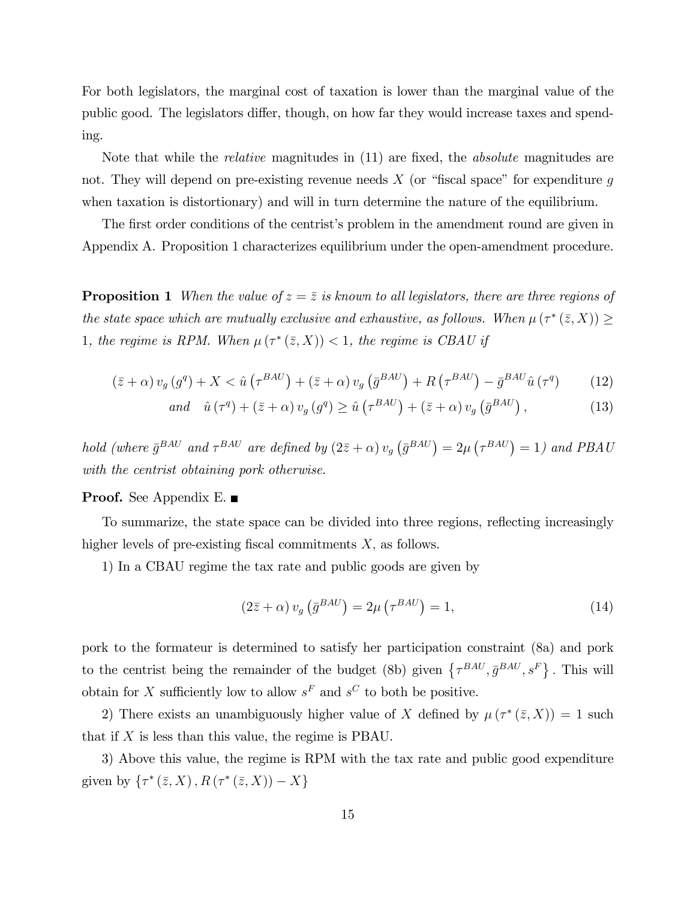For both legislators, the marginal cost of taxation is lower than the marginal value of the public good. The legislators differ, though, on how far they would increase taxes and spending.

Note that while the *relative* magnitudes in  $(11)$  are fixed, the *absolute* magnitudes are not. They will depend on pre-existing revenue needs  $X$  (or "fiscal space" for expenditure g when taxation is distortionary) and will in turn determine the nature of the equilibrium.

The first order conditions of the centrist's problem in the amendment round are given in Appendix A. Proposition 1 characterizes equilibrium under the open-amendment procedure.

**Proposition 1** When the value of  $z = \overline{z}$  is known to all legislators, there are three regions of the state space which are mutually exclusive and exhaustive, as follows. When  $\mu(\tau^*(\bar{z}, X)) \ge$ 1, the regime is RPM. When  $\mu(\tau^*(\bar{z},X)) < 1$ , the regime is CBAU if

$$
\left(\bar{z} + \alpha\right)v_g\left(g^q\right) + X < \hat{u}\left(\tau^{BAU}\right) + \left(\bar{z} + \alpha\right)v_g\left(\bar{g}^{BAU}\right) + R\left(\tau^{BAU}\right) - \bar{g}^{BAU}\hat{u}\left(\tau^q\right) \tag{12}
$$

$$
and \quad \hat{u}(\tau^q) + (\bar{z} + \alpha) v_g(g^q) \ge \hat{u}(\tau^{BAU}) + (\bar{z} + \alpha) v_g(\bar{g}^{BAU}), \tag{13}
$$

hold (where  $\bar{g}^{BAU}$  and  $\tau^{BAU}$  are defined by  $(2\bar{z} + \alpha)v_g(\bar{g}^{BAU}) = 2\mu(\tau^{BAU}) = 1$ ) and PBAU with the centrist obtaining pork otherwise.

#### **Proof.** See Appendix E.

To summarize, the state space can be divided into three regions, reflecting increasingly higher levels of pre-existing fiscal commitments  $X$ , as follows.

1) In a CBAU regime the tax rate and public goods are given by

$$
(2\bar{z} + \alpha) v_g \left(\bar{g}^{BAU}\right) = 2\mu \left(\tau^{BAU}\right) = 1,\tag{14}
$$

pork to the formateur is determined to satisfy her participation constraint (8a) and pork to the centrist being the remainder of the budget (8b) given  $\{\tau^{BAU}, \bar{g}^{BAU}, s^F\}$ . This will obtain for X sufficiently low to allow  $s^F$  and  $s^C$  to both be positive.

2) There exists an unambiguously higher value of X defined by  $\mu(\tau^*(\bar{z},X)) = 1$  such that if  $X$  is less than this value, the regime is PBAU.

3) Above this value, the regime is RPM with the tax rate and public good expenditure given by  $\{\tau^*(\bar{z},X), R(\tau^*(\bar{z},X)) - X\}$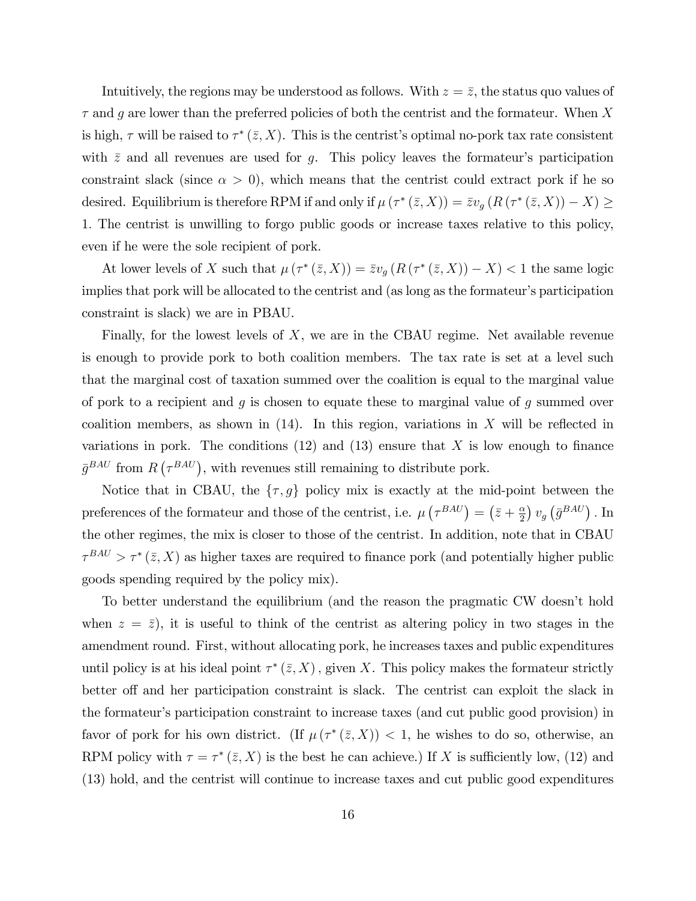Intuitively, the regions may be understood as follows. With  $z = \bar{z}$ , the status quo values of  $\tau$  and g are lower than the preferred policies of both the centrist and the formateur. When X is high,  $\tau$  will be raised to  $\tau^*(\bar{z}, X)$ . This is the centrist's optimal no-pork tax rate consistent with  $\bar{z}$  and all revenues are used for g. This policy leaves the formateur's participation constraint slack (since  $\alpha > 0$ ), which means that the centrist could extract pork if he so desired. Equilibrium is therefore RPM if and only if  $\mu(\tau^*(\bar{z},X)) = \bar{z}v_g(R(\tau^*(\bar{z},X)) - X) \ge$ 1: The centrist is unwilling to forgo public goods or increase taxes relative to this policy, even if he were the sole recipient of pork.

At lower levels of X such that  $\mu(\tau^*(\bar{z}, X)) = \bar{z}v_g(R(\tau^*(\bar{z}, X)) - X) < 1$  the same logic implies that pork will be allocated to the centrist and (as long as the formateur's participation constraint is slack) we are in PBAU.

Finally, for the lowest levels of  $X$ , we are in the CBAU regime. Net available revenue is enough to provide pork to both coalition members. The tax rate is set at a level such that the marginal cost of taxation summed over the coalition is equal to the marginal value of pork to a recipient and  $g$  is chosen to equate these to marginal value of  $g$  summed over coalition members, as shown in  $(14)$ . In this region, variations in X will be reflected in variations in pork. The conditions  $(12)$  and  $(13)$  ensure that X is low enough to finance  $\bar{g}^{BAU}$  from  $R(\tau^{BAU})$ , with revenues still remaining to distribute pork.

Notice that in CBAU, the  $\{\tau, g\}$  policy mix is exactly at the mid-point between the preferences of the formateur and those of the centrist, i.e.  $\mu\left(\tau^{BAU}\right) = \left(\bar{z} + \frac{\alpha}{2}\right)$  $\frac{\alpha}{2}$ )  $v_g \left( \bar{g}^{BAU} \right)$  . In the other regimes, the mix is closer to those of the centrist. In addition, note that in CBAU  $\tau^{BAU} > \tau^*(\bar{z}, X)$  as higher taxes are required to finance pork (and potentially higher public goods spending required by the policy mix).

To better understand the equilibrium (and the reason the pragmatic CW doesnít hold when  $z = \bar{z}$ , it is useful to think of the centrist as altering policy in two stages in the amendment round. First, without allocating pork, he increases taxes and public expenditures until policy is at his ideal point  $\tau^*(\bar{z}, X)$ , given X. This policy makes the formateur strictly better of and her participation constraint is slack. The centrist can exploit the slack in the formateur's participation constraint to increase taxes (and cut public good provision) in favor of pork for his own district. (If  $\mu(\tau^*(\bar{z},X)) < 1$ , he wishes to do so, otherwise, an RPM policy with  $\tau = \tau^*(\bar{z}, X)$  is the best he can achieve.) If X is sufficiently low, (12) and (13) hold, and the centrist will continue to increase taxes and cut public good expenditures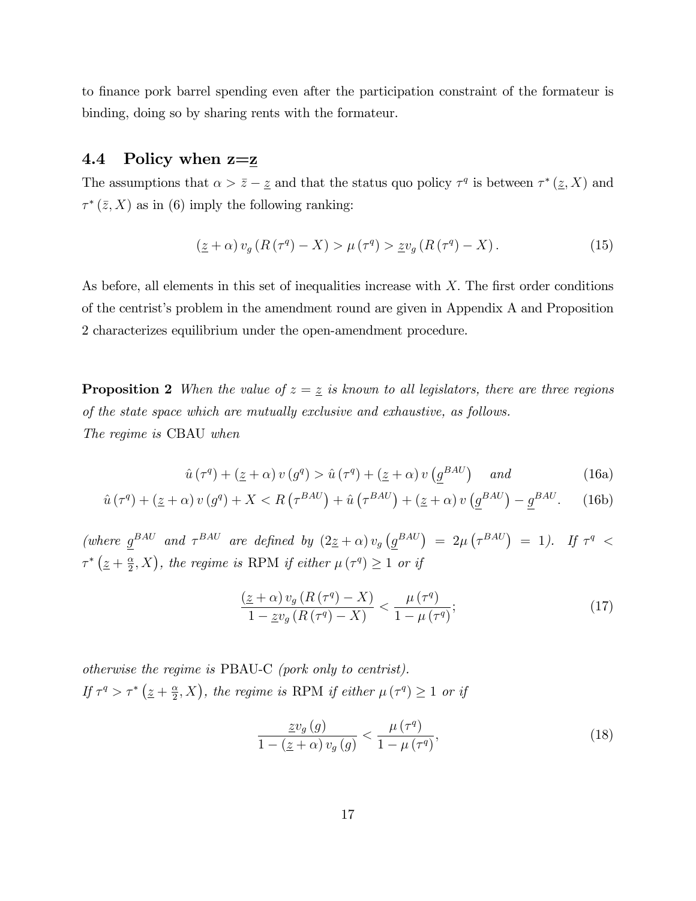to finance pork barrel spending even after the participation constraint of the formateur is binding, doing so by sharing rents with the formateur.

## 4.4 Policy when  $z=\underline{z}$

The assumptions that  $\alpha > \bar{z} - \underline{z}$  and that the status quo policy  $\tau^q$  is between  $\tau^* (\underline{z}, X)$  and  $\tau^*(\bar{z}, X)$  as in (6) imply the following ranking:

$$
\left(\underline{z}+\alpha\right)v_g\left(R\left(\tau^q\right)-X\right) > \mu\left(\tau^q\right) > \underline{z}v_g\left(R\left(\tau^q\right)-X\right). \tag{15}
$$

As before, all elements in this set of inequalities increase with  $X$ . The first order conditions of the centristís problem in the amendment round are given in Appendix A and Proposition 2 characterizes equilibrium under the open-amendment procedure.

**Proposition 2** When the value of  $z = \underline{z}$  is known to all legislators, there are three regions of the state space which are mutually exclusive and exhaustive, as follows. The regime is CBAU when

$$
\hat{u}(\tau^q) + (\underline{z} + \alpha) v(g^q) > \hat{u}(\tau^q) + (\underline{z} + \alpha) v(\underline{g}^{BAU}) \quad \text{and} \tag{16a}
$$

$$
\hat{u}(\tau^q) + (\underline{z} + \alpha) v(g^q) + X < R(\tau^{BAU}) + \hat{u}(\tau^{BAU}) + (\underline{z} + \alpha) v(\underline{g}^{BAU}) - \underline{g}^{BAU}.\tag{16b}
$$

(where  $g^{BAU}$  and  $\tau^{BAU}$  are defined by  $(2z+\alpha)v_g(g^{BAU}) = 2\mu(\tau^{BAU}) = 1$ ). If  $\tau^q$  <  $\tau^*\left(\underline{z}+\frac{\alpha}{2}\right)$  $(\frac{\alpha}{2}, X)$ , the regime is RPM if either  $\mu(\tau^q) \geq 1$  or if

$$
\frac{\left(\underline{z}+\alpha\right)v_g\left(R\left(\tau^q\right)-X\right)}{1-\underline{z}v_g\left(R\left(\tau^q\right)-X\right)} < \frac{\mu\left(\tau^q\right)}{1-\mu\left(\tau^q\right)}; \tag{17}
$$

otherwise the regime is PBAU-C (pork only to centrist). If  $\tau^q > \tau^* \left(\underline{z} + \frac{\alpha}{2}\right)$  $(\frac{\alpha}{2}, X)$ , the regime is RPM if either  $\mu(\tau^q) \geq 1$  or if

$$
\frac{\underline{z}v_g(g)}{1 - (\underline{z} + \alpha)v_g(g)} < \frac{\mu(\tau^q)}{1 - \mu(\tau^q)},\tag{18}
$$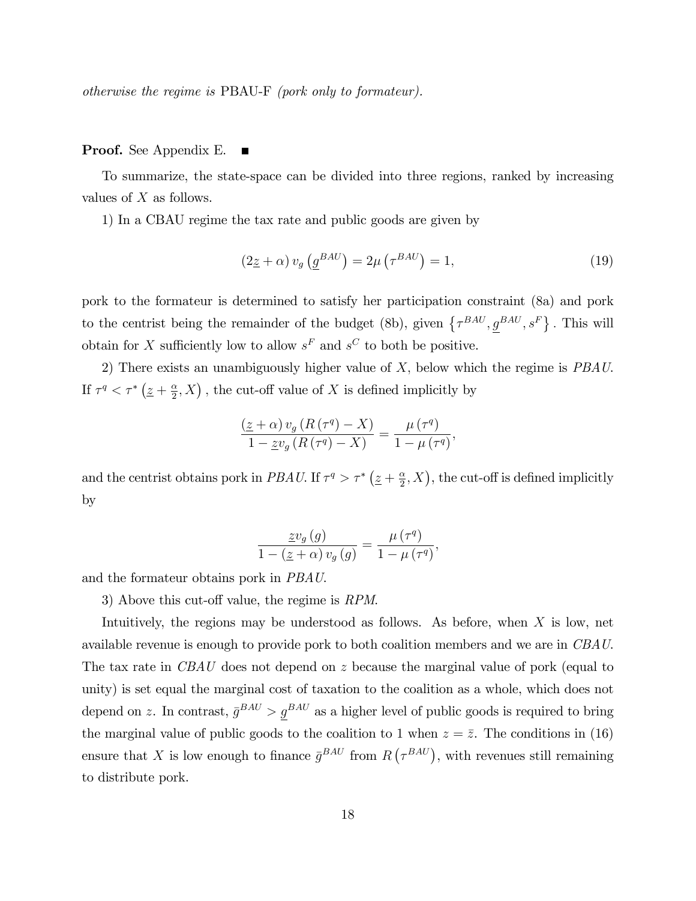otherwise the regime is PBAU-F (pork only to formateur).

#### Proof. See Appendix E.  $\blacksquare$

To summarize, the state-space can be divided into three regions, ranked by increasing values of  $X$  as follows.

1) In a CBAU regime the tax rate and public goods are given by

$$
(2\underline{z} + \alpha) v_g \left( \underline{g}^{BAU} \right) = 2\mu \left( \tau^{BAU} \right) = 1,\tag{19}
$$

pork to the formateur is determined to satisfy her participation constraint (8a) and pork to the centrist being the remainder of the budget (8b), given  $\{\tau^{BAU}, g^{BAU}, s^F\}$ . This will obtain for X sufficiently low to allow  $s^F$  and  $s^C$  to both be positive.

2) There exists an unambiguously higher value of  $X$ , below which the regime is  $PBAU$ . If  $\tau^q < \tau^* \left(\underline{z} + \frac{\alpha}{2}\right)$  $(\frac{\alpha}{2}, X)$ , the cut-off value of X is defined implicitly by

$$
\frac{(\underline{z}+\alpha) v_g (R(\tau^q) - X)}{1 - \underline{z}v_g (R(\tau^q) - X)} = \frac{\mu(\tau^q)}{1 - \mu(\tau^q)},
$$

and the centrist obtains pork in PBAU. If  $\tau^q > \tau^* \left(\frac{z}{r} + \frac{\alpha}{2}\right)$  $(\frac{\alpha}{2}, X)$ , the cut-off is defined implicitly by

$$
\frac{\underline{z}v_g(g)}{1 - (\underline{z} + \alpha)v_g(g)} = \frac{\mu(\tau^q)}{1 - \mu(\tau^q)},
$$

and the formateur obtains pork in PBAU.

3) Above this cut-off value, the regime is  $RPM$ .

Intuitively, the regions may be understood as follows. As before, when X is low, net available revenue is enough to provide pork to both coalition members and we are in CBAU. The tax rate in CBAU does not depend on z because the marginal value of pork (equal to unity) is set equal the marginal cost of taxation to the coalition as a whole, which does not depend on z. In contrast,  $\bar{g}^{BAU} > g^{BAU}$  as a higher level of public goods is required to bring the marginal value of public goods to the coalition to 1 when  $z = \overline{z}$ . The conditions in (16) ensure that X is low enough to finance  $\bar{g}^{BAU}$  from  $R(\tau^{BAU})$ , with revenues still remaining to distribute pork.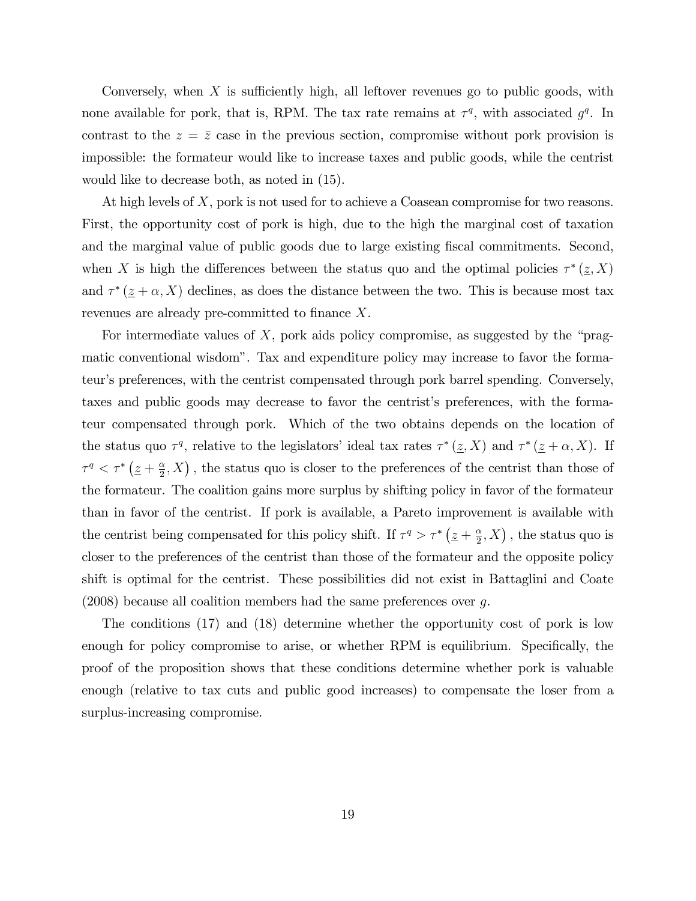Conversely, when X is sufficiently high, all leftover revenues go to public goods, with none available for pork, that is, RPM. The tax rate remains at  $\tau^q$ , with associated  $g^q$ . In contrast to the  $z = \overline{z}$  case in the previous section, compromise without pork provision is impossible: the formateur would like to increase taxes and public goods, while the centrist would like to decrease both, as noted in (15).

At high levels of X, pork is not used for to achieve a Coasean compromise for two reasons. First, the opportunity cost of pork is high, due to the high the marginal cost of taxation and the marginal value of public goods due to large existing fiscal commitments. Second, when X is high the differences between the status quo and the optimal policies  $\tau^*(\underline{z}, X)$ and  $\tau^*(\underline{z} + \alpha, X)$  declines, as does the distance between the two. This is because most tax revenues are already pre-committed to finance  $X$ .

For intermediate values of X, pork aids policy compromise, as suggested by the "pragmatic conventional wisdomî. Tax and expenditure policy may increase to favor the formateurís preferences, with the centrist compensated through pork barrel spending. Conversely, taxes and public goods may decrease to favor the centrist's preferences, with the formateur compensated through pork. Which of the two obtains depends on the location of the status quo  $\tau^q$ , relative to the legislators' ideal tax rates  $\tau^* (\underline{z}, X)$  and  $\tau^* (\underline{z} + \alpha, X)$ . If  $\tau^q < \tau^* \left(\underline{z} + \frac{\alpha}{2}\right)$  $(\frac{\alpha}{2}, X)$ , the status quo is closer to the preferences of the centrist than those of the formateur. The coalition gains more surplus by shifting policy in favor of the formateur than in favor of the centrist. If pork is available, a Pareto improvement is available with the centrist being compensated for this policy shift. If  $\tau^q > \tau^* \left( \underline{z} + \frac{\alpha}{2} \right)$  $(\frac{\alpha}{2}, X)$ , the status quo is closer to the preferences of the centrist than those of the formateur and the opposite policy shift is optimal for the centrist. These possibilities did not exist in Battaglini and Coate  $(2008)$  because all coalition members had the same preferences over g.

The conditions (17) and (18) determine whether the opportunity cost of pork is low enough for policy compromise to arise, or whether RPM is equilibrium. Specifically, the proof of the proposition shows that these conditions determine whether pork is valuable enough (relative to tax cuts and public good increases) to compensate the loser from a surplus-increasing compromise.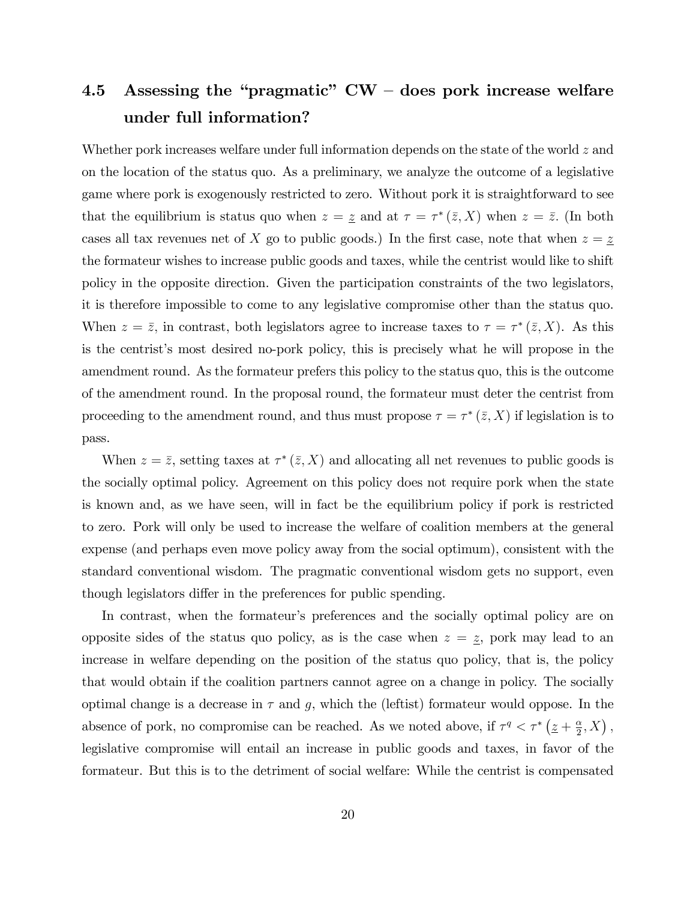# 4.5 Assessing the "pragmatic"  $CW -$  does pork increase welfare under full information?

Whether pork increases welfare under full information depends on the state of the world z and on the location of the status quo. As a preliminary, we analyze the outcome of a legislative game where pork is exogenously restricted to zero. Without pork it is straightforward to see that the equilibrium is status quo when  $z = \underline{z}$  and at  $\tau = \tau^* (\overline{z}, X)$  when  $z = \overline{z}$ . (In both cases all tax revenues net of X go to public goods.) In the first case, note that when  $z = \underline{z}$ the formateur wishes to increase public goods and taxes, while the centrist would like to shift policy in the opposite direction. Given the participation constraints of the two legislators, it is therefore impossible to come to any legislative compromise other than the status quo. When  $z = \overline{z}$ , in contrast, both legislators agree to increase taxes to  $\tau = \tau^* (\overline{z}, X)$ . As this is the centrist's most desired no-pork policy, this is precisely what he will propose in the amendment round. As the formateur prefers this policy to the status quo, this is the outcome of the amendment round. In the proposal round, the formateur must deter the centrist from proceeding to the amendment round, and thus must propose  $\tau = \tau^* (\bar{z}, X)$  if legislation is to pass.

When  $z = \overline{z}$ , setting taxes at  $\tau^* (\overline{z}, X)$  and allocating all net revenues to public goods is the socially optimal policy. Agreement on this policy does not require pork when the state is known and, as we have seen, will in fact be the equilibrium policy if pork is restricted to zero. Pork will only be used to increase the welfare of coalition members at the general expense (and perhaps even move policy away from the social optimum), consistent with the standard conventional wisdom. The pragmatic conventional wisdom gets no support, even though legislators differ in the preferences for public spending.

In contrast, when the formateurís preferences and the socially optimal policy are on opposite sides of the status quo policy, as is the case when  $z = \underline{z}$ , pork may lead to an increase in welfare depending on the position of the status quo policy, that is, the policy that would obtain if the coalition partners cannot agree on a change in policy. The socially optimal change is a decrease in  $\tau$  and g, which the (leftist) formateur would oppose. In the absence of pork, no compromise can be reached. As we noted above, if  $\tau^q < \tau^*$  ( $\underline{z} + \frac{\alpha}{2}$ )  $\frac{\alpha}{2}, X$ , legislative compromise will entail an increase in public goods and taxes, in favor of the formateur. But this is to the detriment of social welfare: While the centrist is compensated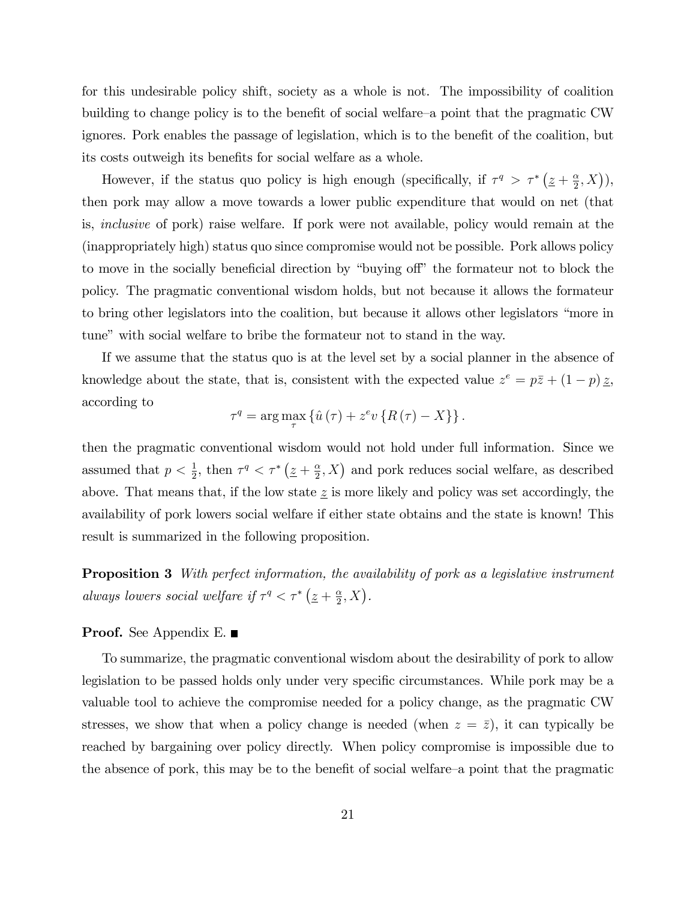for this undesirable policy shift, society as a whole is not. The impossibility of coalition building to change policy is to the benefit of social welfare–a point that the pragmatic CW ignores. Pork enables the passage of legislation, which is to the benefit of the coalition, but its costs outweigh its benefits for social welfare as a whole.

However, if the status quo policy is high enough (specifically, if  $\tau^q > \tau^* (\underline{z} + \frac{\alpha}{2})$  $\frac{\alpha}{2}, X$ ), then pork may allow a move towards a lower public expenditure that would on net (that is, inclusive of pork) raise welfare. If pork were not available, policy would remain at the (inappropriately high) status quo since compromise would not be possible. Pork allows policy to move in the socially beneficial direction by "buying off" the formateur not to block the policy. The pragmatic conventional wisdom holds, but not because it allows the formateur to bring other legislators into the coalition, but because it allows other legislators "more in tune" with social welfare to bribe the formateur not to stand in the way.

If we assume that the status quo is at the level set by a social planner in the absence of knowledge about the state, that is, consistent with the expected value  $z^e = p\overline{z} + (1-p)\overline{z}$ , according to

$$
\tau^{q} = \arg\max_{\tau} \left\{ \hat{u}(\tau) + z^{e} v \left\{ R(\tau) - X \right\} \right\}.
$$

then the pragmatic conventional wisdom would not hold under full information. Since we assumed that  $p < \frac{1}{2}$ , then  $\tau^q < \tau^*$  ( $\underline{z} + \frac{\alpha}{2}$  $(\frac{\alpha}{2}, X)$  and pork reduces social welfare, as described above. That means that, if the low state  $\underline{z}$  is more likely and policy was set accordingly, the availability of pork lowers social welfare if either state obtains and the state is known! This result is summarized in the following proposition.

Proposition 3 With perfect information, the availability of pork as a legislative instrument always lowers social welfare if  $\tau^q < \tau^*$   $(\underline{z} + \frac{\alpha}{2})$  $\frac{\alpha}{2}, X$ ).

#### Proof. See Appendix E. ■

To summarize, the pragmatic conventional wisdom about the desirability of pork to allow legislation to be passed holds only under very specific circumstances. While pork may be a valuable tool to achieve the compromise needed for a policy change, as the pragmatic CW stresses, we show that when a policy change is needed (when  $z = \bar{z}$ ), it can typically be reached by bargaining over policy directly. When policy compromise is impossible due to the absence of pork, this may be to the benefit of social welfare–a point that the pragmatic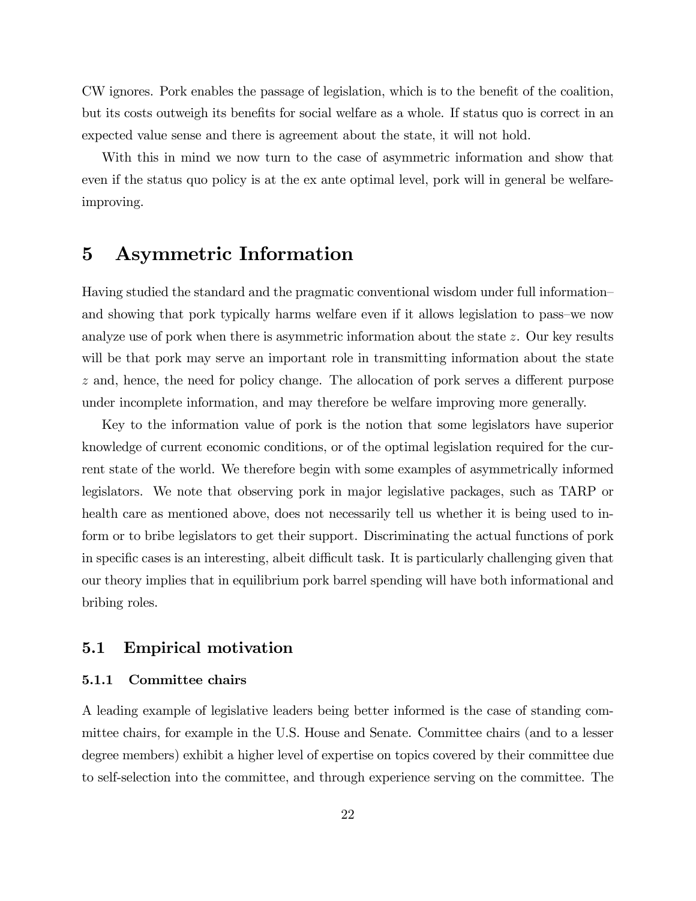CW ignores. Pork enables the passage of legislation, which is to the benefit of the coalition, but its costs outweigh its benefits for social welfare as a whole. If status quo is correct in an expected value sense and there is agreement about the state, it will not hold.

With this in mind we now turn to the case of asymmetric information and show that even if the status quo policy is at the ex ante optimal level, pork will in general be welfareimproving.

# 5 Asymmetric Information

Having studied the standard and the pragmatic conventional wisdom under full information and showing that pork typically harms welfare even if it allows legislation to pass–we now analyze use of pork when there is asymmetric information about the state  $z$ . Our key results will be that pork may serve an important role in transmitting information about the state  $z$  and, hence, the need for policy change. The allocation of pork serves a different purpose under incomplete information, and may therefore be welfare improving more generally.

Key to the information value of pork is the notion that some legislators have superior knowledge of current economic conditions, or of the optimal legislation required for the current state of the world. We therefore begin with some examples of asymmetrically informed legislators. We note that observing pork in major legislative packages, such as TARP or health care as mentioned above, does not necessarily tell us whether it is being used to inform or to bribe legislators to get their support. Discriminating the actual functions of pork in specific cases is an interesting, albeit difficult task. It is particularly challenging given that our theory implies that in equilibrium pork barrel spending will have both informational and bribing roles.

### 5.1 Empirical motivation

#### 5.1.1 Committee chairs

A leading example of legislative leaders being better informed is the case of standing committee chairs, for example in the U.S. House and Senate. Committee chairs (and to a lesser degree members) exhibit a higher level of expertise on topics covered by their committee due to self-selection into the committee, and through experience serving on the committee. The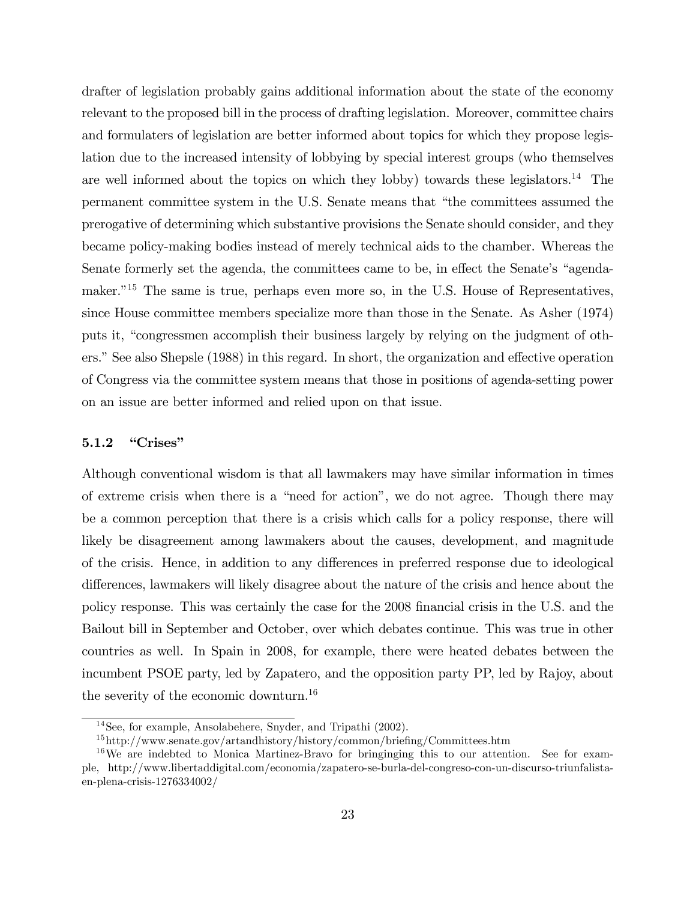drafter of legislation probably gains additional information about the state of the economy relevant to the proposed bill in the process of drafting legislation. Moreover, committee chairs and formulaters of legislation are better informed about topics for which they propose legislation due to the increased intensity of lobbying by special interest groups (who themselves are well informed about the topics on which they lobby) towards these legislators.<sup>14</sup> The permanent committee system in the U.S. Senate means that "the committees assumed the prerogative of determining which substantive provisions the Senate should consider, and they became policy-making bodies instead of merely technical aids to the chamber. Whereas the Senate formerly set the agenda, the committees came to be, in effect the Senate's "agendamaker.<sup> $15$ </sup> The same is true, perhaps even more so, in the U.S. House of Representatives, since House committee members specialize more than those in the Senate. As Asher (1974) puts it, "congressmen accomplish their business largely by relying on the judgment of others." See also Shepsle (1988) in this regard. In short, the organization and effective operation of Congress via the committee system means that those in positions of agenda-setting power on an issue are better informed and relied upon on that issue.

#### $5.1.2$  "Crises"

Although conventional wisdom is that all lawmakers may have similar information in times of extreme crisis when there is a "need for action", we do not agree. Though there may be a common perception that there is a crisis which calls for a policy response, there will likely be disagreement among lawmakers about the causes, development, and magnitude of the crisis. Hence, in addition to any differences in preferred response due to ideological differences, lawmakers will likely disagree about the nature of the crisis and hence about the policy response. This was certainly the case for the 2008 Önancial crisis in the U.S. and the Bailout bill in September and October, over which debates continue. This was true in other countries as well. In Spain in 2008, for example, there were heated debates between the incumbent PSOE party, led by Zapatero, and the opposition party PP, led by Rajoy, about the severity of the economic downturn.<sup>16</sup>

<sup>14</sup>See, for example, Ansolabehere, Snyder, and Tripathi (2002).

 $15$ http://www.senate.gov/artandhistory/history/common/briefing/Committees.htm

<sup>&</sup>lt;sup>16</sup>We are indebted to Monica Martinez-Bravo for bringinging this to our attention. See for example, http://www.libertaddigital.com/economia/zapatero-se-burla-del-congreso-con-un-discurso-triunfalistaen-plena-crisis-1276334002/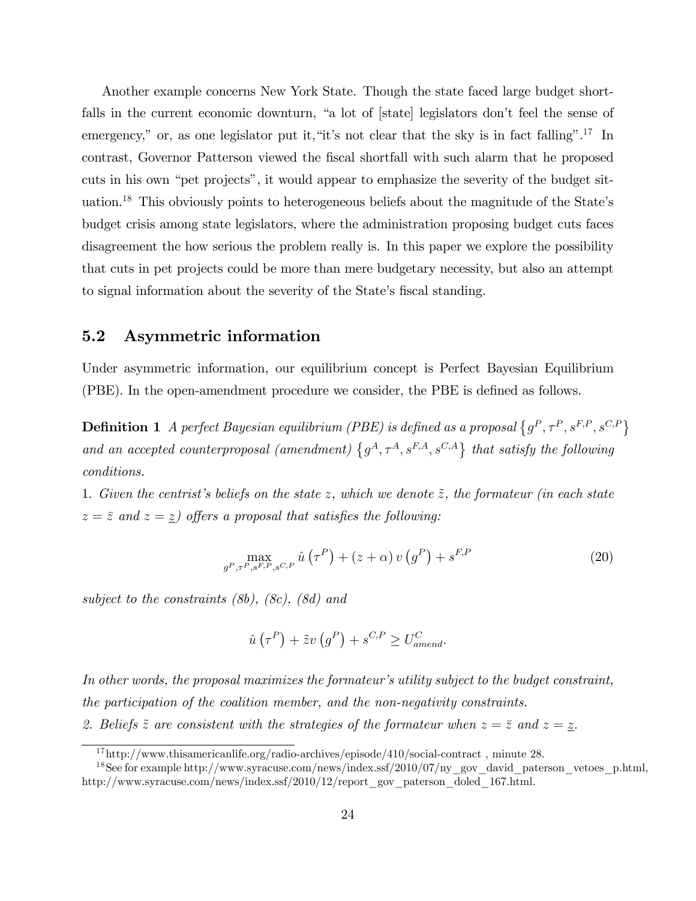Another example concerns New York State. Though the state faced large budget shortfalls in the current economic downturn, "a lot of [state] legislators don't feel the sense of emergency," or, as one legislator put it, "it's not clear that the sky is in fact falling".<sup>17</sup> In contrast, Governor Patterson viewed the Öscal shortfall with such alarm that he proposed cuts in his own "pet projects", it would appear to emphasize the severity of the budget situation.<sup>18</sup> This obviously points to heterogeneous beliefs about the magnitude of the State's budget crisis among state legislators, where the administration proposing budget cuts faces disagreement the how serious the problem really is. In this paper we explore the possibility that cuts in pet projects could be more than mere budgetary necessity, but also an attempt to signal information about the severity of the State's fiscal standing.

## 5.2 Asymmetric information

Under asymmetric information, our equilibrium concept is Perfect Bayesian Equilibrium (PBE). In the open-amendment procedure we consider, the PBE is defined as follows.

**Definition 1** A perfect Bayesian equilibrium (PBE) is defined as a proposal  $\{g^P, \tau^P, s^{F,P}, s^{C,P}\}$ and an accepted counterproposal (amendment)  $\{g^A, \tau^A, s^{F,A}, s^{C,A}\}\$  that satisfy the following conditions.

1. Given the centrist's beliefs on the state z, which we denote  $\tilde{z}$ , the formateur (in each state  $z = \overline{z}$  and  $z = \underline{z}$ ) offers a proposal that satisfies the following:

$$
\max_{g^P, \tau^P, s^F, P, s^C, P} \hat{u}(\tau^P) + (z + \alpha) v(g^P) + s^{F, P}
$$
\n(20)

subject to the constraints (8b), (8c), (8d) and

$$
\hat{u}(\tau^P) + \tilde{z}v(g^P) + s^{C,P} \ge U_{amend}^C.
$$

In other words, the proposal maximizes the formateur's utility subject to the budget constraint, the participation of the coalition member, and the non-negativity constraints. 2. Beliefs  $\tilde{z}$  are consistent with the strategies of the formateur when  $z = \bar{z}$  and  $z = \underline{z}$ .

 $17$ http://www.thisamericanlife.org/radio-archives/episode/410/social-contract, minute 28.

<sup>&</sup>lt;sup>18</sup>See for example http://www.syracuse.com/news/index.ssf/2010/07/ny\_gov\_david\_paterson\_vetoes\_p.html, http://www.syracuse.com/news/index.ssf/2010/12/report\_gov\_paterson\_doled\_167.html.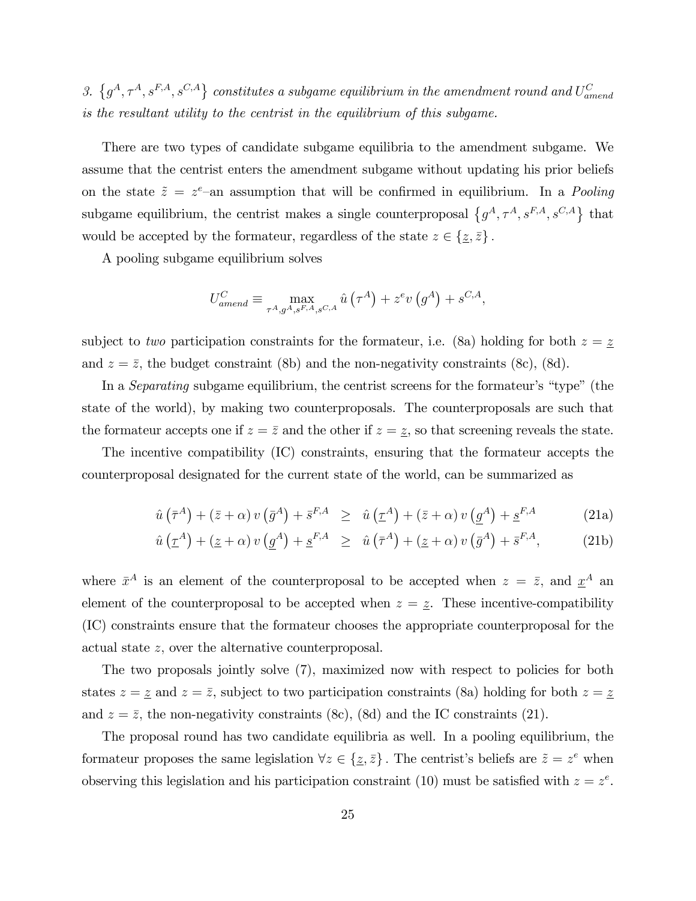3.  $\{g^A, \tau^A, s^{F,A}, s^{C,A}\}\$ constitutes a subgame equilibrium in the amendment round and  $U_{amend}^C$ is the resultant utility to the centrist in the equilibrium of this subgame.

There are two types of candidate subgame equilibria to the amendment subgame. We assume that the centrist enters the amendment subgame without updating his prior beliefs on the state  $\tilde{z} = z^e$ -an assumption that will be confirmed in equilibrium. In a *Pooling* subgame equilibrium, the centrist makes a single counterproposal  $\{g^A, \tau^A, s^{F,A}, s^{C,A}\}\$  that would be accepted by the formateur, regardless of the state  $z \in \{z, \bar{z}\}\.$ 

A pooling subgame equilibrium solves

$$
U_{amend}^C \equiv \max_{\tau^A, g^A, s^F, A, s^C, A} \hat{u}(\tau^A) + z^e v(g^A) + s^{C, A},
$$

subject to two participation constraints for the formateur, i.e. (8a) holding for both  $z = \underline{z}$ and  $z = \overline{z}$ , the budget constraint (8b) and the non-negativity constraints (8c), (8d).

In a *Separating* subgame equilibrium, the centrist screens for the formateur's "type" (the state of the world), by making two counterproposals. The counterproposals are such that the formateur accepts one if  $z = \overline{z}$  and the other if  $z = \underline{z}$ , so that screening reveals the state.

The incentive compatibility (IC) constraints, ensuring that the formateur accepts the counterproposal designated for the current state of the world, can be summarized as

$$
\hat{u}(\bar{\tau}^A) + (\bar{z} + \alpha) v(\bar{g}^A) + \bar{s}^{F,A} \geq \hat{u}(\underline{\tau}^A) + (\bar{z} + \alpha) v(\underline{g}^A) + \underline{s}^{F,A}
$$
(21a)

$$
\hat{u}\left(\underline{\tau}^A\right) + \left(\underline{z} + \alpha\right)v\left(\underline{g}^A\right) + \underline{s}^{F,A} \geq \hat{u}\left(\bar{\tau}^A\right) + \left(\underline{z} + \alpha\right)v\left(\bar{g}^A\right) + \bar{s}^{F,A},\tag{21b}
$$

where  $\bar{x}^A$  is an element of the counterproposal to be accepted when  $z = \bar{z}$ , and  $\underline{x}^A$  and element of the counterproposal to be accepted when  $z = \underline{z}$ . These incentive-compatibility (IC) constraints ensure that the formateur chooses the appropriate counterproposal for the actual state z; over the alternative counterproposal.

The two proposals jointly solve (7), maximized now with respect to policies for both states  $z = \underline{z}$  and  $z = \overline{z}$ , subject to two participation constraints (8a) holding for both  $z = \underline{z}$ and  $z = \bar{z}$ , the non-negativity constraints (8c), (8d) and the IC constraints (21).

The proposal round has two candidate equilibria as well. In a pooling equilibrium, the formateur proposes the same legislation  $\forall z \in \{\underline{z}, \overline{z}\}\.$  The centrist's beliefs are  $\tilde{z} = z^e$  when observing this legislation and his participation constraint (10) must be satisfied with  $z = z<sup>e</sup>$ .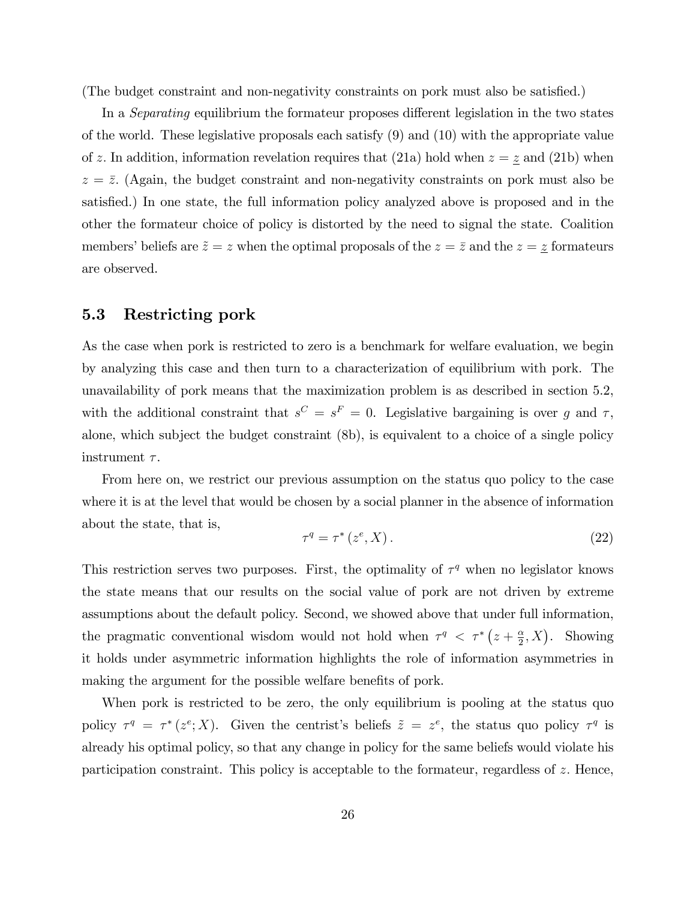(The budget constraint and non-negativity constraints on pork must also be satisfied.)

In a *Separating* equilibrium the formateur proposes different legislation in the two states of the world. These legislative proposals each satisfy (9) and (10) with the appropriate value of z. In addition, information revelation requires that (21a) hold when  $z = \underline{z}$  and (21b) when  $z = \overline{z}$ . (Again, the budget constraint and non-negativity constraints on pork must also be satisfied.) In one state, the full information policy analyzed above is proposed and in the other the formateur choice of policy is distorted by the need to signal the state. Coalition members' beliefs are  $\tilde{z} = z$  when the optimal proposals of the  $z = \bar{z}$  and the  $z = \underline{z}$  formateurs are observed.

#### 5.3 Restricting pork

As the case when pork is restricted to zero is a benchmark for welfare evaluation, we begin by analyzing this case and then turn to a characterization of equilibrium with pork. The unavailability of pork means that the maximization problem is as described in section 5.2, with the additional constraint that  $s^C = s^F = 0$ . Legislative bargaining is over g and  $\tau$ , alone, which subject the budget constraint (8b), is equivalent to a choice of a single policy instrument  $\tau$ .

From here on, we restrict our previous assumption on the status quo policy to the case where it is at the level that would be chosen by a social planner in the absence of information about the state, that is,

$$
\tau^q = \tau^* \left( z^e, X \right). \tag{22}
$$

This restriction serves two purposes. First, the optimality of  $\tau^q$  when no legislator knows the state means that our results on the social value of pork are not driven by extreme assumptions about the default policy. Second, we showed above that under full information, the pragmatic conventional wisdom would not hold when  $\tau^q < \tau^* (z + \frac{\alpha}{2})$  $(\frac{\alpha}{2}, X)$ . Showing it holds under asymmetric information highlights the role of information asymmetries in making the argument for the possible welfare benefits of pork.

When pork is restricted to be zero, the only equilibrium is pooling at the status quo policy  $\tau^q = \tau^*(z^e; X)$ . Given the centrist's beliefs  $\tilde{z} = z^e$ , the status quo policy  $\tau^q$  is already his optimal policy, so that any change in policy for the same beliefs would violate his participation constraint. This policy is acceptable to the formateur, regardless of  $z$ . Hence,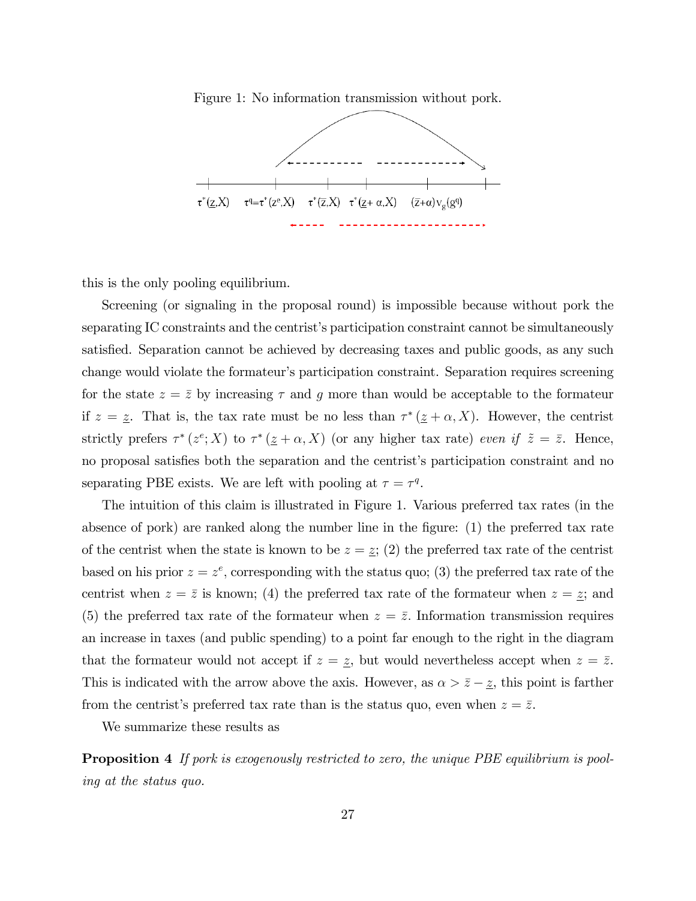Figure 1: No information transmission without pork.



this is the only pooling equilibrium.

Screening (or signaling in the proposal round) is impossible because without pork the separating IC constraints and the centrist's participation constraint cannot be simultaneously satisfied. Separation cannot be achieved by decreasing taxes and public goods, as any such change would violate the formateurís participation constraint. Separation requires screening for the state  $z = \overline{z}$  by increasing  $\tau$  and g more than would be acceptable to the formateur if  $z = \underline{z}$ . That is, the tax rate must be no less than  $\tau^* (\underline{z} + \alpha, X)$ . However, the centrist strictly prefers  $\tau^*(z^e; X)$  to  $\tau^*(\underline{z} + \alpha, X)$  (or any higher tax rate) even if  $\tilde{z} = \overline{z}$ . Hence, no proposal satisfies both the separation and the centrist's participation constraint and no separating PBE exists. We are left with pooling at  $\tau = \tau^q$ .

The intuition of this claim is illustrated in Figure 1. Various preferred tax rates (in the absence of pork) are ranked along the number line in the figure: (1) the preferred tax rate of the centrist when the state is known to be  $z = \underline{z}$ ; (2) the preferred tax rate of the centrist based on his prior  $z = z^e$ , corresponding with the status quo; (3) the preferred tax rate of the centrist when  $z = \overline{z}$  is known; (4) the preferred tax rate of the formateur when  $z = \overline{z}$ ; and (5) the preferred tax rate of the formateur when  $z = \bar{z}$ . Information transmission requires an increase in taxes (and public spending) to a point far enough to the right in the diagram that the formateur would not accept if  $z = \underline{z}$ , but would nevertheless accept when  $z = \overline{z}$ . This is indicated with the arrow above the axis. However, as  $\alpha > \bar{z} - \underline{z}$ , this point is farther from the centrist's preferred tax rate than is the status quo, even when  $z = \overline{z}$ .

We summarize these results as

Proposition 4 If pork is exogenously restricted to zero, the unique PBE equilibrium is pooling at the status quo.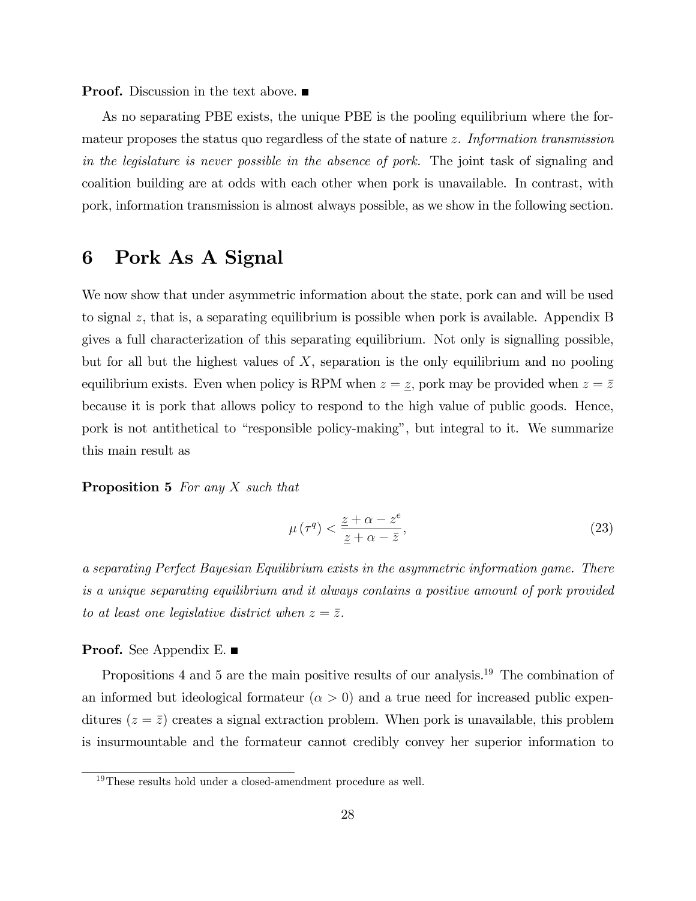**Proof.** Discussion in the text above.  $\blacksquare$ 

As no separating PBE exists, the unique PBE is the pooling equilibrium where the formateur proposes the status quo regardless of the state of nature z. Information transmission in the legislature is never possible in the absence of pork. The joint task of signaling and coalition building are at odds with each other when pork is unavailable. In contrast, with pork, information transmission is almost always possible, as we show in the following section.

# 6 Pork As A Signal

We now show that under asymmetric information about the state, pork can and will be used to signal z, that is, a separating equilibrium is possible when pork is available. Appendix B gives a full characterization of this separating equilibrium. Not only is signalling possible, but for all but the highest values of  $X$ , separation is the only equilibrium and no pooling equilibrium exists. Even when policy is RPM when  $z = \underline{z}$ , pork may be provided when  $z = \overline{z}$ because it is pork that allows policy to respond to the high value of public goods. Hence, pork is not antithetical to "responsible policy-making", but integral to it. We summarize this main result as

#### Proposition 5 For any X such that

$$
\mu\left(\tau^{q}\right) < \frac{\underline{z} + \alpha - z^{e}}{\underline{z} + \alpha - \bar{z}},\tag{23}
$$

a separating Perfect Bayesian Equilibrium exists in the asymmetric information game. There is a unique separating equilibrium and it always contains a positive amount of pork provided to at least one legislative district when  $z = \overline{z}$ .

#### Proof. See Appendix E. ■

Propositions 4 and 5 are the main positive results of our analysis.<sup>19</sup> The combination of an informed but ideological formateur  $(\alpha > 0)$  and a true need for increased public expenditures  $(z = \overline{z})$  creates a signal extraction problem. When pork is unavailable, this problem is insurmountable and the formateur cannot credibly convey her superior information to

<sup>19</sup>These results hold under a closed-amendment procedure as well.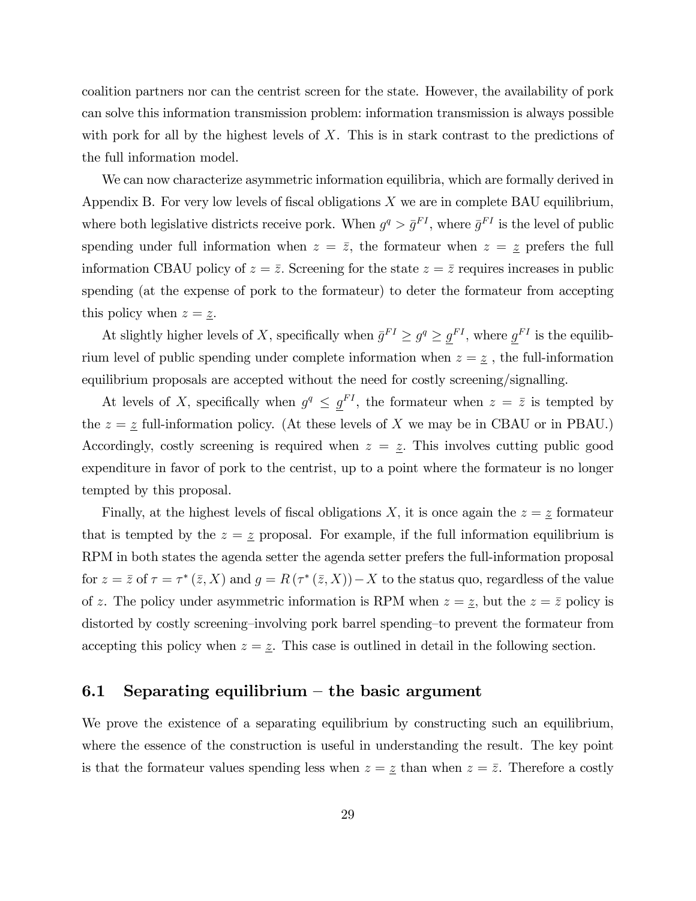coalition partners nor can the centrist screen for the state. However, the availability of pork can solve this information transmission problem: information transmission is always possible with pork for all by the highest levels of  $X$ . This is in stark contrast to the predictions of the full information model.

We can now characterize asymmetric information equilibria, which are formally derived in Appendix B. For very low levels of fiscal obligations  $X$  we are in complete BAU equilibrium, where both legislative districts receive pork. When  $g^q > \bar{g}^{FI}$ , where  $\bar{g}^{FI}$  is the level of public spending under full information when  $z = \overline{z}$ , the formateur when  $z = \underline{z}$  prefers the full information CBAU policy of  $z = \overline{z}$ . Screening for the state  $z = \overline{z}$  requires increases in public spending (at the expense of pork to the formateur) to deter the formateur from accepting this policy when  $z = \underline{z}$ .

At slightly higher levels of X, specifically when  $\bar{g}^{FI} \geq g^q \geq \underline{g}^{FI}$ , where  $\underline{g}^{FI}$  is the equilibrium level of public spending under complete information when  $z=\underline{z}$ , the full-information equilibrium proposals are accepted without the need for costly screening/signalling.

At levels of X, specifically when  $g^q \leq \underline{g}^{FI}$ , the formateur when  $z = \overline{z}$  is tempted by the  $z = \underline{z}$  full-information policy. (At these levels of X we may be in CBAU or in PBAU.) Accordingly, costly screening is required when  $z = \underline{z}$ . This involves cutting public good expenditure in favor of pork to the centrist, up to a point where the formateur is no longer tempted by this proposal.

Finally, at the highest levels of fiscal obligations X, it is once again the  $z = z$  formateur that is tempted by the  $z = \underline{z}$  proposal. For example, if the full information equilibrium is RPM in both states the agenda setter the agenda setter prefers the full-information proposal for  $z = \bar{z}$  of  $\tau = \tau^* (\bar{z}, X)$  and  $g = R(\tau^* (\bar{z}, X)) - X$  to the status quo, regardless of the value of z. The policy under asymmetric information is RPM when  $z = \underline{z}$ , but the  $z = \overline{z}$  policy is distorted by costly screening—involving pork barrel spending—to prevent the formateur from accepting this policy when  $z = \underline{z}$ . This case is outlined in detail in the following section.

#### 6.1 Separating equilibrium – the basic argument

We prove the existence of a separating equilibrium by constructing such an equilibrium, where the essence of the construction is useful in understanding the result. The key point is that the formateur values spending less when  $z = \overline{z}$  than when  $z = \overline{z}$ . Therefore a costly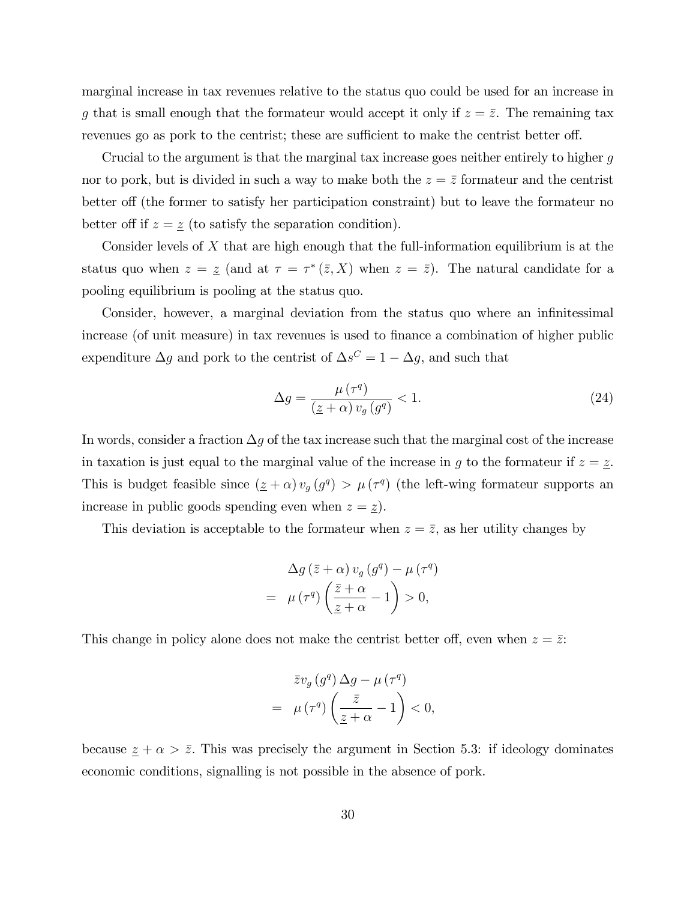marginal increase in tax revenues relative to the status quo could be used for an increase in g that is small enough that the formateur would accept it only if  $z = \overline{z}$ . The remaining tax revenues go as pork to the centrist; these are sufficient to make the centrist better off.

Crucial to the argument is that the marginal tax increase goes neither entirely to higher g nor to pork, but is divided in such a way to make both the  $z = \overline{z}$  formateur and the centrist better of (the former to satisfy her participation constraint) but to leave the formateur no better off if  $z = \underline{z}$  (to satisfy the separation condition).

Consider levels of  $X$  that are high enough that the full-information equilibrium is at the status quo when  $z = \underline{z}$  (and at  $\tau = \tau^*(\overline{z}, X)$  when  $z = \overline{z}$ ). The natural candidate for a pooling equilibrium is pooling at the status quo.

Consider, however, a marginal deviation from the status quo where an infinitessimal increase (of unit measure) in tax revenues is used to finance a combination of higher public expenditure  $\Delta g$  and pork to the centrist of  $\Delta s^C = 1 - \Delta g$ , and such that

$$
\Delta g = \frac{\mu\left(\tau^q\right)}{\left(\underline{z} + \alpha\right)v_g\left(g^q\right)} < 1. \tag{24}
$$

In words, consider a fraction  $\Delta g$  of the tax increase such that the marginal cost of the increase in taxation is just equal to the marginal value of the increase in g to the formateur if  $z = \underline{z}$ . This is budget feasible since  $(z + \alpha) v_g(g^q) > \mu(\tau^q)$  (the left-wing formateur supports an increase in public goods spending even when  $z = \underline{z}$ ).

This deviation is acceptable to the formateur when  $z = \overline{z}$ , as her utility changes by

$$
\Delta g\left(\bar{z}+\alpha\right)v_g\left(g^q\right)-\mu\left(\tau^q\right)
$$

$$
=\mu\left(\tau^q\right)\left(\frac{\bar{z}+\alpha}{\underline{z}+\alpha}-1\right)>0,
$$

This change in policy alone does not make the centrist better off, even when  $z = \overline{z}$ .

$$
\bar{z}v_g\left(g^q\right)\Delta g - \mu\left(\tau^q\right)
$$

$$
= \mu\left(\tau^q\right)\left(\frac{\bar{z}}{\underline{z}+\alpha} - 1\right) < 0,
$$

because  $\underline{z} + \alpha > \overline{z}$ . This was precisely the argument in Section 5.3: if ideology dominates economic conditions, signalling is not possible in the absence of pork.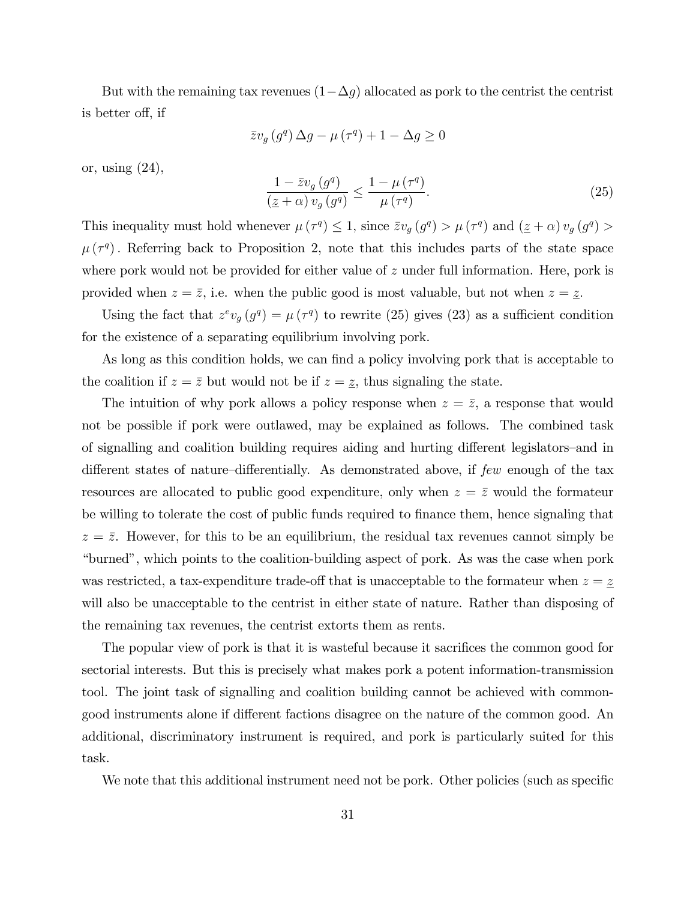But with the remaining tax revenues  $(1-\Delta g)$  allocated as pork to the centrist the centrist is better off, if

$$
\bar{z}v_g\left(g^q\right)\Delta g - \mu\left(\tau^q\right) + 1 - \Delta g \ge 0
$$

or, using (24),

$$
\frac{1 - \bar{z}v_g\left(g^q\right)}{\left(\underline{z} + \alpha\right)v_g\left(g^q\right)} \le \frac{1 - \mu\left(\tau^q\right)}{\mu\left(\tau^q\right)}.\tag{25}
$$

This inequality must hold whenever  $\mu(\tau^q) \leq 1$ , since  $\bar{z}v_g(g^q) > \mu(\tau^q)$  and  $(\underline{z} + \alpha)v_g(g^q) >$  $\mu(\tau^q)$ . Referring back to Proposition 2, note that this includes parts of the state space where pork would not be provided for either value of z under full information. Here, pork is provided when  $z = \overline{z}$ , i.e. when the public good is most valuable, but not when  $z = \underline{z}$ .

Using the fact that  $z^ev_g(g^q) = \mu(\tau^q)$  to rewrite (25) gives (23) as a sufficient condition for the existence of a separating equilibrium involving pork.

As long as this condition holds, we can find a policy involving pork that is acceptable to the coalition if  $z = \overline{z}$  but would not be if  $z = \underline{z}$ , thus signaling the state.

The intuition of why pork allows a policy response when  $z = \overline{z}$ , a response that would not be possible if pork were outlawed, may be explained as follows. The combined task of signalling and coalition building requires aiding and hurting different legislators–and in different states of nature–differentially. As demonstrated above, if  $few$  enough of the tax resources are allocated to public good expenditure, only when  $z = \bar{z}$  would the formateur be willing to tolerate the cost of public funds required to finance them, hence signaling that  $z = \overline{z}$ . However, for this to be an equilibrium, the residual tax revenues cannot simply be ìburnedî, which points to the coalition-building aspect of pork. As was the case when pork was restricted, a tax-expenditure trade-off that is unacceptable to the formateur when  $z = \underline{z}$ will also be unacceptable to the centrist in either state of nature. Rather than disposing of the remaining tax revenues, the centrist extorts them as rents.

The popular view of pork is that it is wasteful because it sacrifices the common good for sectorial interests. But this is precisely what makes pork a potent information-transmission tool. The joint task of signalling and coalition building cannot be achieved with commongood instruments alone if different factions disagree on the nature of the common good. An additional, discriminatory instrument is required, and pork is particularly suited for this task.

We note that this additional instrument need not be pork. Other policies (such as specific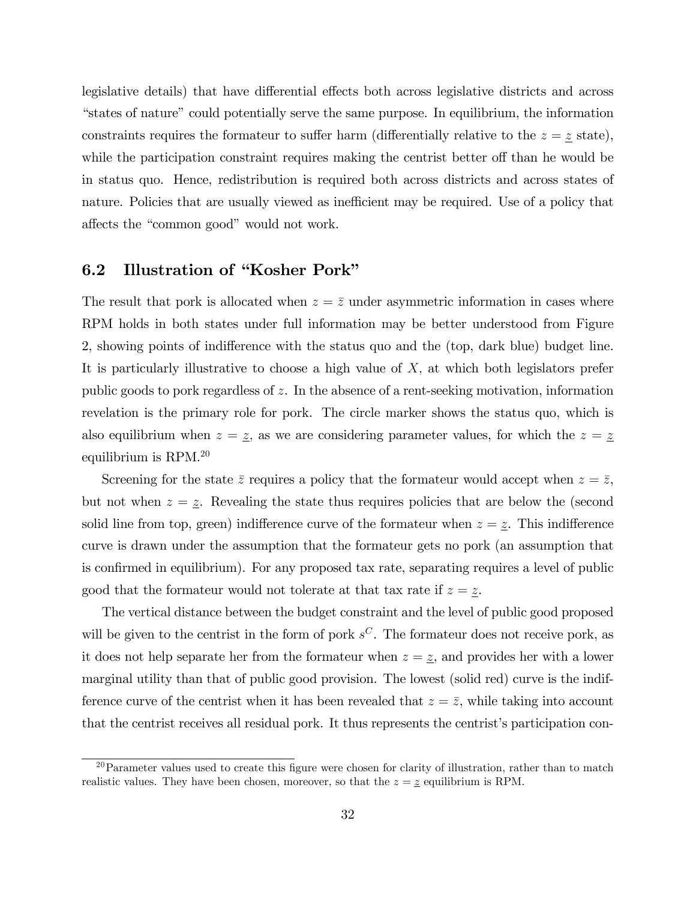legislative details) that have differential effects both across legislative districts and across "states of nature" could potentially serve the same purpose. In equilibrium, the information constraints requires the formateur to suffer harm (differentially relative to the  $z = \underline{z}$  state), while the participation constraint requires making the centrist better off than he would be in status quo. Hence, redistribution is required both across districts and across states of nature. Policies that are usually viewed as inefficient may be required. Use of a policy that affects the "common good" would not work.

## 6.2 Illustration of "Kosher Pork"

The result that pork is allocated when  $z = \bar{z}$  under asymmetric information in cases where RPM holds in both states under full information may be better understood from Figure 2, showing points of indifference with the status quo and the (top, dark blue) budget line. It is particularly illustrative to choose a high value of  $X$ , at which both legislators prefer public goods to pork regardless of z. In the absence of a rent-seeking motivation, information revelation is the primary role for pork. The circle marker shows the status quo, which is also equilibrium when  $z = \underline{z}$ , as we are considering parameter values, for which the  $z = \underline{z}$ equilibrium is RPM.<sup>20</sup>

Screening for the state  $\bar{z}$  requires a policy that the formateur would accept when  $z = \bar{z}$ , but not when  $z = \underline{z}$ . Revealing the state thus requires policies that are below the (second solid line from top, green) indifference curve of the formateur when  $z = \underline{z}$ . This indifference curve is drawn under the assumption that the formateur gets no pork (an assumption that is confirmed in equilibrium). For any proposed tax rate, separating requires a level of public good that the formateur would not tolerate at that tax rate if  $z = \underline{z}$ .

The vertical distance between the budget constraint and the level of public good proposed will be given to the centrist in the form of pork  $s^C$ . The formateur does not receive pork, as it does not help separate her from the formateur when  $z = \underline{z}$ , and provides her with a lower marginal utility than that of public good provision. The lowest (solid red) curve is the indifference curve of the centrist when it has been revealed that  $z = \bar{z}$ , while taking into account that the centrist receives all residual pork. It thus represents the centrist's participation con-

 $20$ Parameter values used to create this figure were chosen for clarity of illustration, rather than to match realistic values. They have been chosen, moreover, so that the  $z = \underline{z}$  equilibrium is RPM.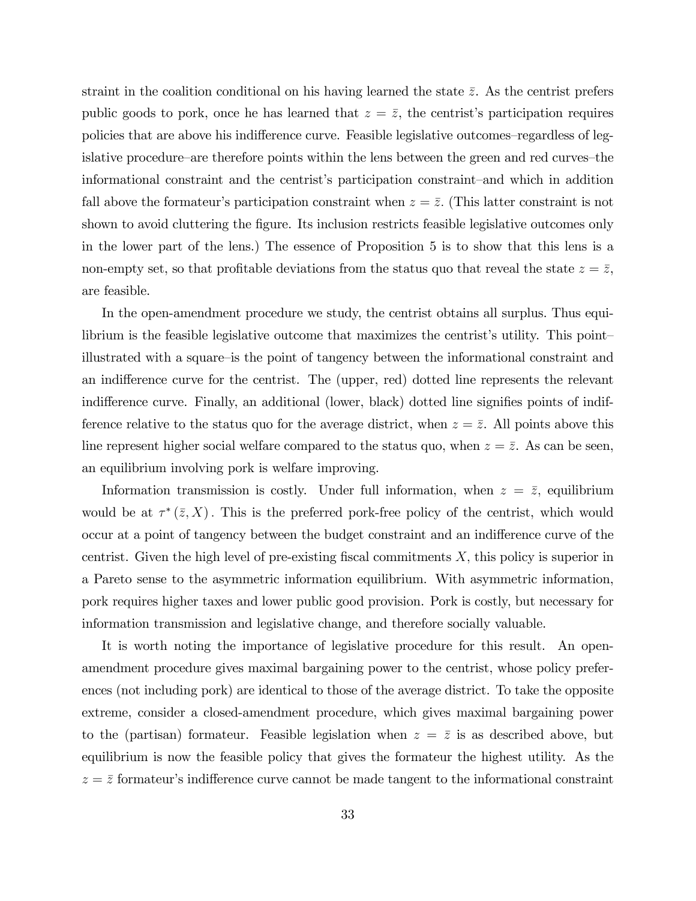straint in the coalition conditional on his having learned the state  $\bar{z}$ . As the centrist prefers public goods to pork, once he has learned that  $z = \overline{z}$ , the centrist's participation requires policies that are above his indifference curve. Feasible legislative outcomes–regardless of legislative procedure—are therefore points within the lens between the green and red curves—the informational constraint and the centrist's participation constraint—and which in addition fall above the formateur's participation constraint when  $z = \overline{z}$ . (This latter constraint is not shown to avoid cluttering the figure. Its inclusion restricts feasible legislative outcomes only in the lower part of the lens.) The essence of Proposition 5 is to show that this lens is a non-empty set, so that profitable deviations from the status quo that reveal the state  $z = \overline{z}$ , are feasible.

In the open-amendment procedure we study, the centrist obtains all surplus. Thus equilibrium is the feasible legislative outcome that maximizes the centrist's utility. This pointillustrated with a square-is the point of tangency between the informational constraint and an indifference curve for the centrist. The (upper, red) dotted line represents the relevant indifference curve. Finally, an additional (lower, black) dotted line signifies points of indifference relative to the status quo for the average district, when  $z = \overline{z}$ . All points above this line represent higher social welfare compared to the status quo, when  $z = \bar{z}$ . As can be seen, an equilibrium involving pork is welfare improving.

Information transmission is costly. Under full information, when  $z = \bar{z}$ , equilibrium would be at  $\tau^*(\bar{z}, X)$ . This is the preferred pork-free policy of the centrist, which would occur at a point of tangency between the budget constraint and an indifference curve of the centrist. Given the high level of pre-existing fiscal commitments  $X$ , this policy is superior in a Pareto sense to the asymmetric information equilibrium. With asymmetric information, pork requires higher taxes and lower public good provision. Pork is costly, but necessary for information transmission and legislative change, and therefore socially valuable.

It is worth noting the importance of legislative procedure for this result. An openamendment procedure gives maximal bargaining power to the centrist, whose policy preferences (not including pork) are identical to those of the average district. To take the opposite extreme, consider a closed-amendment procedure, which gives maximal bargaining power to the (partisan) formateur. Feasible legislation when  $z = \bar{z}$  is as described above, but equilibrium is now the feasible policy that gives the formateur the highest utility. As the  $z = \overline{z}$  formateur's indifference curve cannot be made tangent to the informational constraint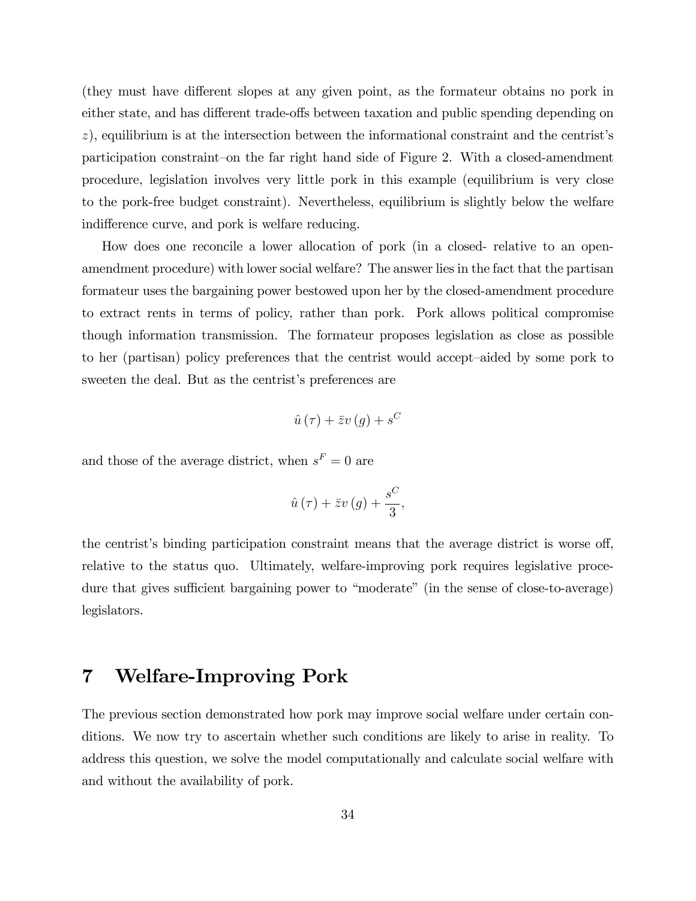(they must have different slopes at any given point, as the formateur obtains no pork in either state, and has different trade-offs between taxation and public spending depending on  $z$ ), equilibrium is at the intersection between the informational constraint and the centrist's participation constraint-on the far right hand side of Figure 2. With a closed-amendment procedure, legislation involves very little pork in this example (equilibrium is very close to the pork-free budget constraint). Nevertheless, equilibrium is slightly below the welfare indifference curve, and pork is welfare reducing.

How does one reconcile a lower allocation of pork (in a closed- relative to an openamendment procedure) with lower social welfare? The answer lies in the fact that the partisan formateur uses the bargaining power bestowed upon her by the closed-amendment procedure to extract rents in terms of policy, rather than pork. Pork allows political compromise though information transmission. The formateur proposes legislation as close as possible to her (partisan) policy preferences that the centrist would accept—aided by some pork to sweeten the deal. But as the centrist's preferences are

$$
\hat{u}\left( \tau\right) +\bar{z}v\left( g\right) +s^{C}
$$

and those of the average district, when  $s^F = 0$  are

$$
\hat{u}(\tau) + \bar{z}v(g) + \frac{s^C}{3},
$$

the centrist's binding participation constraint means that the average district is worse off, relative to the status quo. Ultimately, welfare-improving pork requires legislative procedure that gives sufficient bargaining power to "moderate" (in the sense of close-to-average) legislators.

# 7 Welfare-Improving Pork

The previous section demonstrated how pork may improve social welfare under certain conditions. We now try to ascertain whether such conditions are likely to arise in reality. To address this question, we solve the model computationally and calculate social welfare with and without the availability of pork.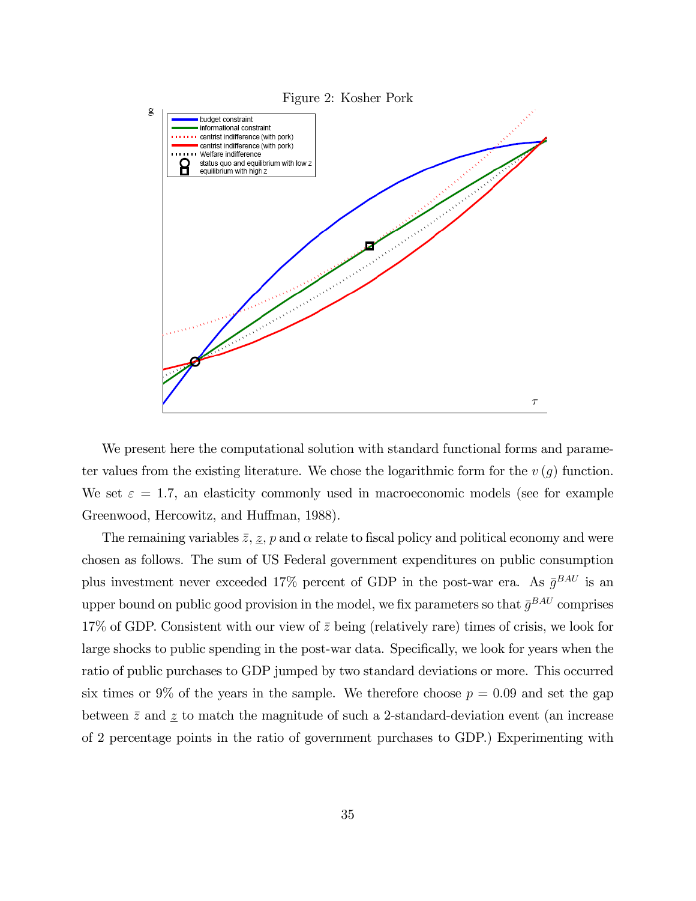

We present here the computational solution with standard functional forms and parameter values from the existing literature. We chose the logarithmic form for the  $v(q)$  function. We set  $\varepsilon = 1.7$ , an elasticity commonly used in macroeconomic models (see for example Greenwood, Hercowitz, and Huffman, 1988).

The remaining variables  $\bar{z}$ ,  $\bar{z}$ ,  $\bar{p}$  and  $\alpha$  relate to fiscal policy and political economy and were chosen as follows. The sum of US Federal government expenditures on public consumption plus investment never exceeded 17% percent of GDP in the post-war era. As  $\bar{g}^{BAU}$  is an upper bound on public good provision in the model, we fix parameters so that  $\bar{g}^{BAU}$  comprises 17% of GDP. Consistent with our view of  $\bar{z}$  being (relatively rare) times of crisis, we look for large shocks to public spending in the post-war data. Specifically, we look for years when the ratio of public purchases to GDP jumped by two standard deviations or more. This occurred six times or 9% of the years in the sample. We therefore choose  $p = 0.09$  and set the gap between  $\bar{z}$  and  $\underline{z}$  to match the magnitude of such a 2-standard-deviation event (an increase of 2 percentage points in the ratio of government purchases to GDP.) Experimenting with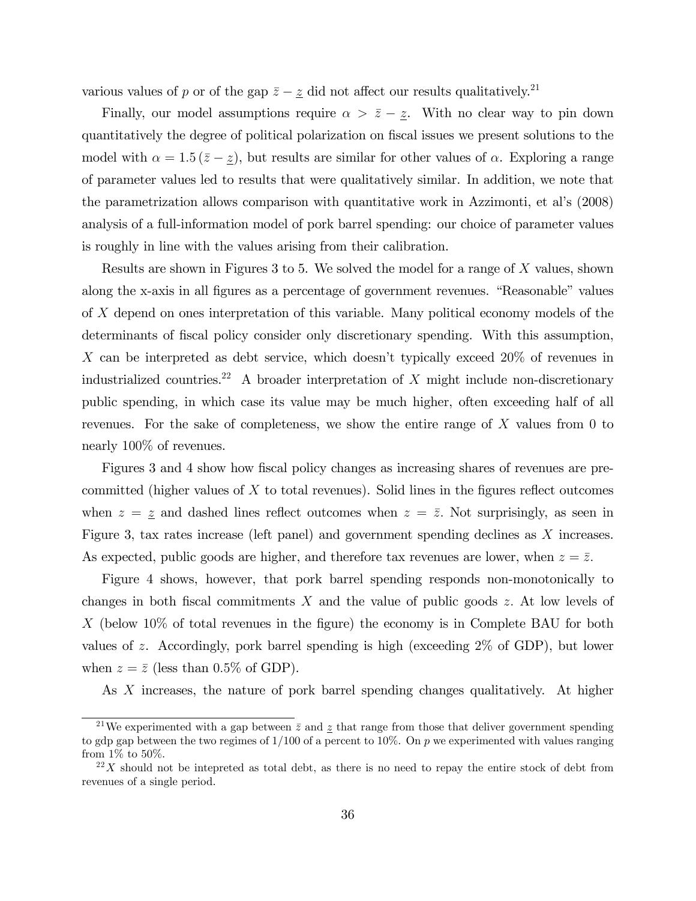various values of p or of the gap  $\bar{z} - \underline{z}$  did not affect our results qualitatively.<sup>21</sup>

Finally, our model assumptions require  $\alpha > \bar{z} - \underline{z}$ . With no clear way to pin down quantitatively the degree of political polarization on fiscal issues we present solutions to the model with  $\alpha = 1.5 (\bar{z} - \underline{z})$ , but results are similar for other values of  $\alpha$ . Exploring a range of parameter values led to results that were qualitatively similar. In addition, we note that the parametrization allows comparison with quantitative work in Azzimonti, et alís (2008) analysis of a full-information model of pork barrel spending: our choice of parameter values is roughly in line with the values arising from their calibration.

Results are shown in Figures 3 to 5. We solved the model for a range of  $X$  values, shown along the x-axis in all figures as a percentage of government revenues. "Reasonable" values of X depend on ones interpretation of this variable. Many political economy models of the determinants of fiscal policy consider only discretionary spending. With this assumption, X can be interpreted as debt service, which doesn't typically exceed  $20\%$  of revenues in industrialized countries.<sup>22</sup> A broader interpretation of X might include non-discretionary public spending, in which case its value may be much higher, often exceeding half of all revenues. For the sake of completeness, we show the entire range of X values from 0 to nearly 100% of revenues.

Figures 3 and 4 show how fiscal policy changes as increasing shares of revenues are precommitted (higher values of  $X$  to total revenues). Solid lines in the figures reflect outcomes when  $z = \underline{z}$  and dashed lines reflect outcomes when  $z = \overline{z}$ . Not surprisingly, as seen in Figure 3, tax rates increase (left panel) and government spending declines as X increases. As expected, public goods are higher, and therefore tax revenues are lower, when  $z = \overline{z}$ .

Figure 4 shows, however, that pork barrel spending responds non-monotonically to changes in both fiscal commitments  $X$  and the value of public goods z. At low levels of X (below 10% of total revenues in the figure) the economy is in Complete BAU for both values of z. Accordingly, pork barrel spending is high (exceeding  $2\%$  of GDP), but lower when  $z = \bar{z}$  (less than 0.5% of GDP).

As X increases, the nature of pork barrel spending changes qualitatively. At higher

<sup>&</sup>lt;sup>21</sup>We experimented with a gap between  $\bar{z}$  and z that range from those that deliver government spending to gdp gap between the two regimes of  $1/100$  of a percent to 10%. On p we experimented with values ranging from 1% to 50%.

 $22X$  should not be intepreted as total debt, as there is no need to repay the entire stock of debt from revenues of a single period.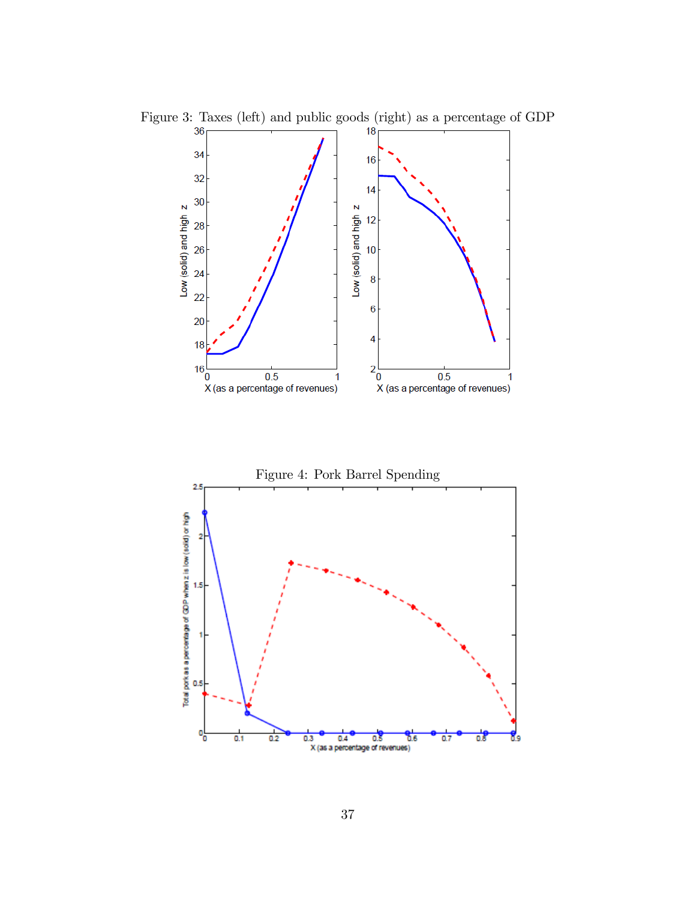

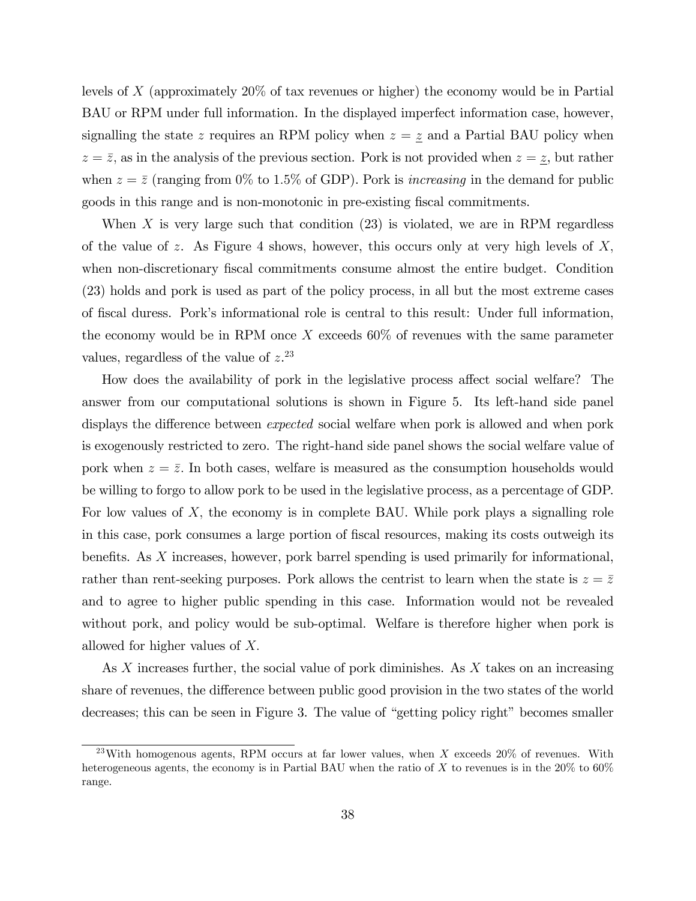levels of X (approximately 20% of tax revenues or higher) the economy would be in Partial BAU or RPM under full information. In the displayed imperfect information case, however, signalling the state z requires an RPM policy when  $z = \underline{z}$  and a Partial BAU policy when  $z = \bar{z}$ , as in the analysis of the previous section. Pork is not provided when  $z = \bar{z}$ , but rather when  $z = \bar{z}$  (ranging from 0% to 1.5% of GDP). Pork is *increasing* in the demand for public goods in this range and is non-monotonic in pre-existing fiscal commitments.

When  $X$  is very large such that condition  $(23)$  is violated, we are in RPM regardless of the value of z. As Figure 4 shows, however, this occurs only at very high levels of  $X_i$ when non-discretionary fiscal commitments consume almost the entire budget. Condition (23) holds and pork is used as part of the policy process, in all but the most extreme cases of Öscal duress. Porkís informational role is central to this result: Under full information, the economy would be in RPM once  $X$  exceeds 60% of revenues with the same parameter values, regardless of the value of  $z^{23}$ 

How does the availability of pork in the legislative process affect social welfare? The answer from our computational solutions is shown in Figure 5. Its left-hand side panel displays the difference between *expected* social welfare when pork is allowed and when pork is exogenously restricted to zero. The right-hand side panel shows the social welfare value of pork when  $z = \overline{z}$ . In both cases, welfare is measured as the consumption households would be willing to forgo to allow pork to be used in the legislative process, as a percentage of GDP. For low values of  $X$ , the economy is in complete BAU. While pork plays a signalling role in this case, pork consumes a large portion of Öscal resources, making its costs outweigh its benefits. As  $X$  increases, however, pork barrel spending is used primarily for informational, rather than rent-seeking purposes. Pork allows the centrist to learn when the state is  $z = \overline{z}$ and to agree to higher public spending in this case. Information would not be revealed without pork, and policy would be sub-optimal. Welfare is therefore higher when pork is allowed for higher values of  $X$ .

As X increases further, the social value of pork diminishes. As X takes on an increasing share of revenues, the difference between public good provision in the two states of the world decreases; this can be seen in Figure 3. The value of "getting policy right" becomes smaller

<sup>&</sup>lt;sup>23</sup>With homogenous agents, RPM occurs at far lower values, when X exceeds  $20\%$  of revenues. With heterogeneous agents, the economy is in Partial BAU when the ratio of X to revenues is in the  $20\%$  to  $60\%$ range.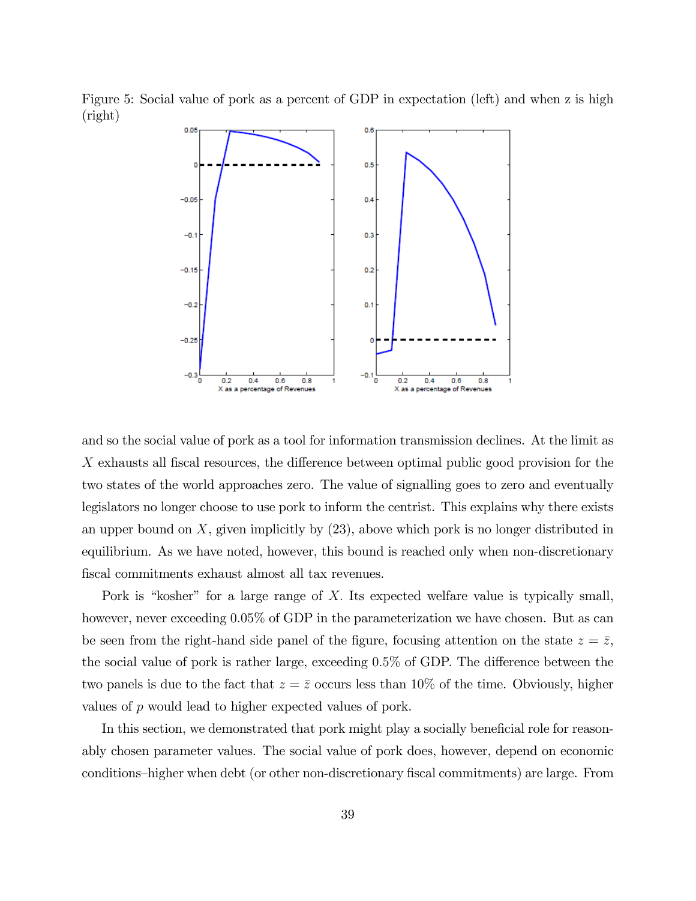Figure 5: Social value of pork as a percent of GDP in expectation (left) and when z is high (right)



and so the social value of pork as a tool for information transmission declines. At the limit as  $X$  exhausts all fiscal resources, the difference between optimal public good provision for the two states of the world approaches zero. The value of signalling goes to zero and eventually legislators no longer choose to use pork to inform the centrist. This explains why there exists an upper bound on  $X$ , given implicitly by  $(23)$ , above which pork is no longer distributed in equilibrium. As we have noted, however, this bound is reached only when non-discretionary fiscal commitments exhaust almost all tax revenues.

Pork is "kosher" for a large range of X. Its expected welfare value is typically small, however, never exceeding 0.05% of GDP in the parameterization we have chosen. But as can be seen from the right-hand side panel of the figure, focusing attention on the state  $z = \overline{z}$ , the social value of pork is rather large, exceeding  $0.5\%$  of GDP. The difference between the two panels is due to the fact that  $z = \bar{z}$  occurs less than 10% of the time. Obviously, higher values of p would lead to higher expected values of pork.

In this section, we demonstrated that pork might play a socially beneficial role for reasonably chosen parameter values. The social value of pork does, however, depend on economic conditions-higher when debt (or other non-discretionary fiscal commitments) are large. From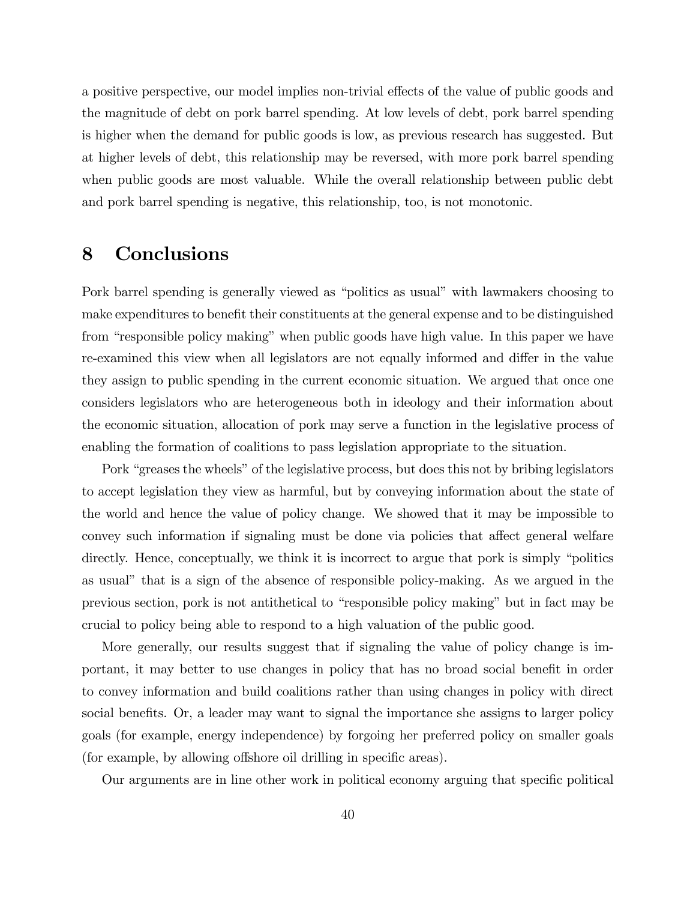a positive perspective, our model implies non-trivial effects of the value of public goods and the magnitude of debt on pork barrel spending. At low levels of debt, pork barrel spending is higher when the demand for public goods is low, as previous research has suggested. But at higher levels of debt, this relationship may be reversed, with more pork barrel spending when public goods are most valuable. While the overall relationship between public debt and pork barrel spending is negative, this relationship, too, is not monotonic.

# 8 Conclusions

Pork barrel spending is generally viewed as "politics as usual" with lawmakers choosing to make expenditures to benefit their constituents at the general expense and to be distinguished from "responsible policy making" when public goods have high value. In this paper we have re-examined this view when all legislators are not equally informed and differ in the value they assign to public spending in the current economic situation. We argued that once one considers legislators who are heterogeneous both in ideology and their information about the economic situation, allocation of pork may serve a function in the legislative process of enabling the formation of coalitions to pass legislation appropriate to the situation.

Pork "greases the wheels" of the legislative process, but does this not by bribing legislators to accept legislation they view as harmful, but by conveying information about the state of the world and hence the value of policy change. We showed that it may be impossible to convey such information if signaling must be done via policies that affect general welfare directly. Hence, conceptually, we think it is incorrect to argue that pork is simply "politics" as usual" that is a sign of the absence of responsible policy-making. As we argued in the previous section, pork is not antithetical to "responsible policy making" but in fact may be crucial to policy being able to respond to a high valuation of the public good.

More generally, our results suggest that if signaling the value of policy change is important, it may better to use changes in policy that has no broad social benefit in order to convey information and build coalitions rather than using changes in policy with direct social benefits. Or, a leader may want to signal the importance she assigns to larger policy goals (for example, energy independence) by forgoing her preferred policy on smaller goals  $($ for example, by allowing offshore oil drilling in specific areas).

Our arguments are in line other work in political economy arguing that specific political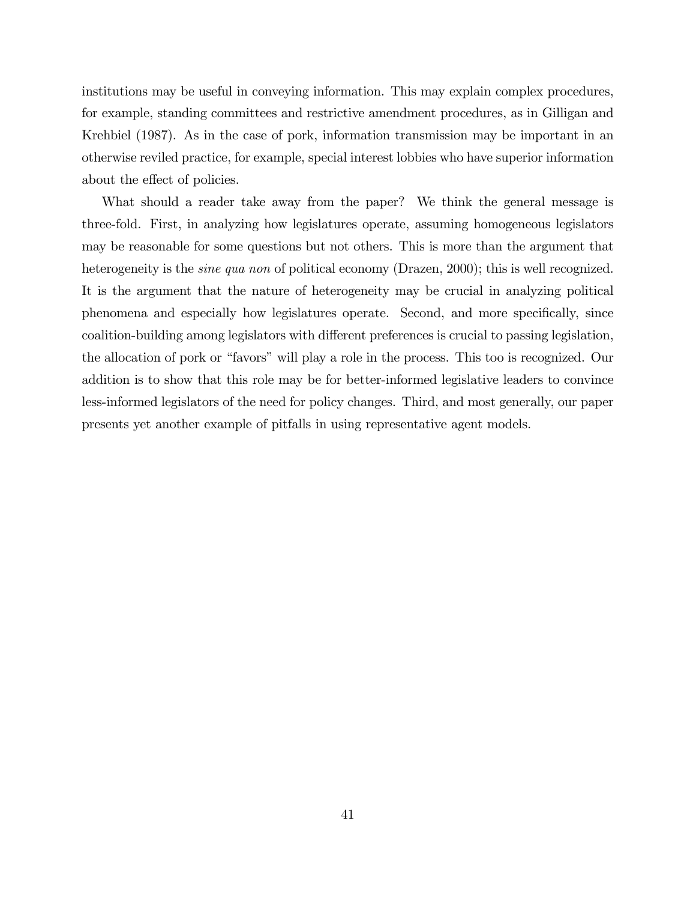institutions may be useful in conveying information. This may explain complex procedures, for example, standing committees and restrictive amendment procedures, as in Gilligan and Krehbiel (1987). As in the case of pork, information transmission may be important in an otherwise reviled practice, for example, special interest lobbies who have superior information about the effect of policies.

What should a reader take away from the paper? We think the general message is three-fold. First, in analyzing how legislatures operate, assuming homogeneous legislators may be reasonable for some questions but not others. This is more than the argument that heterogeneity is the *sine qua non* of political economy (Drazen, 2000); this is well recognized. It is the argument that the nature of heterogeneity may be crucial in analyzing political phenomena and especially how legislatures operate. Second, and more specifically, since coalition-building among legislators with different preferences is crucial to passing legislation, the allocation of pork or "favors" will play a role in the process. This too is recognized. Our addition is to show that this role may be for better-informed legislative leaders to convince less-informed legislators of the need for policy changes. Third, and most generally, our paper presents yet another example of pitfalls in using representative agent models.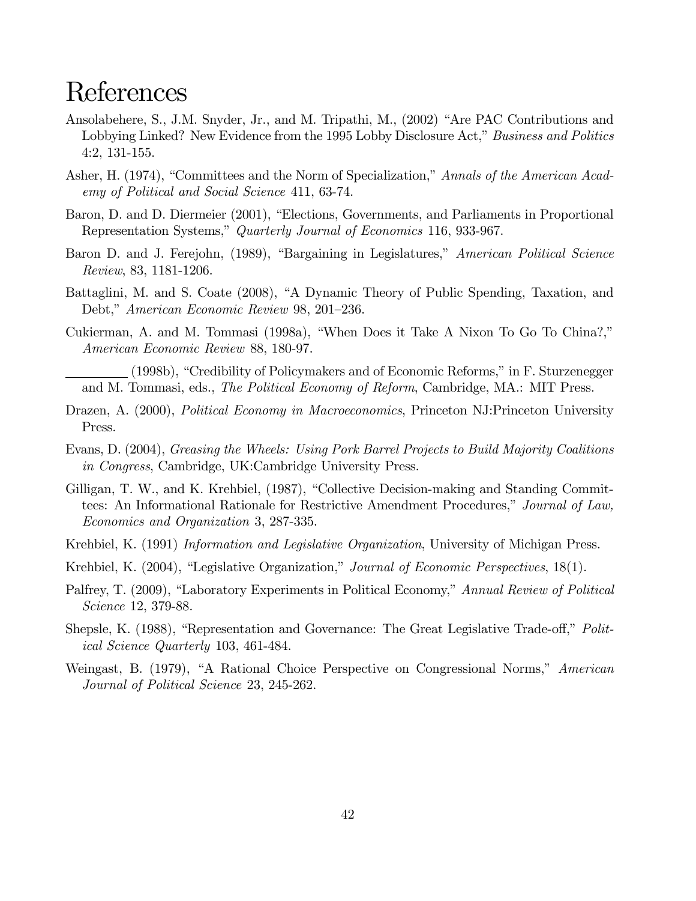# References

- Ansolabehere, S., J.M. Snyder, Jr., and M. Tripathi, M., (2002) "Are PAC Contributions and Lobbying Linked? New Evidence from the 1995 Lobby Disclosure Act," Business and Politics 4:2, 131-155.
- Asher, H. (1974), "Committees and the Norm of Specialization," Annals of the American Academy of Political and Social Science 411, 63-74.
- Baron, D. and D. Diermeier (2001), "Elections, Governments, and Parliaments in Proportional Representation Systems," Quarterly Journal of Economics 116, 933-967.
- Baron D. and J. Ferejohn, (1989), "Bargaining in Legislatures," *American Political Science* Review, 83, 1181-1206.
- Battaglini, M. and S. Coate (2008), "A Dynamic Theory of Public Spending, Taxation, and Debt," American Economic Review 98, 201–236.
- Cukierman, A. and M. Tommasi  $(1998a)$ , "When Does it Take A Nixon To Go To China?," American Economic Review 88, 180-97.
- (1998b), "Credibility of Policymakers and of Economic Reforms," in F. Sturzenegger and M. Tommasi, eds., The Political Economy of Reform, Cambridge, MA.: MIT Press.
- Drazen, A. (2000), *Political Economy in Macroeconomics*, Princeton NJ:Princeton University Press.
- Evans, D. (2004), Greasing the Wheels: Using Pork Barrel Projects to Build Majority Coalitions in Congress, Cambridge, UK:Cambridge University Press.
- Gilligan, T. W., and K. Krehbiel, (1987), "Collective Decision-making and Standing Committees: An Informational Rationale for Restrictive Amendment Procedures," Journal of Law, Economics and Organization 3, 287-335.
- Krehbiel, K. (1991) Information and Legislative Organization, University of Michigan Press.
- Krehbiel, K. (2004), "Legislative Organization," Journal of Economic Perspectives, 18(1).
- Palfrey, T. (2009), "Laboratory Experiments in Political Economy," Annual Review of Political Science 12, 379-88.
- Shepsle, K. (1988), "Representation and Governance: The Great Legislative Trade-off," Political Science Quarterly 103, 461-484.
- Weingast, B. (1979), "A Rational Choice Perspective on Congressional Norms," American Journal of Political Science 23, 245-262.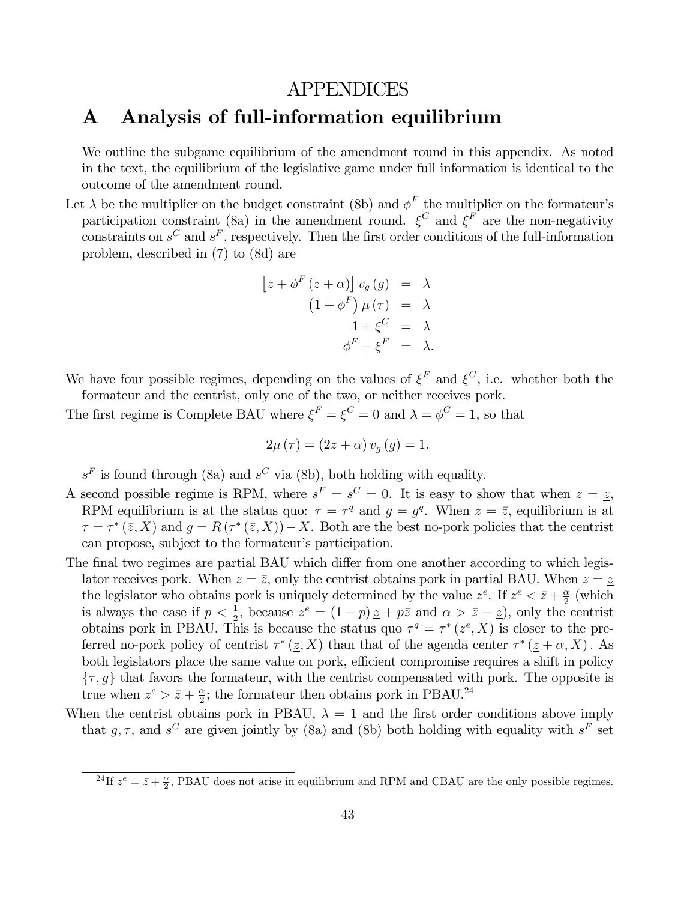# APPENDICES

# A Analysis of full-information equilibrium

We outline the subgame equilibrium of the amendment round in this appendix. As noted in the text, the equilibrium of the legislative game under full information is identical to the outcome of the amendment round.

Let  $\lambda$  be the multiplier on the budget constraint (8b) and  $\phi^F$  the multiplier on the formateur's participation constraint (8a) in the amendment round.  $\xi^C$  and  $\xi^F$  are the non-negativity constraints on  $s^C$  and  $s^F$ , respectively. Then the first order conditions of the full-information problem, described in (7) to (8d) are

$$
[z + \phi^{F}(z + \alpha)] v_{g}(g) = \lambda
$$
  
\n
$$
(1 + \phi^{F}) \mu(\tau) = \lambda
$$
  
\n
$$
1 + \xi^{C} = \lambda
$$
  
\n
$$
\phi^{F} + \xi^{F} = \lambda.
$$

We have four possible regimes, depending on the values of  $\xi^F$  and  $\xi^C$ , i.e. whether both the formateur and the centrist, only one of the two, or neither receives pork.

The first regime is Complete BAU where  $\xi^F = \xi^C = 0$  and  $\lambda = \phi^C = 1$ , so that

$$
2\mu\left(\tau\right) = \left(2z + \alpha\right)v_g\left(g\right) = 1.
$$

 $s<sup>F</sup>$  is found through (8a) and  $s<sup>C</sup>$  via (8b), both holding with equality.

- A second possible regime is RPM, where  $s^F = s^C = 0$ . It is easy to show that when  $z = \underline{z}$ , RPM equilibrium is at the status quo:  $\tau = \tau^q$  and  $g = g^q$ . When  $z = \overline{z}$ , equilibrium is at  $\tau = \tau^* (\bar{z}, X)$  and  $g = R(\tau^* (\bar{z}, X)) - X$ . Both are the best no-pork policies that the centrist can propose, subject to the formateur's participation.
- The final two regimes are partial BAU which differ from one another according to which legislator receives pork. When  $z = \overline{z}$ , only the centrist obtains pork in partial BAU. When  $z = \underline{z}$ the legislator who obtains pork is uniquely determined by the value  $z^e$ . If  $z^e < \bar{z} + \frac{\alpha}{2}$  $rac{\alpha}{2}$  (which is always the case if  $p < \frac{1}{2}$ , because  $z^e = (1 - p) \underline{z} + p \overline{z}$  and  $\alpha > \overline{z} - \underline{z}$ ), only the centrist obtains pork in PBAU. This is because the status quo  $\tau^q = \tau^*(z^e, X)$  is closer to the preferred no-pork policy of centrist  $\tau^*(\underline{z}, X)$  than that of the agenda center  $\tau^*(\underline{z} + \alpha, X)$ . As both legislators place the same value on pork, efficient compromise requires a shift in policy  $\{\tau, g\}$  that favors the formateur, with the centrist compensated with pork. The opposite is true when  $z^e > \bar{z} + \frac{\alpha}{2}$  $\frac{\alpha}{2}$ ; the formateur then obtains pork in PBAU.<sup>24</sup>
- When the centrist obtains pork in PBAU,  $\lambda = 1$  and the first order conditions above imply that g,  $\tau$ , and s<sup>C</sup> are given jointly by (8a) and (8b) both holding with equality with s<sup>F</sup> set

<sup>&</sup>lt;sup>24</sup>If  $z^e = \bar{z} + \frac{\alpha}{2}$ , PBAU does not arise in equilibrium and RPM and CBAU are the only possible regimes.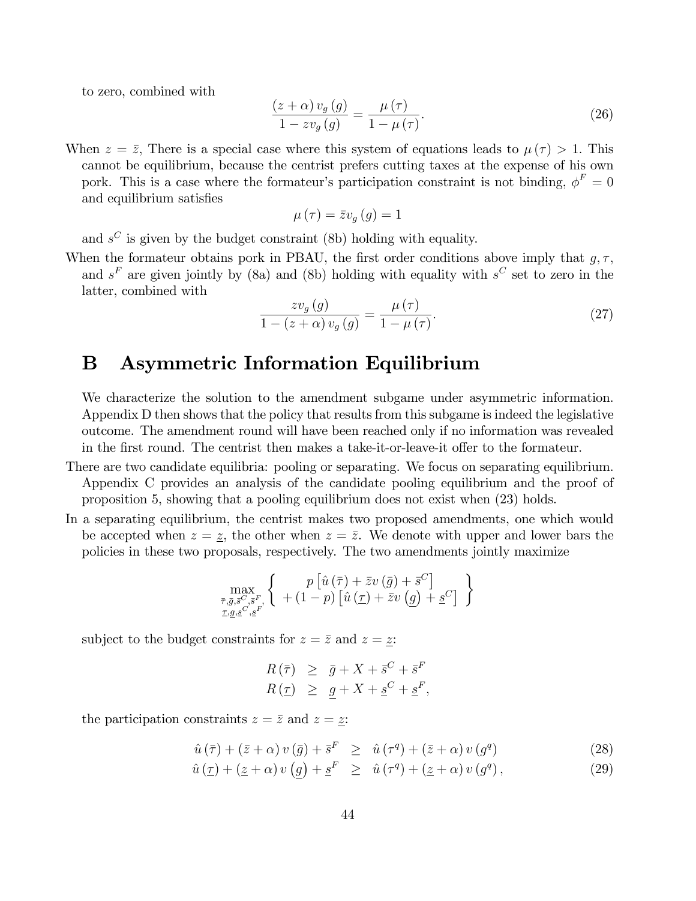to zero, combined with

$$
\frac{(z+\alpha)v_g(g)}{1-zv_g(g)} = \frac{\mu(\tau)}{1-\mu(\tau)}.
$$
\n(26)

When  $z = \bar{z}$ , There is a special case where this system of equations leads to  $\mu(\tau) > 1$ . This cannot be equilibrium, because the centrist prefers cutting taxes at the expense of his own pork. This is a case where the formateur's participation constraint is not binding,  $\phi^F = 0$ and equilibrium satisfies

$$
\mu\left(\tau\right)=\bar{z}v_{g}\left(g\right)=1
$$

and  $s^C$  is given by the budget constraint (8b) holding with equality.

When the formateur obtains pork in PBAU, the first order conditions above imply that  $q, \tau$ , and  $s<sup>F</sup>$  are given jointly by (8a) and (8b) holding with equality with  $s<sup>C</sup>$  set to zero in the latter, combined with

$$
\frac{zv_g(g)}{1 - (z + \alpha)v_g(g)} = \frac{\mu(\tau)}{1 - \mu(\tau)}.
$$
\n(27)

# B Asymmetric Information Equilibrium

We characterize the solution to the amendment subgame under asymmetric information. Appendix D then shows that the policy that results from this subgame is indeed the legislative outcome. The amendment round will have been reached only if no information was revealed in the first round. The centrist then makes a take-it-or-leave-it offer to the formateur.

- There are two candidate equilibria: pooling or separating. We focus on separating equilibrium. Appendix C provides an analysis of the candidate pooling equilibrium and the proof of proposition 5, showing that a pooling equilibrium does not exist when (23) holds.
- In a separating equilibrium, the centrist makes two proposed amendments, one which would be accepted when  $z = \underline{z}$ , the other when  $z = \overline{z}$ . We denote with upper and lower bars the policies in these two proposals, respectively. The two amendments jointly maximize

$$
\max_{\substack{\bar{\tau}, \bar{g}, \bar{s}^C, \bar{s}^F, \\ \underline{\tau}, \bar{g}, \underline{s}^C, \bar{s}^F}} \left\{ \begin{array}{c} p\left[\hat{u}\left(\bar{\tau}\right) + \bar{z}v\left(\bar{g}\right) + \bar{s}^C\right] \\ + \left(1 - p\right)\left[\hat{u}\left(\underline{\tau}\right) + \bar{z}v\left(\underline{g}\right) + \underline{s}^C\right] \end{array} \right\}
$$

subject to the budget constraints for  $z = \overline{z}$  and  $z = \underline{z}$ :

$$
R(\bar{\tau}) \geq \bar{g} + X + \bar{s}^C + \bar{s}^F
$$
  

$$
R(\underline{\tau}) \geq \underline{g} + X + \underline{s}^C + \underline{s}^F,
$$

the participation constraints  $z = \overline{z}$  and  $z = \underline{z}$ :

$$
\hat{u}(\bar{\tau}) + (\bar{z} + \alpha) v(\bar{g}) + \bar{s}^{F} \geq \hat{u}(\tau^{q}) + (\bar{z} + \alpha) v(g^{q}) \tag{28}
$$

$$
\hat{u}(\underline{\tau}) + (\underline{z} + \alpha) v(\underline{g}) + \underline{s}^{F} \geq \hat{u}(\tau^{q}) + (\underline{z} + \alpha) v(g^{q}), \qquad (29)
$$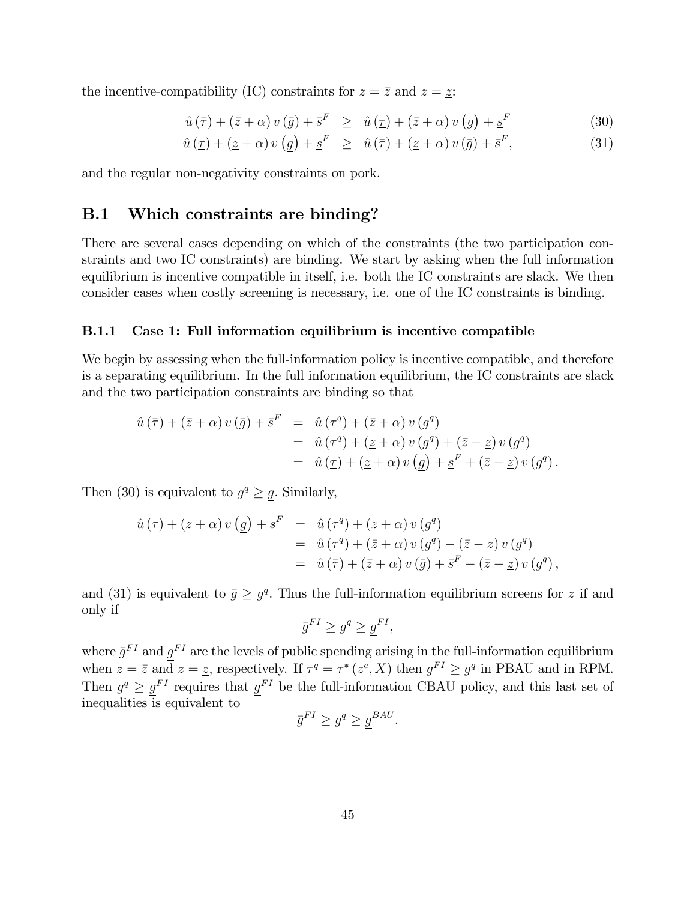the incentive-compatibility (IC) constraints for  $z = \overline{z}$  and  $z = \underline{z}$ :

$$
\hat{u}(\bar{\tau}) + (\bar{z} + \alpha) v(\bar{g}) + \bar{s}^{F} \geq \hat{u}(\underline{\tau}) + (\bar{z} + \alpha) v(\underline{g}) + \underline{s}^{F}
$$
\n(30)

$$
\hat{u}(\underline{\tau}) + (\underline{z} + \alpha) v(\underline{g}) + \underline{s}^{F} \geq \hat{u}(\overline{\tau}) + (\underline{z} + \alpha) v(\overline{g}) + \overline{s}^{F}, \tag{31}
$$

and the regular non-negativity constraints on pork.

### B.1 Which constraints are binding?

There are several cases depending on which of the constraints (the two participation constraints and two IC constraints) are binding. We start by asking when the full information equilibrium is incentive compatible in itself, i.e. both the IC constraints are slack. We then consider cases when costly screening is necessary, i.e. one of the IC constraints is binding.

#### B.1.1 Case 1: Full information equilibrium is incentive compatible

We begin by assessing when the full-information policy is incentive compatible, and therefore is a separating equilibrium. In the full information equilibrium, the IC constraints are slack and the two participation constraints are binding so that

$$
\hat{u}(\bar{\tau}) + (\bar{z} + \alpha) v(\bar{g}) + \bar{s}^F = \hat{u}(\tau^q) + (\bar{z} + \alpha) v(g^q)
$$
  
=  $\hat{u}(\tau^q) + (\underline{z} + \alpha) v(g^q) + (\bar{z} - \underline{z}) v(g^q)$   
=  $\hat{u}(\tau) + (\underline{z} + \alpha) v(\underline{g}) + \underline{s}^F + (\bar{z} - \underline{z}) v(g^q)$ .

Then (30) is equivalent to  $g^q \geq \underline{g}$ . Similarly,

$$
\hat{u}(\underline{\tau}) + (\underline{z} + \alpha) v(\underline{g}) + \underline{s}^{F} = \hat{u}(\tau^{q}) + (\underline{z} + \alpha) v(g^{q})
$$
  
=  $\hat{u}(\tau^{q}) + (\overline{z} + \alpha) v(g^{q}) - (\overline{z} - \underline{z}) v(g^{q})$   
=  $\hat{u}(\overline{\tau}) + (\overline{z} + \alpha) v(\overline{g}) + \overline{s}^{F} - (\overline{z} - \underline{z}) v(g^{q}),$ 

and (31) is equivalent to  $\bar{g} \geq g^q$ . Thus the full-information equilibrium screens for z if and only if

$$
\bar{g}^{FI} \ge g^q \ge \underline{g}^{FI},
$$

where  $\bar{g}^{FI}$  and  $g^{FI}$  are the levels of public spending arising in the full-information equilibrium when  $z = \bar{z}$  and  $z = \bar{z}$ , respectively. If  $\tau^q = \tau^* (z^e, X)$  then  $\underline{g}^{FI} \ge g^q$  in PBAU and in RPM. Then  $g^q \geq \underline{g}^{FI}$  requires that  $\underline{g}^{FI}$  be the full-information CBAU policy, and this last set of inequalities is equivalent to

$$
\bar{g}^{FI} \ge g^q \ge \underline{g}^{BAU}.
$$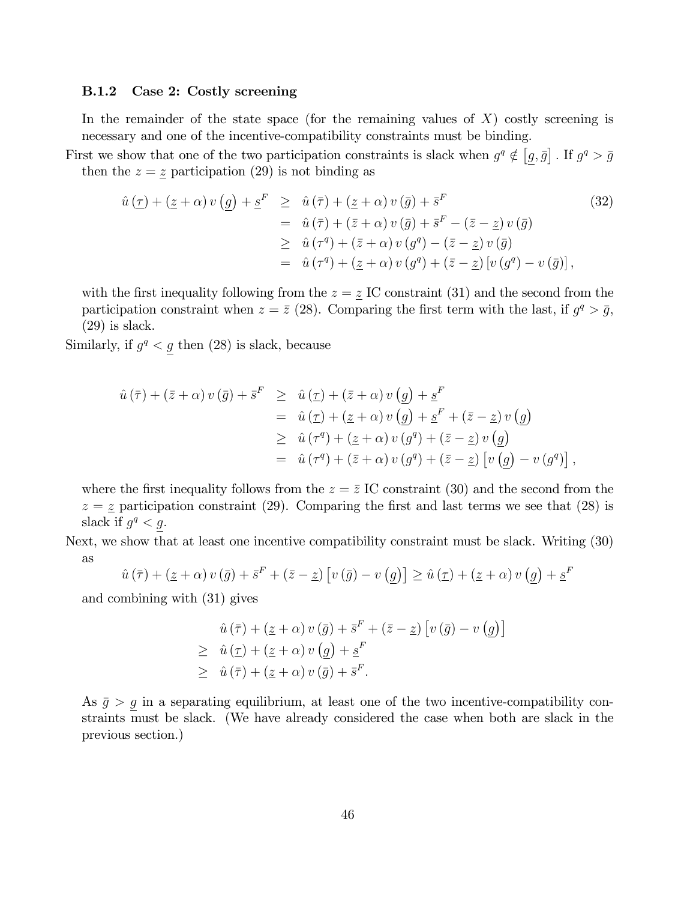#### B.1.2 Case 2: Costly screening

In the remainder of the state space (for the remaining values of  $X$ ) costly screening is necessary and one of the incentive-compatibility constraints must be binding.

First we show that one of the two participation constraints is slack when  $g^q \notin [g, \bar{g}]$ . If  $g^q > \bar{g}$ then the  $z = \underline{z}$  participation (29) is not binding as

$$
\hat{u}(\underline{\tau}) + (\underline{z} + \alpha) v(\underline{g}) + \underline{s}^{F} \geq \hat{u}(\overline{\tau}) + (\underline{z} + \alpha) v(\overline{g}) + \overline{s}^{F}
$$
\n
$$
= \hat{u}(\overline{\tau}) + (\overline{z} + \alpha) v(\overline{g}) + \overline{s}^{F} - (\overline{z} - \underline{z}) v(\overline{g})
$$
\n
$$
\geq \hat{u}(\tau^{q}) + (\overline{z} + \alpha) v(g^{q}) - (\overline{z} - \underline{z}) v(\overline{g})
$$
\n
$$
= \hat{u}(\tau^{q}) + (\underline{z} + \alpha) v(g^{q}) + (\overline{z} - \underline{z}) [v(g^{q}) - v(\overline{g})],
$$
\n(32)

with the first inequality following from the  $z = \underline{z}$  IC constraint (31) and the second from the participation constraint when  $z = \bar{z}$  (28). Comparing the first term with the last, if  $g^q > \bar{g}$ , (29) is slack.

Similarly, if  $g^q < g$  then (28) is slack, because

$$
\hat{u}(\bar{\tau}) + (\bar{z} + \alpha) v(\bar{g}) + \bar{s}^{F} \geq \hat{u}(\underline{\tau}) + (\bar{z} + \alpha) v(\underline{g}) + \underline{s}^{F}
$$
\n
$$
= \hat{u}(\underline{\tau}) + (\underline{z} + \alpha) v(\underline{g}) + \underline{s}^{F} + (\bar{z} - \underline{z}) v(\underline{g})
$$
\n
$$
\geq \hat{u}(\tau^{q}) + (\underline{z} + \alpha) v(g^{q}) + (\bar{z} - \underline{z}) v(\underline{g})
$$
\n
$$
= \hat{u}(\tau^{q}) + (\bar{z} + \alpha) v(g^{q}) + (\bar{z} - \underline{z}) [v(\underline{g}) - v(g^{q})],
$$

where the first inequality follows from the  $z = \bar{z}$  IC constraint (30) and the second from the  $z = \underline{z}$  participation constraint (29). Comparing the first and last terms we see that (28) is slack if  $g^q < g$ .

Next, we show that at least one incentive compatibility constraint must be slack. Writing (30) as

$$
\hat{u}(\bar{\tau}) + (\underline{z} + \alpha) v(\bar{g}) + \bar{s}^F + (\bar{z} - \underline{z}) [v(\bar{g}) - v(\underline{g})] \ge \hat{u}(\underline{\tau}) + (\underline{z} + \alpha) v(\underline{g}) + \underline{s}^F
$$

and combining with (31) gives

$$
\hat{u}(\bar{\tau}) + (\underline{z} + \alpha) v(\bar{g}) + \bar{s}^F + (\bar{z} - \underline{z}) [v(\bar{g}) - v(\underline{g})]
$$
\n
$$
\geq \hat{u}(\underline{\tau}) + (\underline{z} + \alpha) v(\underline{g}) + \underline{s}^F
$$
\n
$$
\geq \hat{u}(\bar{\tau}) + (\underline{z} + \alpha) v(\bar{g}) + \bar{s}^F.
$$

As  $\bar{g} > g$  in a separating equilibrium, at least one of the two incentive-compatibility constraints must be slack. (We have already considered the case when both are slack in the previous section.)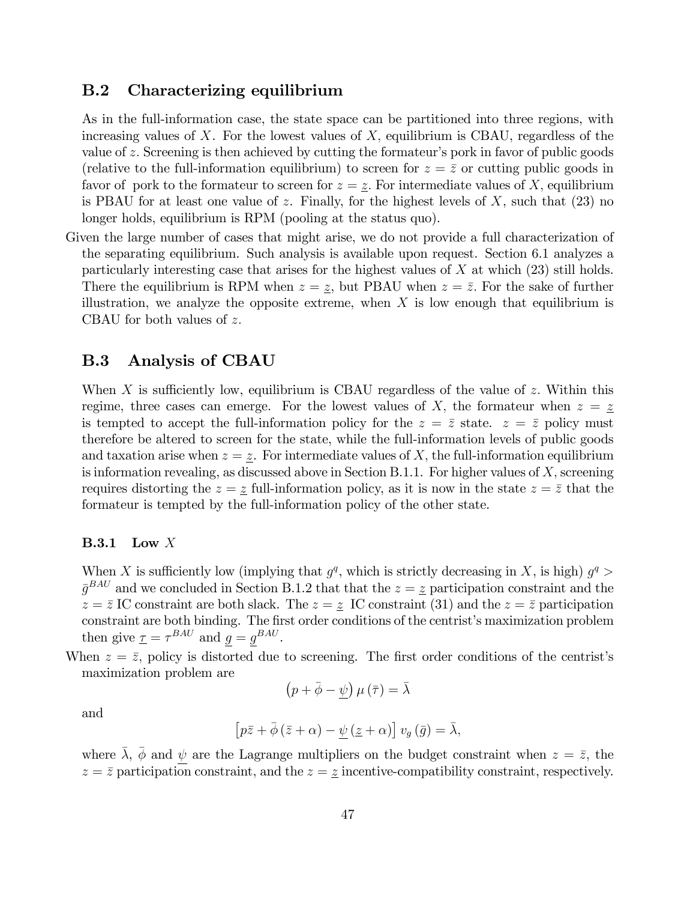#### B.2 Characterizing equilibrium

As in the full-information case, the state space can be partitioned into three regions, with increasing values of  $X$ . For the lowest values of  $X$ , equilibrium is CBAU, regardless of the value of z. Screening is then achieved by cutting the formateur's pork in favor of public goods (relative to the full-information equilibrium) to screen for  $z = \overline{z}$  or cutting public goods in favor of pork to the formateur to screen for  $z = \underline{z}$ . For intermediate values of X, equilibrium is PBAU for at least one value of z. Finally, for the highest levels of  $X$ , such that (23) no longer holds, equilibrium is RPM (pooling at the status quo).

Given the large number of cases that might arise, we do not provide a full characterization of the separating equilibrium. Such analysis is available upon request. Section 6.1 analyzes a particularly interesting case that arises for the highest values of X at which (23) still holds. There the equilibrium is RPM when  $z = \underline{z}$ , but PBAU when  $z = \overline{z}$ . For the sake of further illustration, we analyze the opposite extreme, when  $X$  is low enough that equilibrium is CBAU for both values of  $z$ .

### B.3 Analysis of CBAU

When X is sufficiently low, equilibrium is CBAU regardless of the value of  $z$ . Within this regime, three cases can emerge. For the lowest values of X, the formateur when  $z = \underline{z}$ is tempted to accept the full-information policy for the  $z = \bar{z}$  state.  $z = \bar{z}$  policy must therefore be altered to screen for the state, while the full-information levels of public goods and taxation arise when  $z = \underline{z}$ . For intermediate values of X, the full-information equilibrium is information revealing, as discussed above in Section B.1.1. For higher values of  $X$ , screening requires distorting the  $z = \overline{z}$  full-information policy, as it is now in the state  $z = \overline{z}$  that the formateur is tempted by the full-information policy of the other state.

#### B.3.1 Low X

When X is sufficiently low (implying that  $g^q$ , which is strictly decreasing in X, is high)  $g^q$  $\bar{g}^{BAU}$  and we concluded in Section B.1.2 that that the  $z = \bar{z}$  participation constraint and the  $z = \bar{z}$  IC constraint are both slack. The  $z = \bar{z}$  IC constraint (31) and the  $z = \bar{z}$  participation constraint are both binding. The first order conditions of the centrist's maximization problem then give  $\underline{\tau} = \tau^{BAU}$  and  $g = g^{BAU}$ .

When  $z = \overline{z}$ , policy is distorted due to screening. The first order conditions of the centrist's maximization problem are

$$
(p + \bar{\phi} - \underline{\psi}) \mu (\bar{\tau}) = \bar{\lambda}
$$

and

$$
\[p\bar{z} + \bar{\phi}\left(\bar{z} + \alpha\right) - \underline{\psi}\left(\underline{z} + \alpha\right)\]v_g\left(\bar{g}\right) = \bar{\lambda},\]
$$

where  $\bar{\lambda}$ ,  $\bar{\phi}$  and  $\psi$  are the Lagrange multipliers on the budget constraint when  $z = \bar{z}$ , the  $z = \overline{z}$  participation constraint, and the  $z = \underline{z}$  incentive-compatibility constraint, respectively.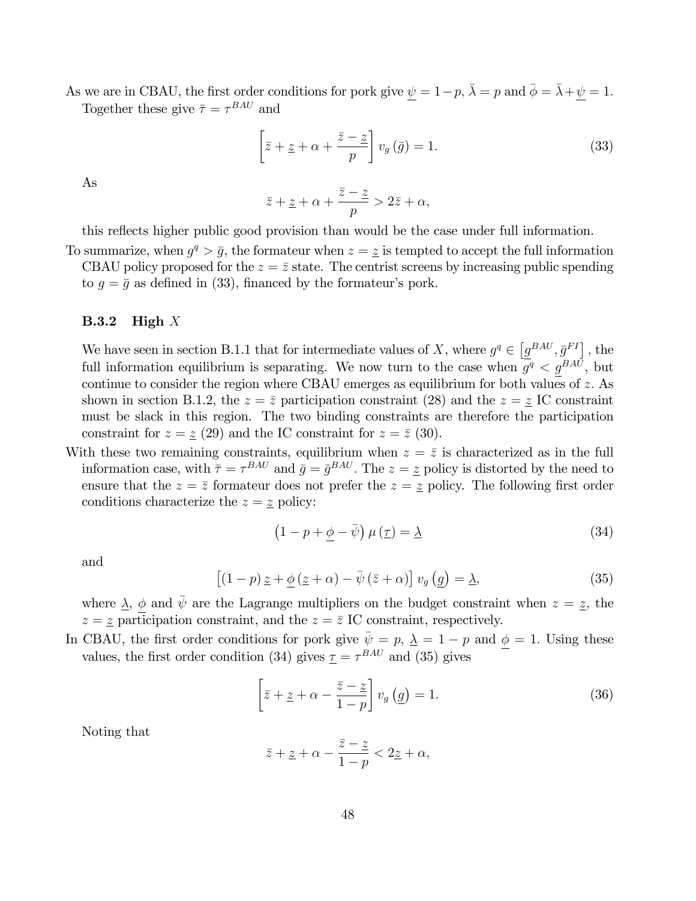As we are in CBAU, the first order conditions for pork give  $\psi = 1-p$ ,  $\bar{\lambda} = p$  and  $\bar{\phi} = \bar{\lambda} + \psi = 1$ . Together these give  $\bar{\tau} = \tau^{BAU}$  and

$$
\left[\bar{z} + \underline{z} + \alpha + \frac{\bar{z} - \underline{z}}{p}\right] v_g\left(\bar{g}\right) = 1.
$$
\n(33)

As

$$
\bar{z} + \underline{z} + \alpha + \frac{\bar{z} - \underline{z}}{p} > 2\bar{z} + \alpha,
$$

this reflects higher public good provision than would be the case under full information.

To summarize, when  $g^q > \bar{g}$ , the formateur when  $z = \bar{z}$  is tempted to accept the full information CBAU policy proposed for the  $z = \bar{z}$  state. The centrist screens by increasing public spending to  $g = \bar{g}$  as defined in (33), financed by the formateur's pork.

#### **B.3.2** High  $X$

We have seen in section B.1.1 that for intermediate values of X, where  $g^q \in \left[g^{BAU}, \bar{g}^{FI}\right]$ , the full information equilibrium is separating. We now turn to the case when  $g^q < g^{BAU}$ , but continue to consider the region where CBAU emerges as equilibrium for both values of z: As shown in section B.1.2, the  $z = \overline{z}$  participation constraint (28) and the  $z = z$  IC constraint must be slack in this region. The two binding constraints are therefore the participation constraint for  $z = \underline{z}$  (29) and the IC constraint for  $z = \overline{z}$  (30).

With these two remaining constraints, equilibrium when  $z = \overline{z}$  is characterized as in the full information case, with  $\bar{\tau} = \tau^{BAU}$  and  $\bar{g} = \bar{g}^{BAU}$ . The  $z = \bar{z}$  policy is distorted by the need to ensure that the  $z = \bar{z}$  formateur does not prefer the  $z = \bar{z}$  policy. The following first order conditions characterize the  $z = z$  policy:

$$
(1 - p + \underline{\phi} - \overline{\psi}) \mu(\underline{\tau}) = \underline{\lambda}
$$
\n(34)

and

$$
\left[ (1-p) \underline{z} + \underline{\phi} \left( \underline{z} + \alpha \right) - \overline{\psi} \left( \overline{z} + \alpha \right) \right] v_g \left( \underline{g} \right) = \underline{\lambda},\tag{35}
$$

where  $\Delta$ ,  $\phi$  and  $\bar{\psi}$  are the Lagrange multipliers on the budget constraint when  $z = z$ , the  $z = \underline{z}$  participation constraint, and the  $z = \overline{z}$  IC constraint, respectively.

In CBAU, the first order conditions for pork give  $\bar{\psi} = p$ ,  $\bar{\lambda} = 1 - p$  and  $\phi = 1$ . Using these values, the first order condition (34) gives  $\underline{\tau} = \tau^{BAU}$  and (35) gives

$$
\left[\bar{z} + \underline{z} + \alpha - \frac{\bar{z} - \underline{z}}{1 - p}\right] v_g\left(\underline{g}\right) = 1.
$$
\n(36)

Noting that

$$
\bar{z} + \underline{z} + \alpha - \frac{\bar{z} - \underline{z}}{1 - p} < 2\underline{z} + \alpha,
$$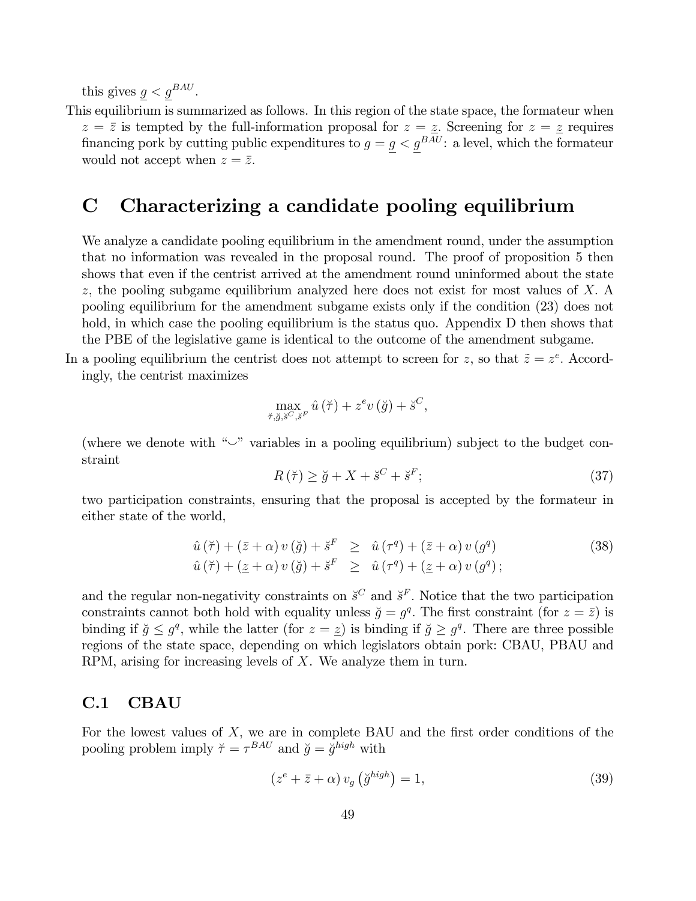this gives  $g < g^{BAU}$ .

This equilibrium is summarized as follows. In this region of the state space, the formateur when  $z = \overline{z}$  is tempted by the full-information proposal for  $z = \underline{z}$ . Screening for  $z = \underline{z}$  requires financing pork by cutting public expenditures to  $g = \underline{g} < \underline{g}^{BAU}$ : a level, which the formateur would not accept when  $z = \overline{z}$ .

# C Characterizing a candidate pooling equilibrium

We analyze a candidate pooling equilibrium in the amendment round, under the assumption that no information was revealed in the proposal round. The proof of proposition 5 then shows that even if the centrist arrived at the amendment round uninformed about the state z; the pooling subgame equilibrium analyzed here does not exist for most values of X: A pooling equilibrium for the amendment subgame exists only if the condition (23) does not hold, in which case the pooling equilibrium is the status quo. Appendix D then shows that the PBE of the legislative game is identical to the outcome of the amendment subgame.

In a pooling equilibrium the centrist does not attempt to screen for z, so that  $\tilde{z} = z^e$ . Accordingly, the centrist maximizes

$$
\max_{\breve{\tau},\breve{g},\breve{s}^C,\breve{s}^F} \hat{u}(\breve{\tau}) + z^e v(\breve{g}) + \breve{s}^C,
$$

(where we denote with  $\sim$ " variables in a pooling equilibrium) subject to the budget constraint

$$
R(\breve{\tau}) \ge \breve{g} + X + \breve{s}^C + \breve{s}^F; \tag{37}
$$

two participation constraints, ensuring that the proposal is accepted by the formateur in either state of the world,

$$
\hat{u}(\breve{\tau}) + (\bar{z} + \alpha) v(\breve{g}) + \breve{s}^F \geq \hat{u}(\tau^q) + (\bar{z} + \alpha) v(g^q) \n\hat{u}(\breve{\tau}) + (\underline{z} + \alpha) v(\breve{g}) + \breve{s}^F \geq \hat{u}(\tau^q) + (\underline{z} + \alpha) v(g^q) ;
$$
\n(38)

and the regular non-negativity constraints on  $\check{s}^C$  and  $\check{s}^F$ . Notice that the two participation constraints cannot both hold with equality unless  $\check{g} = g^q$ . The first constraint (for  $z = \bar{z}$ ) is binding if  $\breve{g} \leq g^q$ , while the latter (for  $z = \underline{z}$ ) is binding if  $\breve{g} \geq g^q$ . There are three possible regions of the state space, depending on which legislators obtain pork: CBAU, PBAU and RPM, arising for increasing levels of X. We analyze them in turn.

## C.1 CBAU

For the lowest values of  $X$ , we are in complete BAU and the first order conditions of the pooling problem imply  $\tilde{\tau} = \tau^{BAU}$  and  $\tilde{g} = \tilde{g}^{high}$  with

$$
(z^e + \bar{z} + \alpha) v_g \left(\breve{g}^{high}\right) = 1,\tag{39}
$$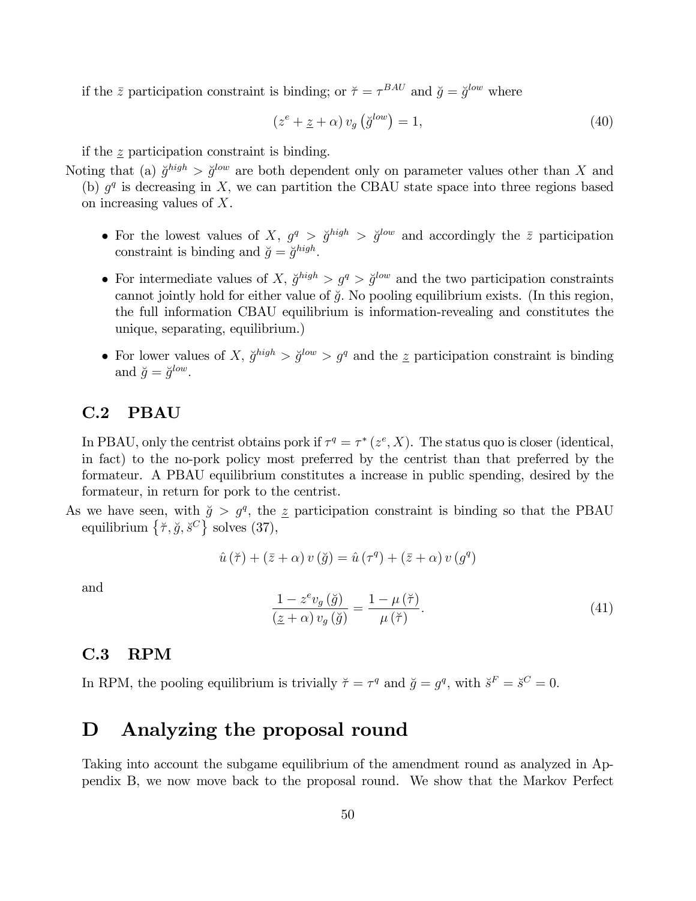if the  $\bar{z}$  participation constraint is binding; or  $\tilde{\tau} = \tau^{BAU}$  and  $\tilde{g} = \tilde{g}^{low}$  where

$$
(z^{e} + \underline{z} + \alpha) v_g \left(\breve{g}^{low}\right) = 1, \tag{40}
$$

if the z participation constraint is binding.

Noting that (a)  $\ddot{g}^{high} > \ddot{g}^{low}$  are both dependent only on parameter values other than X and (b)  $g<sup>q</sup>$  is decreasing in X, we can partition the CBAU state space into three regions based on increasing values of X.

- For the lowest values of X,  $g^q > \breve{g}^{high} > \breve{g}^{low}$  and accordingly the  $\bar{z}$  participation constraint is binding and  $\breve{g} = \breve{g}^{high}$ .
- For intermediate values of X,  $\breve{g}^{high} > g^q > \breve{g}^{low}$  and the two participation constraints cannot jointly hold for either value of  $\check{g}$ . No pooling equilibrium exists. (In this region, the full information CBAU equilibrium is information-revealing and constitutes the unique, separating, equilibrium.)
- For lower values of X,  $\ddot{g}^{high} > \ddot{g}^{low} > g^q$  and the z participation constraint is binding and  $\breve{g} = \breve{g}^{low}$ .

## C.2 PBAU

In PBAU, only the centrist obtains pork if  $\tau^q = \tau^* (z^e, X)$ . The status quo is closer (identical, in fact) to the no-pork policy most preferred by the centrist than that preferred by the formateur. A PBAU equilibrium constitutes a increase in public spending, desired by the formateur, in return for pork to the centrist.

As we have seen, with  $\tilde{g} > g^q$ , the z participation constraint is binding so that the PBAU equilibrium  $\{\breve{\tau}, \breve{g}, \breve{s}^C\}$  solves (37),

$$
\hat{u}(\breve{\tau}) + (\bar{z} + \alpha) v(\breve{g}) = \hat{u}(\tau^q) + (\bar{z} + \alpha) v(g^q)
$$

and

$$
\frac{1 - z^e v_g(\breve{g})}{(\breve{z} + \alpha) v_g(\breve{g})} = \frac{1 - \mu(\breve{\tau})}{\mu(\breve{\tau})}.
$$
\n(41)

## C.3 RPM

In RPM, the pooling equilibrium is trivially  $\breve{\tau} = \tau^q$  and  $\breve{g} = g^q$ , with  $\breve{s}^F = \breve{s}^C = 0$ .

# D Analyzing the proposal round

Taking into account the subgame equilibrium of the amendment round as analyzed in Appendix B, we now move back to the proposal round. We show that the Markov Perfect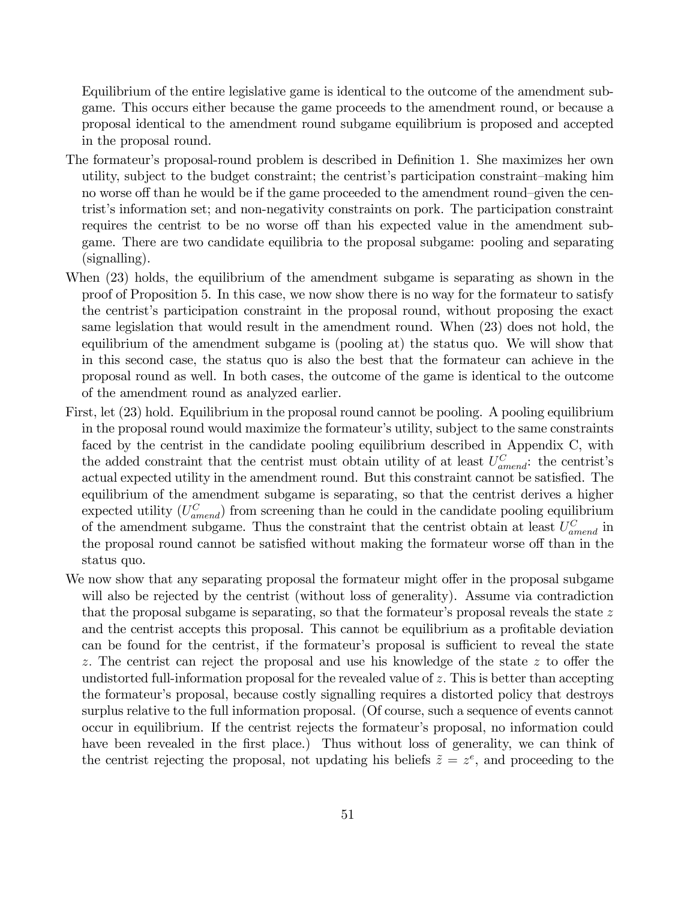Equilibrium of the entire legislative game is identical to the outcome of the amendment subgame. This occurs either because the game proceeds to the amendment round, or because a proposal identical to the amendment round subgame equilibrium is proposed and accepted in the proposal round.

- The formateur's proposal-round problem is described in Definition 1. She maximizes her own utility, subject to the budget constraint; the centrist's participation constraint—making him no worse off than he would be if the game proceeded to the amendment round-given the centrist's information set; and non-negativity constraints on pork. The participation constraint requires the centrist to be no worse off than his expected value in the amendment subgame. There are two candidate equilibria to the proposal subgame: pooling and separating (signalling).
- When (23) holds, the equilibrium of the amendment subgame is separating as shown in the proof of Proposition 5. In this case, we now show there is no way for the formateur to satisfy the centrist's participation constraint in the proposal round, without proposing the exact same legislation that would result in the amendment round. When (23) does not hold, the equilibrium of the amendment subgame is (pooling at) the status quo. We will show that in this second case, the status quo is also the best that the formateur can achieve in the proposal round as well. In both cases, the outcome of the game is identical to the outcome of the amendment round as analyzed earlier.
- First, let (23) hold. Equilibrium in the proposal round cannot be pooling. A pooling equilibrium in the proposal round would maximize the formateur's utility, subject to the same constraints faced by the centrist in the candidate pooling equilibrium described in Appendix C, with the added constraint that the centrist must obtain utility of at least  $U_{amend}^C$ : the centrist's actual expected utility in the amendment round. But this constraint cannot be satisfied. The equilibrium of the amendment subgame is separating, so that the centrist derives a higher expected utility  $(U_{amend}^C)$  from screening than he could in the candidate pooling equilibrium of the amendment subgame. Thus the constraint that the centrist obtain at least  $U_{amend}^C$  in the proposal round cannot be satisfied without making the formateur worse off than in the status quo.
- We now show that any separating proposal the formateur might offer in the proposal subgame will also be rejected by the centrist (without loss of generality). Assume via contradiction that the proposal subgame is separating, so that the formateur's proposal reveals the state  $z$ and the centrist accepts this proposal. This cannot be equilibrium as a profitable deviation can be found for the centrist, if the formateur's proposal is sufficient to reveal the state z. The centrist can reject the proposal and use his knowledge of the state  $z$  to offer the undistorted full-information proposal for the revealed value of  $z$ . This is better than accepting the formateur's proposal, because costly signalling requires a distorted policy that destroys surplus relative to the full information proposal. (Of course, such a sequence of events cannot occur in equilibrium. If the centrist rejects the formateur's proposal, no information could have been revealed in the first place.) Thus without loss of generality, we can think of the centrist rejecting the proposal, not updating his beliefs  $\tilde{z} = z^e$ , and proceeding to the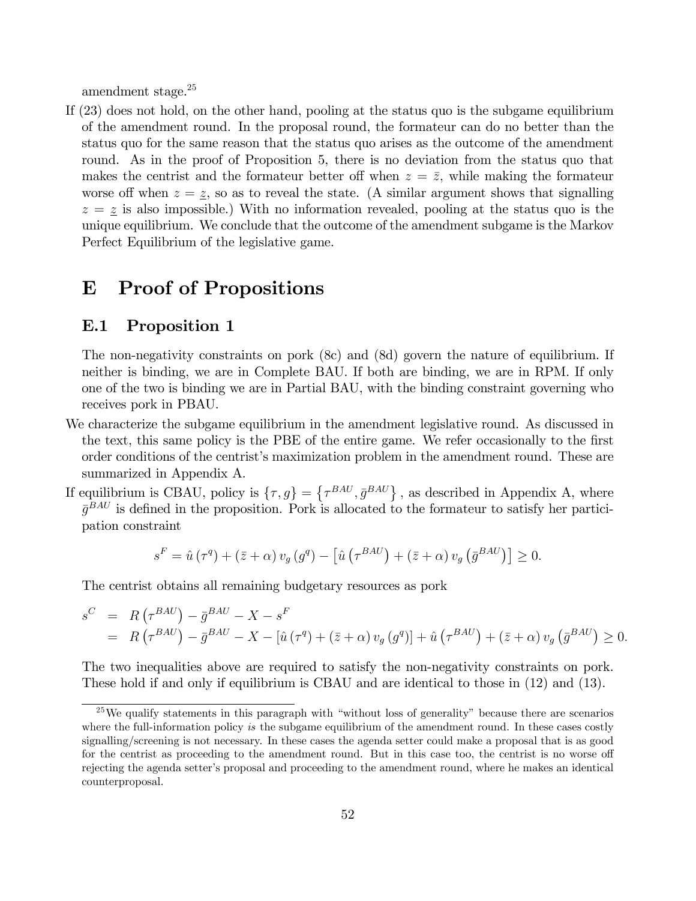amendment stage.<sup>25</sup>

If (23) does not hold, on the other hand, pooling at the status quo is the subgame equilibrium of the amendment round. In the proposal round, the formateur can do no better than the status quo for the same reason that the status quo arises as the outcome of the amendment round. As in the proof of Proposition 5, there is no deviation from the status quo that makes the centrist and the formateur better off when  $z = \bar{z}$ , while making the formateur worse off when  $z = \underline{z}$ , so as to reveal the state. (A similar argument shows that signalling  $z = \underline{z}$  is also impossible.) With no information revealed, pooling at the status quo is the unique equilibrium. We conclude that the outcome of the amendment subgame is the Markov Perfect Equilibrium of the legislative game.

# E Proof of Propositions

#### E.1 Proposition 1

The non-negativity constraints on pork (8c) and (8d) govern the nature of equilibrium. If neither is binding, we are in Complete BAU. If both are binding, we are in RPM. If only one of the two is binding we are in Partial BAU, with the binding constraint governing who receives pork in PBAU.

- We characterize the subgame equilibrium in the amendment legislative round. As discussed in the text, this same policy is the PBE of the entire game. We refer occasionally to the first order conditions of the centristís maximization problem in the amendment round. These are summarized in Appendix A.
- If equilibrium is CBAU, policy is  $\{\tau, g\} = \{\tau^{BAU}, \bar{g}^{BAU}\}\$ , as described in Appendix A, where  $\bar{g}^{BAU}$  is defined in the proposition. Pork is allocated to the formateur to satisfy her participation constraint

$$
s^{F} = \hat{u}(\tau^{q}) + (\bar{z} + \alpha) v_{g} (g^{q}) - \left[ \hat{u} (\tau^{BAU}) + (\bar{z} + \alpha) v_{g} (\bar{g}^{BAU}) \right] \geq 0.
$$

The centrist obtains all remaining budgetary resources as pork

$$
s^{C} = R(\tau^{BAU}) - \bar{g}^{BAU} - X - s^{F}
$$
  
=  $R(\tau^{BAU}) - \bar{g}^{BAU} - X - [\hat{u}(\tau^{q}) + (\bar{z} + \alpha) v_{g}(g^{q})] + \hat{u}(\tau^{BAU}) + (\bar{z} + \alpha) v_{g}(\bar{g}^{BAU}) \ge 0.$ 

The two inequalities above are required to satisfy the non-negativity constraints on pork. These hold if and only if equilibrium is CBAU and are identical to those in (12) and (13).

<sup>&</sup>lt;sup>25</sup>We qualify statements in this paragraph with "without loss of generality" because there are scenarios where the full-information policy is the subgame equilibrium of the amendment round. In these cases costly signalling/screening is not necessary. In these cases the agenda setter could make a proposal that is as good for the centrist as proceeding to the amendment round. But in this case too, the centrist is no worse off rejecting the agenda setter's proposal and proceeding to the amendment round, where he makes an identical counterproposal.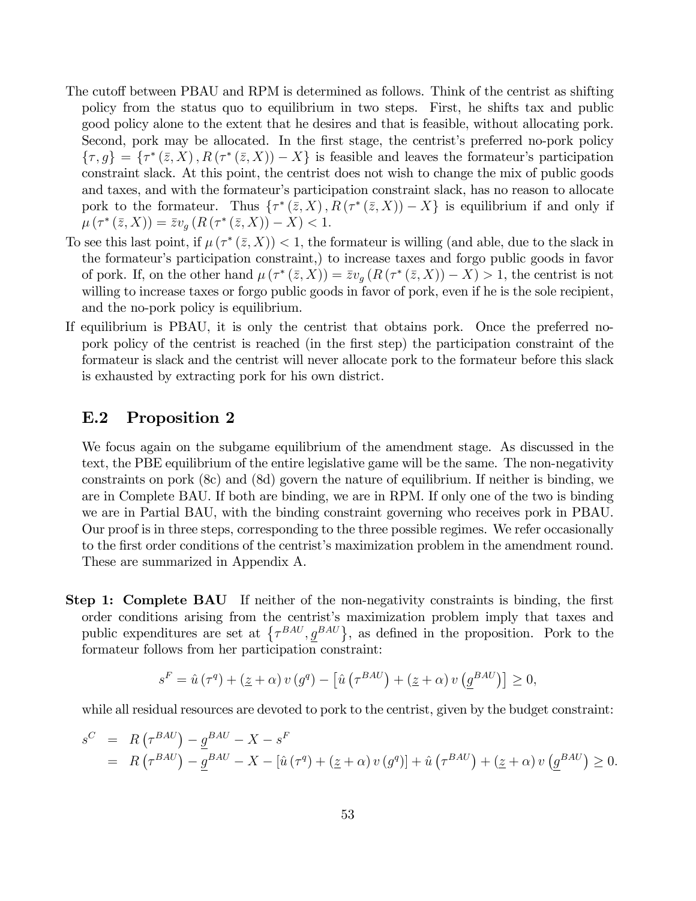- The cutoff between PBAU and RPM is determined as follows. Think of the centrist as shifting policy from the status quo to equilibrium in two steps. First, he shifts tax and public good policy alone to the extent that he desires and that is feasible, without allocating pork. Second, pork may be allocated. In the first stage, the centrist's preferred no-pork policy  $\{\tau, g\} = \{\tau^*(\bar{z}, X), R(\tau^*(\bar{z}, X)) - X\}$  is feasible and leaves the formateur's participation constraint slack. At this point, the centrist does not wish to change the mix of public goods and taxes, and with the formateur's participation constraint slack, has no reason to allocate pork to the formateur. Thus  $\{\tau^*(\bar{z}, X), R(\tau^*(\bar{z}, X)) - X\}$  is equilibrium if and only if  $\mu(\tau^*(\bar{z},X)) = \bar{z}v_g(R(\tau^*(\bar{z},X)) - X) < 1.$
- To see this last point, if  $\mu(\tau^*(\bar{z},X)) < 1$ , the formateur is willing (and able, due to the slack in the formateur's participation constraint,) to increase taxes and forgo public goods in favor of pork. If, on the other hand  $\mu(\tau^*(\bar{z}, X)) = \bar{z}v_g(R(\tau^*(\bar{z}, X)) - X) > 1$ , the centrist is not willing to increase taxes or forgo public goods in favor of pork, even if he is the sole recipient, and the no-pork policy is equilibrium.
- If equilibrium is PBAU, it is only the centrist that obtains pork. Once the preferred nopork policy of the centrist is reached (in the first step) the participation constraint of the formateur is slack and the centrist will never allocate pork to the formateur before this slack is exhausted by extracting pork for his own district.

### E.2 Proposition 2

We focus again on the subgame equilibrium of the amendment stage. As discussed in the text, the PBE equilibrium of the entire legislative game will be the same. The non-negativity constraints on pork (8c) and (8d) govern the nature of equilibrium. If neither is binding, we are in Complete BAU. If both are binding, we are in RPM. If only one of the two is binding we are in Partial BAU, with the binding constraint governing who receives pork in PBAU. Our proof is in three steps, corresponding to the three possible regimes. We refer occasionally to the first order conditions of the centrist's maximization problem in the amendment round. These are summarized in Appendix A.

Step 1: Complete BAU If neither of the non-negativity constraints is binding, the first order conditions arising from the centrist's maximization problem imply that taxes and public expenditures are set at  $\{\tau^{BAU}, g^{BAU}\}\$ , as defined in the proposition. Pork to the formateur follows from her participation constraint:

$$
s^{F} = \hat{u}(\tau^{q}) + (\underline{z} + \alpha) v(g^{q}) - [\hat{u}(\tau^{BAU}) + (\underline{z} + \alpha) v(\underline{g}^{BAU})] \ge 0,
$$

while all residual resources are devoted to pork to the centrist, given by the budget constraint:

$$
s^{C} = R(\tau^{BAU}) - \underline{g}^{BAU} - X - s^{F}
$$
  
=  $R(\tau^{BAU}) - \underline{g}^{BAU} - X - [\hat{u}(\tau^{q}) + (\underline{z} + \alpha) v(g^{q})] + \hat{u}(\tau^{BAU}) + (\underline{z} + \alpha) v(\underline{g}^{BAU}) \ge 0.$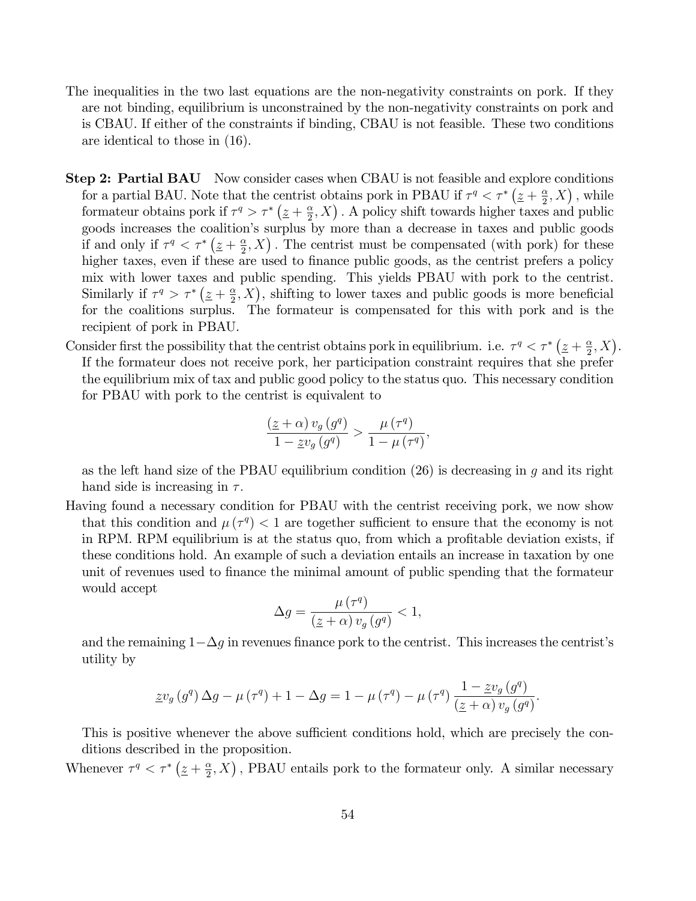- The inequalities in the two last equations are the non-negativity constraints on pork. If they are not binding, equilibrium is unconstrained by the non-negativity constraints on pork and is CBAU. If either of the constraints if binding, CBAU is not feasible. These two conditions are identical to those in (16).
- **Step 2: Partial BAU** Now consider cases when CBAU is not feasible and explore conditions for a partial BAU. Note that the centrist obtains pork in PBAU if  $\tau^q < \tau^*$  ( $\underline{z} + \frac{\alpha}{2}$ )  $\frac{\alpha}{2}$ , X), while formateur obtains pork if  $\tau^q > \tau^* \left(\underline{z} + \frac{\alpha}{2}\right)$  $(\frac{\alpha}{2}, X)$ . A policy shift towards higher taxes and public goods increases the coalitionís surplus by more than a decrease in taxes and public goods if and only if  $\tau^q < \tau^* \left(\underline{z} + \frac{\alpha}{2}\right)$  $(\frac{\alpha}{2}, X)$ . The centrist must be compensated (with pork) for these higher taxes, even if these are used to finance public goods, as the centrist prefers a policy mix with lower taxes and public spending. This yields PBAU with pork to the centrist. Similarly if  $\tau^q > \tau^* \left(\frac{z}{z} + \frac{\alpha}{2}\right)$  $(\frac{\alpha}{2}, X)$ , shifting to lower taxes and public goods is more beneficial for the coalitions surplus. The formateur is compensated for this with pork and is the recipient of pork in PBAU.
- Consider first the possibility that the centrist obtains pork in equilibrium. i.e.  $\tau^q < \tau^* (\underline{z} + \frac{\alpha}{2})$  $\frac{\alpha}{2}, X$ ). If the formateur does not receive pork, her participation constraint requires that she prefer the equilibrium mix of tax and public good policy to the status quo. This necessary condition for PBAU with pork to the centrist is equivalent to

$$
\frac{\left(\underline{z}+\alpha\right)v_g\left(g^q\right)}{1-\underline{z}v_g\left(g^q\right)} > \frac{\mu\left(\tau^q\right)}{1-\mu\left(\tau^q\right)},
$$

as the left hand size of the PBAU equilibrium condition  $(26)$  is decreasing in q and its right hand side is increasing in  $\tau$ .

Having found a necessary condition for PBAU with the centrist receiving pork, we now show that this condition and  $\mu(\tau^q) < 1$  are together sufficient to ensure that the economy is not in RPM. RPM equilibrium is at the status quo, from which a profitable deviation exists, if these conditions hold. An example of such a deviation entails an increase in taxation by one unit of revenues used to Önance the minimal amount of public spending that the formateur would accept

$$
\Delta g = \frac{\mu(\tau^q)}{(\underline{z} + \alpha) v_g(g^q)} < 1,
$$

and the remaining  $1-\Delta g$  in revenues finance pork to the centrist. This increases the centrist's utility by

$$
\underline{z}v_g\left(g^q\right)\Delta g - \mu\left(\tau^q\right) + 1 - \Delta g = 1 - \mu\left(\tau^q\right) - \mu\left(\tau^q\right)\frac{1 - \underline{z}v_g\left(g^q\right)}{\left(\underline{z} + \alpha\right)v_g\left(g^q\right)}.
$$

This is positive whenever the above sufficient conditions hold, which are precisely the conditions described in the proposition.

Whenever  $\tau^q < \tau^* \left(\underline{z} + \frac{\alpha}{2}\right)$  $(\frac{\alpha}{2}, X)$ , PBAU entails pork to the formateur only. A similar necessary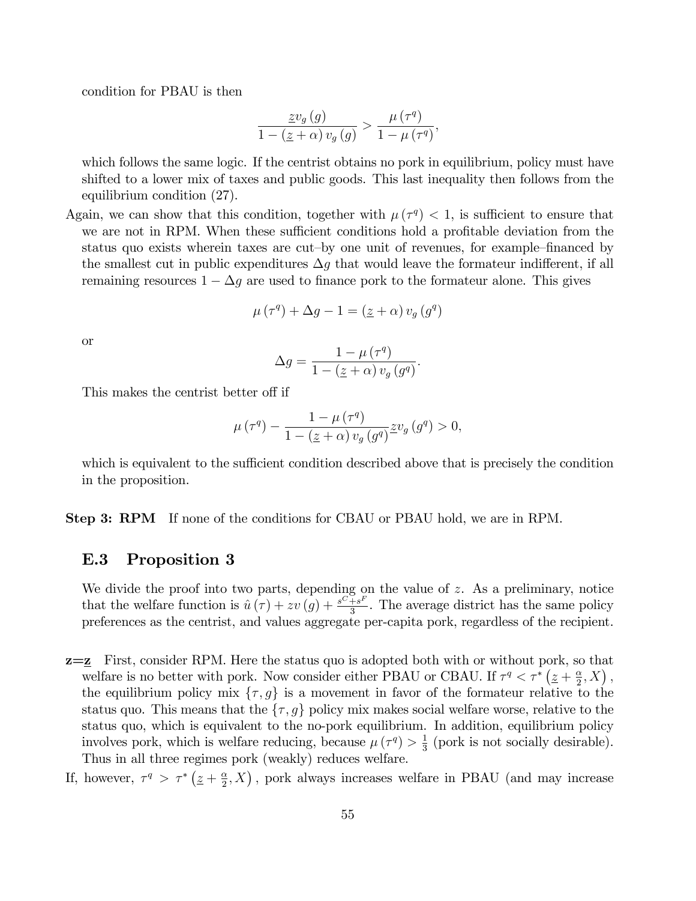condition for PBAU is then

$$
\frac{\underline{z}v_g(g)}{1 - (\underline{z} + \alpha)v_g(g)} > \frac{\mu(\tau^q)}{1 - \mu(\tau^q)},
$$

which follows the same logic. If the centrist obtains no pork in equilibrium, policy must have shifted to a lower mix of taxes and public goods. This last inequality then follows from the equilibrium condition (27).

Again, we can show that this condition, together with  $\mu(\tau^q) < 1$ , is sufficient to ensure that we are not in RPM. When these sufficient conditions hold a profitable deviation from the status quo exists wherein taxes are cut-by one unit of revenues, for example–financed by the smallest cut in public expenditures  $\Delta g$  that would leave the formateur indifferent, if all remaining resources  $1 - \Delta g$  are used to finance pork to the formateur alone. This gives

$$
\mu\left(\tau^{q}\right) + \Delta g - 1 = \left(\underline{z} + \alpha\right)v_{g}\left(g^{q}\right)
$$

or

$$
\Delta g = \frac{1 - \mu(\tau^q)}{1 - (\underline{z} + \alpha) v_g(g^q)}.
$$

This makes the centrist better off if

$$
\mu\left(\tau^{q}\right) - \frac{1 - \mu\left(\tau^{q}\right)}{1 - \left(\underline{z} + \alpha\right)v_{g}\left(g^{q}\right)} \underline{z}v_{g}\left(g^{q}\right) > 0,
$$

which is equivalent to the sufficient condition described above that is precisely the condition in the proposition.

Step 3: RPM If none of the conditions for CBAU or PBAU hold, we are in RPM.

### E.3 Proposition 3

We divide the proof into two parts, depending on the value of z. As a preliminary, notice that the welfare function is  $\hat{u}(\tau) + zv (g) + \frac{s^{C} + s^{F}}{3}$  $\frac{+s^{2}}{3}$ . The average district has the same policy preferences as the centrist, and values aggregate per-capita pork, regardless of the recipient.

- z=z First, consider RPM. Here the status quo is adopted both with or without pork, so that welfare is no better with pork. Now consider either PBAU or CBAU. If  $\tau^q < \tau^*$   $(\underline{z} + \frac{\alpha}{2})$  $\frac{\alpha}{2}, X$ ), the equilibrium policy mix  $\{\tau, g\}$  is a movement in favor of the formateur relative to the status quo. This means that the  $\{\tau, g\}$  policy mix makes social welfare worse, relative to the status quo, which is equivalent to the no-pork equilibrium. In addition, equilibrium policy involves pork, which is welfare reducing, because  $\mu(\tau^q) > \frac{1}{3}$  $\frac{1}{3}$  (pork is not socially desirable). Thus in all three regimes pork (weakly) reduces welfare.
- If, however,  $\tau^q > \tau^* \left(\underline{z} + \frac{\alpha}{2}\right)$  $(\frac{\alpha}{2}, X)$ , pork always increases welfare in PBAU (and may increase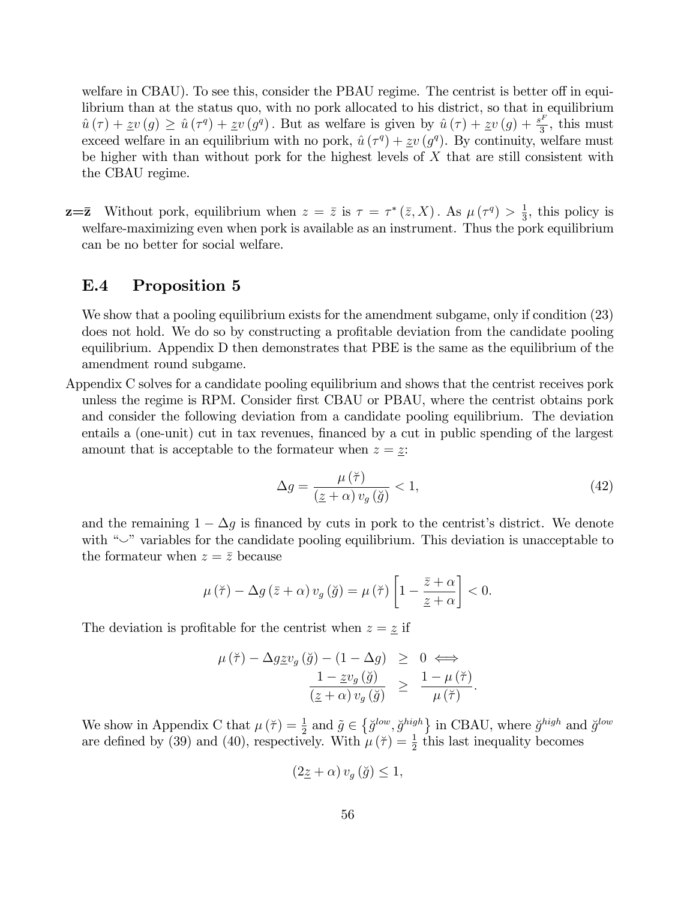welfare in CBAU). To see this, consider the PBAU regime. The centrist is better off in equilibrium than at the status quo, with no pork allocated to his district, so that in equilibrium  $\hat{u}(\tau) + zv (g) \geq \hat{u}(\tau^q) + zv (g^q)$ . But as welfare is given by  $\hat{u}(\tau) + zv (g) + \frac{s^F}{3}$  $\frac{3}{3}$ , this must exceed welfare in an equilibrium with no pork,  $\hat{u}(\tau^q) + \underline{z}v (g^q)$ . By continuity, welfare must be higher with than without pork for the highest levels of  $X$  that are still consistent with the CBAU regime.

 $\mathbf{z} = \mathbf{\bar{z}}$  Without pork, equilibrium when  $z = \bar{z}$  is  $\tau = \tau^* (\bar{z}, X)$ . As  $\mu (\tau^q) > \frac{1}{3}$  $\frac{1}{3}$ , this policy is welfare-maximizing even when pork is available as an instrument. Thus the pork equilibrium can be no better for social welfare.

#### E.4 Proposition 5

We show that a pooling equilibrium exists for the amendment subgame, only if condition  $(23)$ does not hold. We do so by constructing a profitable deviation from the candidate pooling equilibrium. Appendix D then demonstrates that PBE is the same as the equilibrium of the amendment round subgame.

Appendix C solves for a candidate pooling equilibrium and shows that the centrist receives pork unless the regime is RPM. Consider first CBAU or PBAU, where the centrist obtains pork and consider the following deviation from a candidate pooling equilibrium. The deviation entails a (one-unit) cut in tax revenues, financed by a cut in public spending of the largest amount that is acceptable to the formateur when  $z = \underline{z}$ :

$$
\Delta g = \frac{\mu\left(\breve{\tau}\right)}{\left(\underline{z} + \alpha\right)v_g\left(\breve{g}\right)} < 1,\tag{42}
$$

:

and the remaining  $1 - \Delta g$  is financed by cuts in pork to the centrist's district. We denote with  $\sim$ " variables for the candidate pooling equilibrium. This deviation is unacceptable to the formateur when  $z = \overline{z}$  because

$$
\mu(\breve{\tau}) - \Delta g(\bar{z} + \alpha) v_g(\breve{g}) = \mu(\breve{\tau}) \left[ 1 - \frac{\bar{z} + \alpha}{\underline{z} + \alpha} \right] < 0.
$$

The deviation is profitable for the centrist when  $z = \underline{z}$  if

$$
\mu(\breve{\tau}) - \Delta g \underline{z} v_g(\breve{g}) - (1 - \Delta g) \geq 0 \iff
$$
  

$$
\frac{1 - \underline{z} v_g(\breve{g})}{(\underline{z} + \alpha) v_g(\breve{g})} \geq \frac{1 - \mu(\breve{\tau})}{\mu(\breve{\tau})}
$$

We show in Appendix C that  $\mu(\tau) = \frac{1}{2}$  and  $\tilde{g} \in \{\tilde{g}^{low}, \tilde{g}^{high}\}\$  in CBAU, where  $\tilde{g}^{high}$  and  $\tilde{g}^{low}$ are defined by (39) and (40), respectively. With  $\mu(\tau) = \frac{1}{2}$  this last inequality becomes

$$
(2\underline{z} + \alpha) v_g(\check{g}) \le 1,
$$